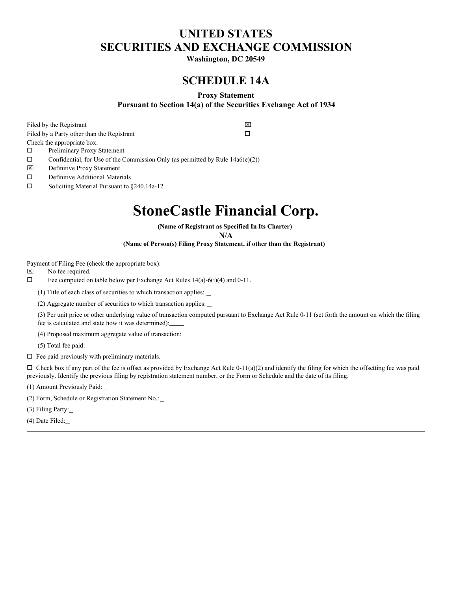## **UNITED STATES SECURITIES AND EXCHANGE COMMISSION**

**Washington, DC 20549**

## **SCHEDULE 14A**

#### **Proxy Statement**

**Pursuant to Section 14(a) of the Securities Exchange Act of 1934**

Filed by the Registrant  $\boxtimes$ Filed by a Party other than the Registrant  $\Box$ Check the appropriate box:

 $\square$  Preliminary Proxy Statement

Confidential, for Use of the Commission Only (as permitted by Rule  $14a6(e)(2)$ )

x Definitive Proxy Statement

 $\square$  Definitive Additional Materials

 $\square$  Soliciting Material Pursuant to §240.14a-12

## **StoneCastle Financial Corp.**

**(Name of Registrant as Specified In Its Charter)**

**N/A**

**(Name of Person(s) Filing Proxy Statement, if other than the Registrant)**

Payment of Filing Fee (check the appropriate box):

 $\boxtimes$  No fee required.

 $\square$  Fee computed on table below per Exchange Act Rules 14(a)-6(i)(4) and 0-11.

(1) Title of each class of securities to which transaction applies:

(2) Aggregate number of securities to which transaction applies:

(3) Per unit price or other underlying value of transaction computed pursuant to Exchange Act Rule 0-11 (set forth the amount on which the filing fee is calculated and state how it was determined):

(4) Proposed maximum aggregate value of transaction:

(5) Total fee paid:

 $\Box$  Fee paid previously with preliminary materials.

 $\Box$  Check box if any part of the fee is offset as provided by Exchange Act Rule 0-11(a)(2) and identify the filing for which the offsetting fee was paid previously. Identify the previous filing by registration statement number, or the Form or Schedule and the date of its filing.

(1) Amount Previously Paid:

(2) Form, Schedule or Registration Statement No.:

(3) Filing Party:

(4) Date Filed: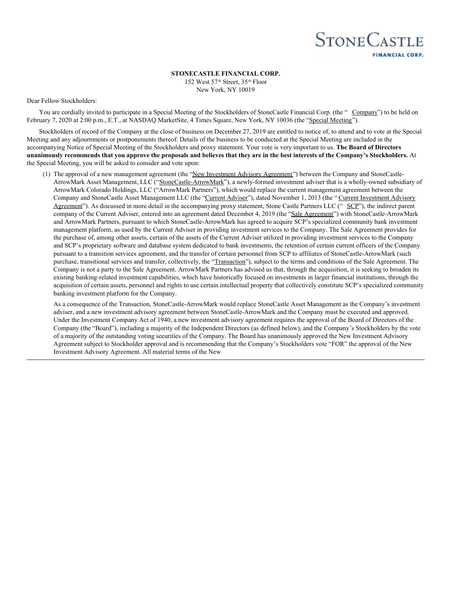

**STONECASTLE FINANCIAL CORP.**

152 West 57<sup>th</sup> Street, 35<sup>th</sup> Floor New York, NY 10019

#### Dear Fellow Stockholders:

You are cordially invited to participate in a Special Meeting of the Stockholders of StoneCastle Financial Corp. (the " Company") to be held on February 7, 2020 at 2:00 p.m., E.T., at NASDAQ MarketSite, 4 Times Square, New York, NY 10036 (the "Special Meeting").

Stockholders of record of the Company at the close of business on December 27, 2019 are entitled to notice of, to attend and to vote at the Special Meeting and any adjournments or postponements thereof. Details of the business to be conducted at the Special Meeting are included in the accompanying Notice of Special Meeting of the Stockholders and proxy statement. Your vote is very important to us. **The Board of Directors** unanimously recommends that you approve the proposals and believes that they are in the best interests of the Company's Stockholders. At the Special Meeting, you will be asked to consider and vote upon:

(1) The approval of a new management agreement (the "New Investment Advisory Agreement") between the Company and StoneCastle-ArrowMark Asset Management, LLC ("StoneCastle-ArrowMark"), a newly-formed investment adviser that is a wholly-owned subsidiary of ArrowMark Colorado Holdings, LLC ("ArrowMark Partners"), which would replace the current management agreement between the Company and StoneCastle Asset Management LLC (the "Current Adviser"), dated November 1, 2013 (the " Current Investment Advisory Agreement"). As discussed in more detail in the accompanying proxy statement, Stone Castle Partners LLC (" SCP"), the indirect parent company of the Current Adviser, entered into an agreement dated December 4, 2019 (the "Sale Agreement") with StoneCastle-ArrowMark and ArrowMark Partners, pursuant to which StoneCastle-ArrowMark has agreed to acquire SCP's specialized community bank investment management platform, as used by the Current Adviser in providing investment services to the Company. The Sale Agreement provides for the purchase of, among other assets, certain of the assets of the Current Adviser utilized in providing investment services to the Company and SCP's proprietary software and database system dedicated to bank investments, the retention of certain current officers of the Company pursuant to a transition services agreement, and the transfer of certain personnel from SCP to affiliates of StoneCastle-ArrowMark (such purchase, transitional services and transfer, collectively, the "Transaction"), subject to the terms and conditions of the Sale Agreement. The Company is not a party to the Sale Agreement. ArrowMark Partners has advised us that, through the acquisition, it is seeking to broaden its existing banking-related investment capabilities, which have historically focused on investments in larger financial institutions, through the acquisition of certain assets, personnel and rights to use certain intellectual property that collectively constitute SCP's specialized community banking investment platform for the Company.

As a consequence of the Transaction, StoneCastle-ArrowMark would replace StoneCastle Asset Management as the Company's investment adviser, and a new investment advisory agreement between StoneCastle-ArrowMark and the Company must be executed and approved. Under the Investment Company Act of 1940, a new investment advisory agreement requires the approval of the Board of Directors of the Company (the "Board"), including a majority of the Independent Directors (as defined below), and the Company's Stockholders by the vote of a majority of the outstanding voting securities of the Company. The Board has unanimously approved the New Investment Advisory Agreement subject to Stockholder approval and is recommending that the Company's Stockholders vote "FOR" the approval of the New Investment Advisory Agreement. All material terms of the New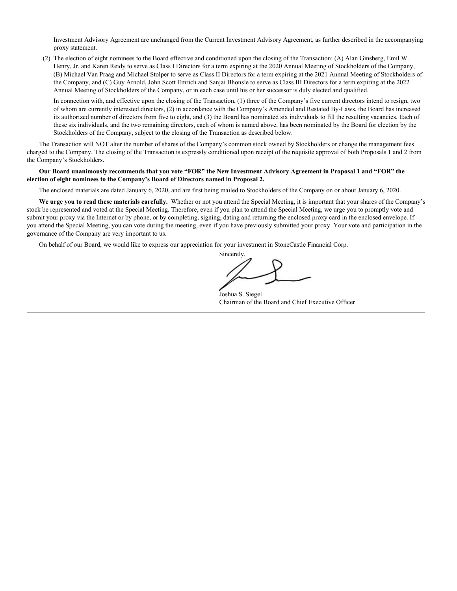Investment Advisory Agreement are unchanged from the Current Investment Advisory Agreement, as further described in the accompanying proxy statement.

(2) The election of eight nominees to the Board effective and conditioned upon the closing of the Transaction: (A) Alan Ginsberg, Emil W. Henry, Jr. and Karen Reidy to serve as Class I Directors for a term expiring at the 2020 Annual Meeting of Stockholders of the Company, (B) Michael Van Praag and Michael Stolper to serve as Class II Directors for a term expiring at the 2021 Annual Meeting of Stockholders of the Company, and (C) Guy Arnold, John Scott Emrich and Sanjai Bhonsle to serve as Class III Directors for a term expiring at the 2022 Annual Meeting of Stockholders of the Company, or in each case until his or her successor is duly elected and qualified.

In connection with, and effective upon the closing of the Transaction, (1) three of the Company's five current directors intend to resign, two of whom are currently interested directors, (2) in accordance with the Company's Amended and Restated By-Laws, the Board has increased its authorized number of directors from five to eight, and (3) the Board has nominated six individuals to fill the resulting vacancies. Each of these six individuals, and the two remaining directors, each of whom is named above, has been nominated by the Board for election by the Stockholders of the Company, subject to the closing of the Transaction as described below.

The Transaction will NOT alter the number of shares of the Company's common stock owned by Stockholders or change the management fees charged to the Company. The closing of the Transaction is expressly conditioned upon receipt of the requisite approval of both Proposals 1 and 2 from the Company's Stockholders.

#### Our Board unanimously recommends that you vote "FOR" the New Investment Advisory Agreement in Proposal 1 and "FOR" the **election of eight nominees to the Company's Board of Directors named in Proposal 2.**

The enclosed materials are dated January 6, 2020, and are first being mailed to Stockholders of the Company on or about January 6, 2020.

**We urge you to read these materials carefully.** Whether or not you attend the Special Meeting, it is important that your shares of the Company's stock be represented and voted at the Special Meeting. Therefore, even if you plan to attend the Special Meeting, we urge you to promptly vote and submit your proxy via the Internet or by phone, or by completing, signing, dating and returning the enclosed proxy card in the enclosed envelope. If you attend the Special Meeting, you can vote during the meeting, even if you have previously submitted your proxy. Your vote and participation in the governance of the Company are very important to us.

On behalf of our Board, we would like to express our appreciation for your investment in StoneCastle Financial Corp.

Sincerely,

Joshua S. Siegel Chairman of the Board and Chief Executive Officer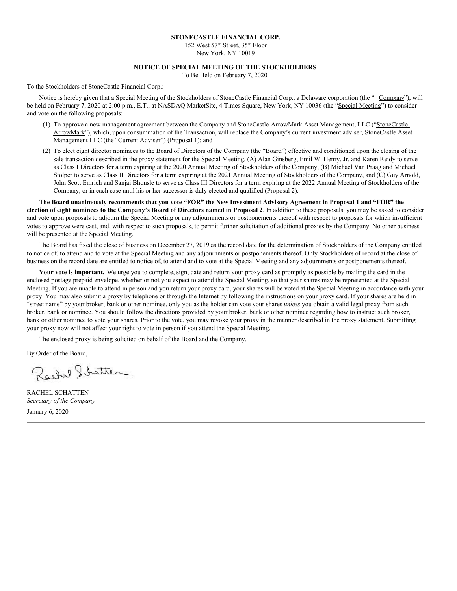#### **STONECASTLE FINANCIAL CORP.**

152 West 57<sup>th</sup> Street, 35<sup>th</sup> Floor New York, NY 10019

#### **NOTICE OF SPECIAL MEETING OF THE STOCKHOLDERS**

To Be Held on February 7, 2020

To the Stockholders of StoneCastle Financial Corp.:

Notice is hereby given that a Special Meeting of the Stockholders of StoneCastle Financial Corp., a Delaware corporation (the " Company"), will be held on February 7, 2020 at 2:00 p.m., E.T., at NASDAQ MarketSite, 4 Times Square, New York, NY 10036 (the "Special Meeting") to consider and vote on the following proposals:

- (1) To approve a new management agreement between the Company and StoneCastle-ArrowMark Asset Management, LLC ("StoneCastle-ArrowMark"), which, upon consummation of the Transaction, will replace the Company's current investment adviser, StoneCastle Asset Management LLC (the "Current Adviser") (Proposal 1); and
- (2) To elect eight director nominees to the Board of Directors of the Company (the "Board") effective and conditioned upon the closing of the sale transaction described in the proxy statement for the Special Meeting, (A) Alan Ginsberg, Emil W. Henry, Jr. and Karen Reidy to serve as Class I Directors for a term expiring at the 2020 Annual Meeting of Stockholders of the Company, (B) Michael Van Praag and Michael Stolper to serve as Class II Directors for a term expiring at the 2021 Annual Meeting of Stockholders of the Company, and (C) Guy Arnold, John Scott Emrich and Sanjai Bhonsle to serve as Class III Directors for a term expiring at the 2022 Annual Meeting of Stockholders of the Company, or in each case until his or her successor is duly elected and qualified (Proposal 2).

The Board unanimously recommends that you vote "FOR" the New Investment Advisory Agreement in Proposal 1 and "FOR" the election of eight nominees to the Company's Board of Directors named in Proposal 2. In addition to these proposals, you may be asked to consider and vote upon proposals to adjourn the Special Meeting or any adjournments or postponements thereof with respect to proposals for which insufficient votes to approve were cast, and, with respect to such proposals, to permit further solicitation of additional proxies by the Company. No other business will be presented at the Special Meeting.

The Board has fixed the close of business on December 27, 2019 as the record date for the determination of Stockholders of the Company entitled to notice of, to attend and to vote at the Special Meeting and any adjournments or postponements thereof. Only Stockholders of record at the close of business on the record date are entitled to notice of, to attend and to vote at the Special Meeting and any adjournments or postponements thereof.

**Your vote is important.** We urge you to complete, sign, date and return your proxy card as promptly as possible by mailing the card in the enclosed postage prepaid envelope, whether or not you expect to attend the Special Meeting, so that your shares may be represented at the Special Meeting. If you are unable to attend in person and you return your proxy card, your shares will be voted at the Special Meeting in accordance with your proxy. You may also submit a proxy by telephone or through the Internet by following the instructions on your proxy card. If your shares are held in "street name" by your broker, bank or other nominee, only you as the holder can vote your shares *unless* you obtain a valid legal proxy from such broker, bank or nominee. You should follow the directions provided by your broker, bank or other nominee regarding how to instruct such broker, bank or other nominee to vote your shares. Prior to the vote, you may revoke your proxy in the manner described in the proxy statement. Submitting your proxy now will not affect your right to vote in person if you attend the Special Meeting.

The enclosed proxy is being solicited on behalf of the Board and the Company.

By Order of the Board,

Rachel Shatter

RACHEL SCHATTEN *Secretary of the Company* January 6, 2020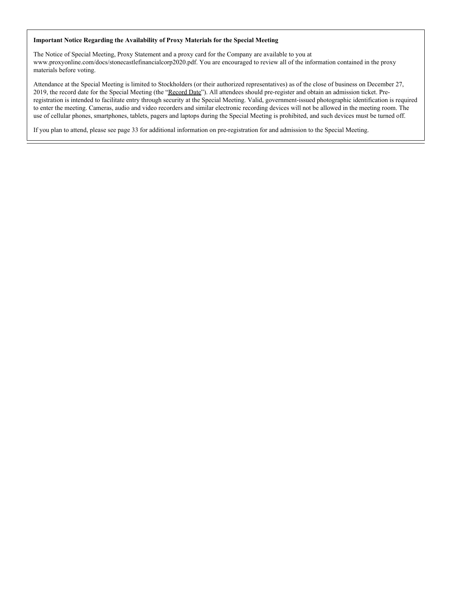#### **Important Notice Regarding the Availability of Proxy Materials for the Special Meeting**

The Notice of Special Meeting, Proxy Statement and a proxy card for the Company are available to you at www.proxyonline.com/docs/stonecastlefinancialcorp2020.pdf. You are encouraged to review all of the information contained in the proxy materials before voting.

Attendance at the Special Meeting is limited to Stockholders (or their authorized representatives) as of the close of business on December 27, 2019, the record date for the Special Meeting (the "Record Date"). All attendees should pre-register and obtain an admission ticket. Preregistration is intended to facilitate entry through security at the Special Meeting. Valid, government-issued photographic identification is required to enter the meeting. Cameras, audio and video recorders and similar electronic recording devices will not be allowed in the meeting room. The use of cellular phones, smartphones, tablets, pagers and laptops during the Special Meeting is prohibited, and such devices must be turned off.

If you plan to attend, please see page 33 for additional information on pre-registration for and admission to the Special Meeting.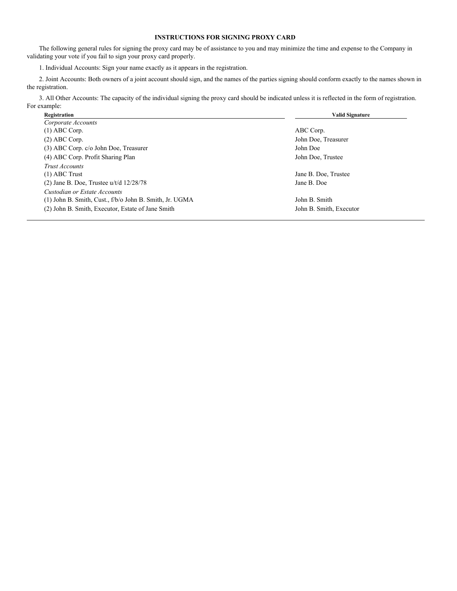#### **INSTRUCTIONS FOR SIGNING PROXY CARD**

The following general rules for signing the proxy card may be of assistance to you and may minimize the time and expense to the Company in validating your vote if you fail to sign your proxy card properly.

1. Individual Accounts: Sign your name exactly as it appears in the registration.

2. Joint Accounts: Both owners of a joint account should sign, and the names of the parties signing should conform exactly to the names shown in the registration.

3. All Other Accounts: The capacity of the individual signing the proxy card should be indicated unless it is reflected in the form of registration. For example:

| ABC Corp.               |
|-------------------------|
|                         |
|                         |
| John Doe, Treasurer     |
| John Doe                |
| John Doe, Trustee       |
|                         |
| Jane B. Doe, Trustee    |
| Jane B. Doe             |
|                         |
| John B. Smith           |
| John B. Smith, Executor |
|                         |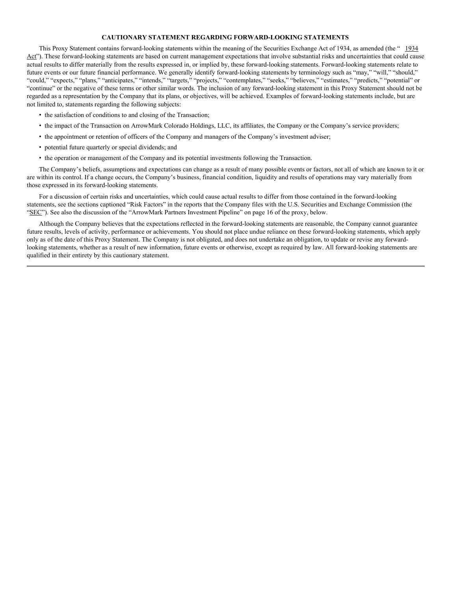#### **CAUTIONARY STATEMENT REGARDING FORWARD-LOOKING STATEMENTS**

This Proxy Statement contains forward-looking statements within the meaning of the Securities Exchange Act of 1934, as amended (the " 1934 Act"). These forward-looking statements are based on current management expectations that involve substantial risks and uncertainties that could cause actual results to differ materially from the results expressed in, or implied by, these forward-looking statements. Forward-looking statements relate to future events or our future financial performance. We generally identify forward-looking statements by terminology such as "may," "will," "should," "could," "expects," "plans," "anticipates," "intends," "targets," "projects," "contemplates," "seeks," "believes," "estimates," "predicts," "potential" or "continue" or the negative of these terms or other similar words. The inclusion of any forward-looking statement in this Proxy Statement should not be regarded as a representation by the Company that its plans, or objectives, will be achieved. Examples of forward-looking statements include, but are not limited to, statements regarding the following subjects:

- the satisfaction of conditions to and closing of the Transaction;
- the impact of the Transaction on ArrowMark Colorado Holdings, LLC, its affiliates, the Company or the Company's service providers;
- the appointment or retention of officers of the Company and managers of the Company's investment adviser;
- potential future quarterly or special dividends; and
- the operation or management of the Company and its potential investments following the Transaction.

The Company's beliefs, assumptions and expectations can change as a result of many possible events or factors, not all of which are known to it or are within its control. If a change occurs, the Company's business, financial condition, liquidity and results of operations may vary materially from those expressed in its forward-looking statements.

For a discussion of certain risks and uncertainties, which could cause actual results to differ from those contained in the forward-looking statements, see the sections captioned "Risk Factors" in the reports that the Company files with the U.S. Securities and Exchange Commission (the "SEC"). See also the discussion of the "ArrowMark Partners Investment Pipeline" on page 16 of the proxy, below.

Although the Company believes that the expectations reflected in the forward-looking statements are reasonable, the Company cannot guarantee future results, levels of activity, performance or achievements. You should not place undue reliance on these forward-looking statements, which apply only as of the date of this Proxy Statement. The Company is not obligated, and does not undertake an obligation, to update or revise any forwardlooking statements, whether as a result of new information, future events or otherwise, except as required by law. All forward-looking statements are qualified in their entirety by this cautionary statement.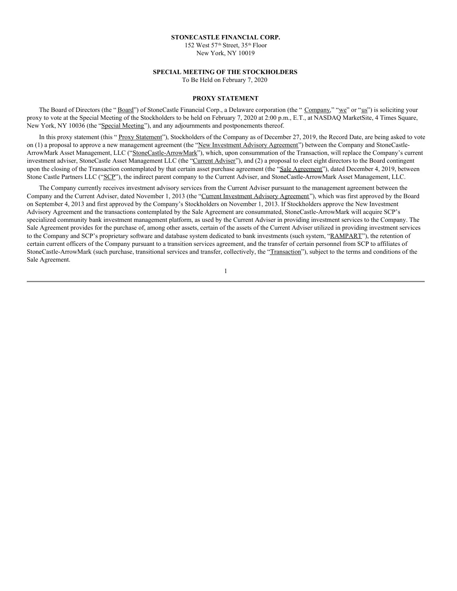#### **STONECASTLE FINANCIAL CORP.**

152 West 57<sup>th</sup> Street, 35<sup>th</sup> Floor New York, NY 10019

#### **SPECIAL MEETING OF THE STOCKHOLDERS**

To Be Held on February 7, 2020

#### **PROXY STATEMENT**

The Board of Directors (the "Board") of StoneCastle Financial Corp., a Delaware corporation (the "Company," "we" or "us") is soliciting your proxy to vote at the Special Meeting of the Stockholders to be held on February 7, 2020 at 2:00 p.m., E.T., at NASDAQ MarketSite, 4 Times Square, New York, NY 10036 (the "Special Meeting"), and any adjournments and postponements thereof.

In this proxy statement (this "Proxy Statement"), Stockholders of the Company as of December 27, 2019, the Record Date, are being asked to vote on (1) a proposal to approve a new management agreement (the "New Investment Advisory Agreement") between the Company and StoneCastle-ArrowMark Asset Management, LLC ("StoneCastle-ArrowMark"), which, upon consummation of the Transaction, will replace the Company's current investment adviser, StoneCastle Asset Management LLC (the "Current Adviser"), and (2) a proposal to elect eight directors to the Board contingent upon the closing of the Transaction contemplated by that certain asset purchase agreement (the "Sale Agreement"), dated December 4, 2019, between Stone Castle Partners LLC ("SCP"), the indirect parent company to the Current Adviser, and StoneCastle-ArrowMark Asset Management, LLC.

The Company currently receives investment advisory services from the Current Adviser pursuant to the management agreement between the Company and the Current Adviser, dated November 1, 2013 (the "Current Investment Advisory Agreement"), which was first approved by the Board on September 4, 2013 and first approved by the Company's Stockholders on November 1, 2013. If Stockholders approve the New Investment Advisory Agreement and the transactions contemplated by the Sale Agreement are consummated, StoneCastle-ArrowMark will acquire SCP's specialized community bank investment management platform, as used by the Current Adviser in providing investment services to the Company. The Sale Agreement provides for the purchase of, among other assets, certain of the assets of the Current Adviser utilized in providing investment services to the Company and SCP's proprietary software and database system dedicated to bank investments (such system, "RAMPART"), the retention of certain current officers of the Company pursuant to a transition services agreement, and the transfer of certain personnel from SCP to affiliates of StoneCastle-ArrowMark (such purchase, transitional services and transfer, collectively, the "Transaction"), subject to the terms and conditions of the Sale Agreement.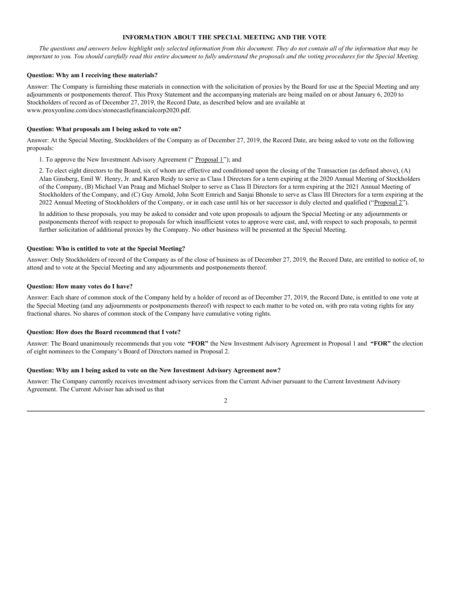#### **INFORMATION ABOUT THE SPECIAL MEETING AND THE VOTE**

The questions and answers below highlight only selected information from this document. They do not contain all of the information that may be important to you. You should carefully read this entire document to fully understand the proposals and the voting procedures for the Special Meeting.

#### **Question: Why am I receiving these materials?**

Answer: The Company is furnishing these materials in connection with the solicitation of proxies by the Board for use at the Special Meeting and any adjournments or postponements thereof. This Proxy Statement and the accompanying materials are being mailed on or about January 6, 2020 to Stockholders of record as of December 27, 2019, the Record Date, as described below and are available at www.proxyonline.com/docs/stonecastlefinancialcorp2020.pdf.

#### **Question: What proposals am I being asked to vote on?**

Answer: At the Special Meeting, Stockholders of the Company as of December 27, 2019, the Record Date, are being asked to vote on the following proposals:

1. To approve the New Investment Advisory Agreement (" Proposal 1"); and

2. To elect eight directors to the Board, six of whom are effective and conditioned upon the closing of the Transaction (as defined above), (A) Alan Ginsberg, Emil W. Henry, Jr. and Karen Reidy to serve as Class I Directors for a term expiring at the 2020 Annual Meeting of Stockholders of the Company, (B) Michael Van Praag and Michael Stolper to serve as Class II Directors for a term expiring at the 2021 Annual Meeting of Stockholders of the Company, and (C) Guy Arnold, John Scott Emrich and Sanjai Bhonsle to serve as Class III Directors for a term expiring at the 2022 Annual Meeting of Stockholders of the Company, or in each case until his or her successor is duly elected and qualified ("Proposal 2").

In addition to these proposals, you may be asked to consider and vote upon proposals to adjourn the Special Meeting or any adjournments or postponements thereof with respect to proposals for which insufficient votes to approve were cast, and, with respect to such proposals, to permit further solicitation of additional proxies by the Company. No other business will be presented at the Special Meeting.

#### **Question: Who is entitled to vote at the Special Meeting?**

Answer: Only Stockholders of record of the Company as of the close of business as of December 27, 2019, the Record Date, are entitled to notice of, to attend and to vote at the Special Meeting and any adjournments and postponements thereof.

#### **Question: How many votes do I have?**

Answer: Each share of common stock of the Company held by a holder of record as of December 27, 2019, the Record Date, is entitled to one vote at the Special Meeting (and any adjournments or postponements thereof) with respect to each matter to be voted on, with pro rata voting rights for any fractional shares. No shares of common stock of the Company have cumulative voting rights.

#### **Question: How does the Board recommend that I vote?**

Answer: The Board unanimously recommends that you vote **"FOR"** the New Investment Advisory Agreement in Proposal 1 and **"FOR"** the election of eight nominees to the Company's Board of Directors named in Proposal 2.

#### **Question: Why am I being asked to vote on the New Investment Advisory Agreement now?**

Answer: The Company currently receives investment advisory services from the Current Adviser pursuant to the Current Investment Advisory Agreement. The Current Adviser has advised us that

 $\mathcal{D}$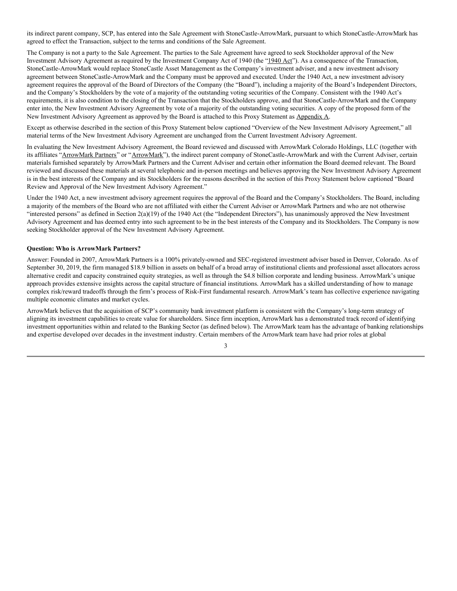its indirect parent company, SCP, has entered into the Sale Agreement with StoneCastle-ArrowMark, pursuant to which StoneCastle-ArrowMark has agreed to effect the Transaction, subject to the terms and conditions of the Sale Agreement.

The Company is not a party to the Sale Agreement. The parties to the Sale Agreement have agreed to seek Stockholder approval of the New Investment Advisory Agreement as required by the Investment Company Act of 1940 (the "1940 Act"). As a consequence of the Transaction, StoneCastle-ArrowMark would replace StoneCastle Asset Management as the Company's investment adviser, and a new investment advisory agreement between StoneCastle-ArrowMark and the Company must be approved and executed. Under the 1940 Act, a new investment advisory agreement requires the approval of the Board of Directors of the Company (the "Board"), including a majority of the Board's Independent Directors, and the Company's Stockholders by the vote of a majority of the outstanding voting securities of the Company. Consistent with the 1940 Act's requirements, it is also condition to the closing of the Transaction that the Stockholders approve, and that StoneCastle-ArrowMark and the Company enter into, the New Investment Advisory Agreement by vote of a majority of the outstanding voting securities. A copy of the proposed form of the New Investment Advisory Agreement as approved by the Board is attached to this Proxy Statement as Appendix A.

Except as otherwise described in the section of this Proxy Statement below captioned "Overview of the New Investment Advisory Agreement," all material terms of the New Investment Advisory Agreement are unchanged from the Current Investment Advisory Agreement.

In evaluating the New Investment Advisory Agreement, the Board reviewed and discussed with ArrowMark Colorado Holdings, LLC (together with its affiliates "ArrowMark Partners" or "ArrowMark"), the indirect parent company of StoneCastle-ArrowMark and with the Current Adviser, certain materials furnished separately by ArrowMark Partners and the Current Adviser and certain other information the Board deemed relevant. The Board reviewed and discussed these materials at several telephonic and in-person meetings and believes approving the New Investment Advisory Agreement is in the best interests of the Company and its Stockholders for the reasons described in the section of this Proxy Statement below captioned "Board Review and Approval of the New Investment Advisory Agreement."

Under the 1940 Act, a new investment advisory agreement requires the approval of the Board and the Company's Stockholders. The Board, including a majority of the members of the Board who are not affiliated with either the Current Adviser or ArrowMark Partners and who are not otherwise "interested persons" as defined in Section 2(a)(19) of the 1940 Act (the "Independent Directors"), has unanimously approved the New Investment Advisory Agreement and has deemed entry into such agreement to be in the best interests of the Company and its Stockholders. The Company is now seeking Stockholder approval of the New Investment Advisory Agreement.

#### **Question: Who is ArrowMark Partners?**

Answer: Founded in 2007, ArrowMark Partners is a 100% privately-owned and SEC-registered investment adviser based in Denver, Colorado. As of September 30, 2019, the firm managed \$18.9 billion in assets on behalf of a broad array of institutional clients and professional asset allocators across alternative credit and capacity constrained equity strategies, as well as through the \$4.8 billion corporate and lending business. ArrowMark's unique approach provides extensive insights across the capital structure of financial institutions. ArrowMark has a skilled understanding of how to manage complex risk/reward tradeoffs through the firm's process of Risk-First fundamental research. ArrowMark's team has collective experience navigating multiple economic climates and market cycles.

ArrowMark believes that the acquisition of SCP's community bank investment platform is consistent with the Company's long-term strategy of aligning its investment capabilities to create value for shareholders. Since firm inception, ArrowMark has a demonstrated track record of identifying investment opportunities within and related to the Banking Sector (as defined below). The ArrowMark team has the advantage of banking relationships and expertise developed over decades in the investment industry. Certain members of the ArrowMark team have had prior roles at global

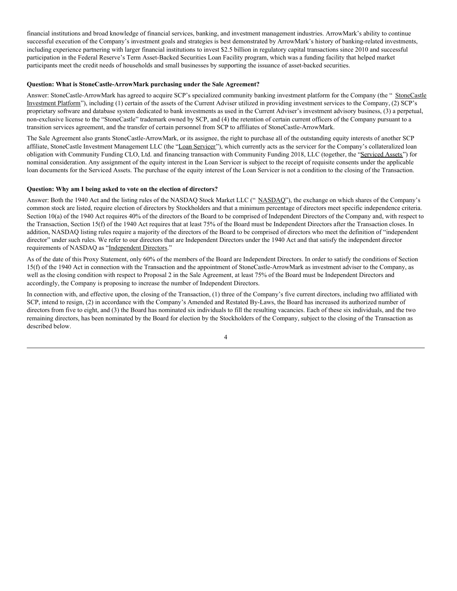financial institutions and broad knowledge of financial services, banking, and investment management industries. ArrowMark's ability to continue successful execution of the Company's investment goals and strategies is best demonstrated by ArrowMark's history of banking-related investments, including experience partnering with larger financial institutions to invest \$2.5 billion in regulatory capital transactions since 2010 and successful participation in the Federal Reserve's Term Asset-Backed Securities Loan Facility program, which was a funding facility that helped market participants meet the credit needs of households and small businesses by supporting the issuance of asset-backed securities.

#### **Question: What is StoneCastle-ArrowMark purchasing under the Sale Agreement?**

Answer: StoneCastle-ArrowMark has agreed to acquire SCP's specialized community banking investment platform for the Company (the " StoneCastle Investment Platform"), including (1) certain of the assets of the Current Adviser utilized in providing investment services to the Company, (2) SCP's proprietary software and database system dedicated to bank investments as used in the Current Adviser's investment advisory business, (3) a perpetual, non-exclusive license to the "StoneCastle" trademark owned by SCP, and (4) the retention of certain current officers of the Company pursuant to a transition services agreement, and the transfer of certain personnel from SCP to affiliates of StoneCastle-ArrowMark.

The Sale Agreement also grants StoneCastle-ArrowMark, or its assignee, the right to purchase all of the outstanding equity interests of another SCP affiliate, StoneCastle Investment Management LLC (the "Loan Servicer"), which currently acts as the servicer for the Company's collateralized loan obligation with Community Funding CLO, Ltd. and financing transaction with Community Funding 2018, LLC (together, the "Serviced Assets") for nominal consideration. Any assignment of the equity interest in the Loan Servicer is subject to the receipt of requisite consents under the applicable loan documents for the Serviced Assets. The purchase of the equity interest of the Loan Servicer is not a condition to the closing of the Transaction.

#### **Question: Why am I being asked to vote on the election of directors?**

Answer: Both the 1940 Act and the listing rules of the NASDAQ Stock Market LLC ("NASDAQ"), the exchange on which shares of the Company's common stock are listed, require election of directors by Stockholders and that a minimum percentage of directors meet specific independence criteria. Section 10(a) of the 1940 Act requires 40% of the directors of the Board to be comprised of Independent Directors of the Company and, with respect to the Transaction, Section 15(f) of the 1940 Act requires that at least 75% of the Board must be Independent Directors after the Transaction closes. In addition, NASDAQ listing rules require a majority of the directors of the Board to be comprised of directors who meet the definition of "independent director" under such rules. We refer to our directors that are Independent Directors under the 1940 Act and that satisfy the independent director requirements of NASDAQ as "Independent Directors."

As of the date of this Proxy Statement, only 60% of the members of the Board are Independent Directors. In order to satisfy the conditions of Section 15(f) of the 1940 Act in connection with the Transaction and the appointment of StoneCastle-ArrowMark as investment adviser to the Company, as well as the closing condition with respect to Proposal 2 in the Sale Agreement, at least 75% of the Board must be Independent Directors and accordingly, the Company is proposing to increase the number of Independent Directors.

In connection with, and effective upon, the closing of the Transaction, (1) three of the Company's five current directors, including two affiliated with SCP, intend to resign, (2) in accordance with the Company's Amended and Restated By-Laws, the Board has increased its authorized number of directors from five to eight, and (3) the Board has nominated six individuals to fill the resulting vacancies. Each of these six individuals, and the two remaining directors, has been nominated by the Board for election by the Stockholders of the Company, subject to the closing of the Transaction as described below.

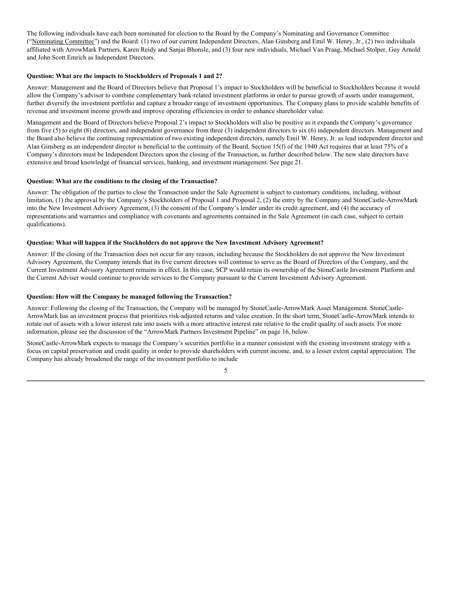The following individuals have each been nominated for election to the Board by the Company's Nominating and Governance Committee ("Nominating Committee") and the Board: (1) two of our current Independent Directors, Alan Ginsberg and Emil W. Henry, Jr., (2) two individuals affiliated with ArrowMark Partners, Karen Reidy and Sanjai Bhonsle, and (3) four new individuals, Michael Van Praag, Michael Stolper, Guy Arnold and John Scott Emrich as Independent Directors.

#### **Question: What are the impacts to Stockholders of Proposals 1 and 2?**

Answer: Management and the Board of Directors believe that Proposal 1's impact to Stockholders will be beneficial to Stockholders because it would allow the Company's advisor to combine complementary bank-related investment platforms in order to pursue growth of assets under management, further diversify the investment portfolio and capture a broader range of investment opportunities. The Company plans to provide scalable benefits of revenue and investment income growth and improve operating efficiencies in order to enhance shareholder value.

Management and the Board of Directors believe Proposal 2's impact to Stockholders will also be positive as it expands the Company's governance from five (5) to eight (8) directors, and independent governance from three (3) independent directors to six (6) independent directors. Management and the Board also believe the continuing representation of two existing independent directors, namely Emil W. Henry, Jr. as lead independent director and Alan Ginsberg as an independent director is beneficial to the continuity of the Board. Section 15(f) of the 1940 Act requires that at least 75% of a Company's directors must be Independent Directors upon the closing of the Transaction, as further described below. The new slate directors have extensive and broad knowledge of financial services, banking, and investment management. See page 21.

#### **Question: What are the conditions to the closing of the Transaction?**

Answer: The obligation of the parties to close the Transaction under the Sale Agreement is subject to customary conditions, including, without limitation, (1) the approval by the Company's Stockholders of Proposal 1 and Proposal 2, (2) the entry by the Company and StoneCastle-ArrowMark into the New Investment Advisory Agreement, (3) the consent of the Company's lender under its credit agreement, and (4) the accuracy of representations and warranties and compliance with covenants and agreements contained in the Sale Agreement (in each case, subject to certain qualifications).

#### **Question: What will happen if the Stockholders do not approve the New Investment Advisory Agreement?**

Answer: If the closing of the Transaction does not occur for any reason, including because the Stockholders do not approve the New Investment Advisory Agreement, the Company intends that its five current directors will continue to serve as the Board of Directors of the Company, and the Current Investment Advisory Agreement remains in effect. In this case, SCP would retain its ownership of the StoneCastle Investment Platform and the Current Adviser would continue to provide services to the Company pursuant to the Current Investment Advisory Agreement.

#### **Question: How will the Company be managed following the Transaction?**

Answer: Following the closing of the Transaction, the Company will be managed by StoneCastle-ArrowMark Asset Management. StoneCastle-ArrowMark has an investment process that prioritizes risk-adjusted returns and value creation. In the short term, StoneCastle-ArrowMark intends to rotate out of assets with a lower interest rate into assets with a more attractive interest rate relative to the credit quality of such assets. For more information, please see the discussion of the "ArrowMark Partners Investment Pipeline" on page 16, below.

StoneCastle-ArrowMark expects to manage the Company's securities portfolio in a manner consistent with the existing investment strategy with a focus on capital preservation and credit quality in order to provide shareholders with current income, and, to a lesser extent capital appreciation. The Company has already broadened the range of the investment portfolio to include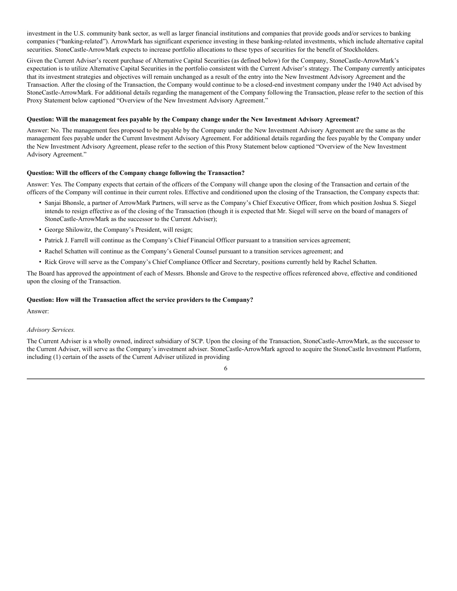investment in the U.S. community bank sector, as well as larger financial institutions and companies that provide goods and/or services to banking companies ("banking-related"). ArrowMark has significant experience investing in these banking-related investments, which include alternative capital securities. StoneCastle-ArrowMark expects to increase portfolio allocations to these types of securities for the benefit of Stockholders.

Given the Current Adviser's recent purchase of Alternative Capital Securities (as defined below) for the Company, StoneCastle-ArrowMark's expectation is to utilize Alternative Capital Securities in the portfolio consistent with the Current Adviser's strategy. The Company currently anticipates that its investment strategies and objectives will remain unchanged as a result of the entry into the New Investment Advisory Agreement and the Transaction. After the closing of the Transaction, the Company would continue to be a closed-end investment company under the 1940 Act advised by StoneCastle-ArrowMark. For additional details regarding the management of the Company following the Transaction, please refer to the section of this Proxy Statement below captioned "Overview of the New Investment Advisory Agreement."

#### **Question: Will the management fees payable by the Company change under the New Investment Advisory Agreement?**

Answer: No. The management fees proposed to be payable by the Company under the New Investment Advisory Agreement are the same as the management fees payable under the Current Investment Advisory Agreement. For additional details regarding the fees payable by the Company under the New Investment Advisory Agreement, please refer to the section of this Proxy Statement below captioned "Overview of the New Investment Advisory Agreement."

#### **Question: Will the officers of the Company change following the Transaction?**

Answer: Yes. The Company expects that certain of the officers of the Company will change upon the closing of the Transaction and certain of the officers of the Company will continue in their current roles. Effective and conditioned upon the closing of the Transaction, the Company expects that:

- Sanjai Bhonsle, a partner of ArrowMark Partners, will serve as the Company's Chief Executive Officer, from which position Joshua S. Siegel intends to resign effective as of the closing of the Transaction (though it is expected that Mr. Siegel will serve on the board of managers of StoneCastle-ArrowMark as the successor to the Current Adviser);
- George Shilowitz, the Company's President, will resign;
- Patrick J. Farrell will continue as the Company's Chief Financial Officer pursuant to a transition services agreement;
- Rachel Schatten will continue as the Company's General Counsel pursuant to a transition services agreement; and
- Rick Grove will serve as the Company's Chief Compliance Officer and Secretary, positions currently held by Rachel Schatten.

The Board has approved the appointment of each of Messrs. Bhonsle and Grove to the respective offices referenced above, effective and conditioned upon the closing of the Transaction.

#### **Question: How will the Transaction affect the service providers to the Company?**

Answer:

#### *Advisory Services.*

The Current Adviser is a wholly owned, indirect subsidiary of SCP. Upon the closing of the Transaction, StoneCastle-ArrowMark, as the successor to the Current Adviser, will serve as the Company's investment adviser. StoneCastle-ArrowMark agreed to acquire the StoneCastle Investment Platform, including (1) certain of the assets of the Current Adviser utilized in providing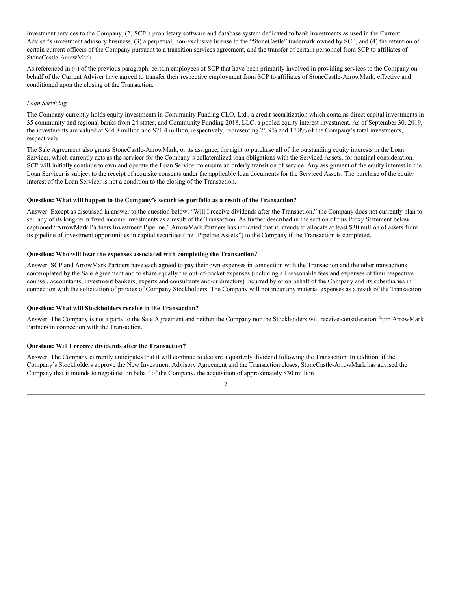investment services to the Company, (2) SCP's proprietary software and database system dedicated to bank investments as used in the Current Adviser's investment advisory business, (3) a perpetual, non-exclusive license to the "StoneCastle" trademark owned by SCP, and (4) the retention of certain current officers of the Company pursuant to a transition services agreement, and the transfer of certain personnel from SCP to affiliates of StoneCastle-ArrowMark.

As referenced in (4) of the previous paragraph, certain employees of SCP that have been primarily involved in providing services to the Company on behalf of the Current Adviser have agreed to transfer their respective employment from SCP to affiliates of StoneCastle-ArrowMark, effective and conditioned upon the closing of the Transaction.

#### *Loan Servicing.*

The Company currently holds equity investments in Community Funding CLO, Ltd., a credit securitization which contains direct capital investments in 35 community and regional banks from 24 states, and Community Funding 2018, LLC, a pooled equity interest investment. As of September 30, 2019, the investments are valued at \$44.8 million and \$21.4 million, respectively, representing 26.9% and 12.8% of the Company's total investments, respectively.

The Sale Agreement also grants StoneCastle-ArrowMark, or its assignee, the right to purchase all of the outstanding equity interests in the Loan Servicer, which currently acts as the servicer for the Company's collateralized loan obligations with the Serviced Assets, for nominal consideration. SCP will initially continue to own and operate the Loan Servicer to ensure an orderly transition of service. Any assignment of the equity interest in the Loan Servicer is subject to the receipt of requisite consents under the applicable loan documents for the Serviced Assets. The purchase of the equity interest of the Loan Servicer is not a condition to the closing of the Transaction.

#### **Question: What will happen to the Company's securities portfolio as a result of the Transaction?**

Answer: Except as discussed in answer to the question below, "Will I receive dividends after the Transaction," the Company does not currently plan to sell any of its long-term fixed income investments as a result of the Transaction. As further described in the section of this Proxy Statement below captioned "ArrowMark Partners Investment Pipeline," ArrowMark Partners has indicated that it intends to allocate at least \$30 million of assets from its pipeline of investment opportunities in capital securities (the "Pipeline Assets") to the Company if the Transaction is completed.

#### **Question: Who will bear the expenses associated with completing the Transaction?**

Answer: SCP and ArrowMark Partners have each agreed to pay their own expenses in connection with the Transaction and the other transactions contemplated by the Sale Agreement and to share equally the out-of-pocket expenses (including all reasonable fees and expenses of their respective counsel, accountants, investment bankers, experts and consultants and/or directors) incurred by or on behalf of the Company and its subsidiaries in connection with the solicitation of proxies of Company Stockholders. The Company will not incur any material expenses as a result of the Transaction.

#### **Question: What will Stockholders receive in the Transaction?**

Answer: The Company is not a party to the Sale Agreement and neither the Company nor the Stockholders will receive consideration from ArrowMark Partners in connection with the Transaction.

#### **Question: Will I receive dividends after the Transaction?**

Answer: The Company currently anticipates that it will continue to declare a quarterly dividend following the Transaction. In addition, if the Company's Stockholders approve the New Investment Advisory Agreement and the Transaction closes, StoneCastle-ArrowMark has advised the Company that it intends to negotiate, on behalf of the Company, the acquisition of approximately \$30 million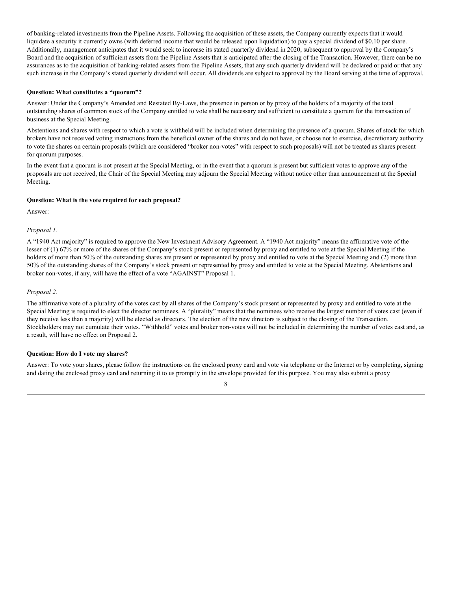of banking-related investments from the Pipeline Assets. Following the acquisition of these assets, the Company currently expects that it would liquidate a security it currently owns (with deferred income that would be released upon liquidation) to pay a special dividend of \$0.10 per share. Additionally, management anticipates that it would seek to increase its stated quarterly dividend in 2020, subsequent to approval by the Company's Board and the acquisition of sufficient assets from the Pipeline Assets that is anticipated after the closing of the Transaction. However, there can be no assurances as to the acquisition of banking-related assets from the Pipeline Assets, that any such quarterly dividend will be declared or paid or that any such increase in the Company's stated quarterly dividend will occur. All dividends are subject to approval by the Board serving at the time of approval.

#### **Question: What constitutes a "quorum"?**

Answer: Under the Company's Amended and Restated By-Laws, the presence in person or by proxy of the holders of a majority of the total outstanding shares of common stock of the Company entitled to vote shall be necessary and sufficient to constitute a quorum for the transaction of business at the Special Meeting.

Abstentions and shares with respect to which a vote is withheld will be included when determining the presence of a quorum. Shares of stock for which brokers have not received voting instructions from the beneficial owner of the shares and do not have, or choose not to exercise, discretionary authority to vote the shares on certain proposals (which are considered "broker non-votes" with respect to such proposals) will not be treated as shares present for quorum purposes.

In the event that a quorum is not present at the Special Meeting, or in the event that a quorum is present but sufficient votes to approve any of the proposals are not received, the Chair of the Special Meeting may adjourn the Special Meeting without notice other than announcement at the Special Meeting.

#### **Question: What is the vote required for each proposal?**

Answer:

#### *Proposal 1.*

A "1940 Act majority" is required to approve the New Investment Advisory Agreement. A "1940 Act majority" means the affirmative vote of the lesser of (1) 67% or more of the shares of the Company's stock present or represented by proxy and entitled to vote at the Special Meeting if the holders of more than 50% of the outstanding shares are present or represented by proxy and entitled to vote at the Special Meeting and (2) more than 50% of the outstanding shares of the Company's stock present or represented by proxy and entitled to vote at the Special Meeting. Abstentions and broker non-votes, if any, will have the effect of a vote "AGAINST" Proposal 1.

#### *Proposal 2.*

The affirmative vote of a plurality of the votes cast by all shares of the Company's stock present or represented by proxy and entitled to vote at the Special Meeting is required to elect the director nominees. A "plurality" means that the nominees who receive the largest number of votes cast (even if they receive less than a majority) will be elected as directors. The election of the new directors is subject to the closing of the Transaction. Stockholders may not cumulate their votes. "Withhold" votes and broker non-votes will not be included in determining the number of votes cast and, as a result, will have no effect on Proposal 2.

#### **Question: How do I vote my shares?**

Answer: To vote your shares, please follow the instructions on the enclosed proxy card and vote via telephone or the Internet or by completing, signing and dating the enclosed proxy card and returning it to us promptly in the envelope provided for this purpose. You may also submit a proxy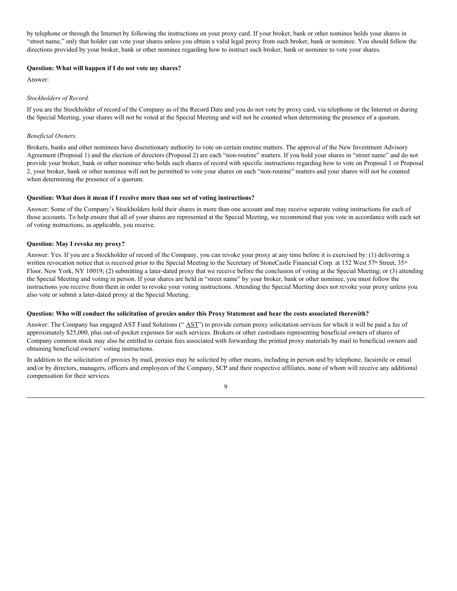by telephone or through the Internet by following the instructions on your proxy card. If your broker, bank or other nominee holds your shares in "street name," only that holder can vote your shares unless you obtain a valid legal proxy from such broker, bank or nominee. You should follow the directions provided by your broker, bank or other nominee regarding how to instruct such broker, bank or nominee to vote your shares.

#### **Question: What will happen if I do not vote my shares?**

Answer:

#### *Stockholders of Record.*

If you are the Stockholder of record of the Company as of the Record Date and you do not vote by proxy card, via telephone or the Internet or during the Special Meeting, your shares will not be voted at the Special Meeting and will not be counted when determining the presence of a quorum.

#### *Beneficial Owners.*

Brokers, banks and other nominees have discretionary authority to vote on certain routine matters. The approval of the New Investment Advisory Agreement (Proposal 1) and the election of directors (Proposal 2) are each "non-routine" matters. If you hold your shares in "street name" and do not provide your broker, bank or other nominee who holds such shares of record with specific instructions regarding how to vote on Proposal 1 or Proposal 2, your broker, bank or other nominee will not be permitted to vote your shares on such "non-routine" matters and your shares will not be counted when determining the presence of a quorum.

#### **Question: What does it mean if I receive more than one set of voting instructions?**

Answer: Some of the Company's Stockholders hold their shares in more than one account and may receive separate voting instructions for each of those accounts. To help ensure that all of your shares are represented at the Special Meeting, we recommend that you vote in accordance with each set of voting instructions, as applicable, you receive.

#### **Question: May I revoke my proxy?**

Answer: Yes. If you are a Stockholder of record of the Company, you can revoke your proxy at any time before it is exercised by: (1) delivering a written revocation notice that is received prior to the Special Meeting to the Secretary of StoneCastle Financial Corp. at 152 West 57<sup>th</sup> Street, 35<sup>th</sup> Floor, New York, NY 10019; (2) submitting a later-dated proxy that we receive before the conclusion of voting at the Special Meeting; or (3) attending the Special Meeting and voting in person. If your shares are held in "street name" by your broker, bank or other nominee, you must follow the instructions you receive from them in order to revoke your voting instructions. Attending the Special Meeting does not revoke your proxy unless you also vote or submit a later-dated proxy at the Special Meeting.

#### Question: Who will conduct the solicitation of proxies under this Proxy Statement and bear the costs associated therewith?

Answer: The Company has engaged AST Fund Solutions ("AST") to provide certain proxy solicitation services for which it will be paid a fee of approximately \$25,000, plus out-of-pocket expenses for such services. Brokers or other custodians representing beneficial owners of shares of Company common stock may also be entitled to certain fees associated with forwarding the printed proxy materials by mail to beneficial owners and obtaining beneficial owners' voting instructions.

In addition to the solicitation of proxies by mail, proxies may be solicited by other means, including in person and by telephone, facsimile or email and/or by directors, managers, officers and employees of the Company, SCP and their respective affiliates, none of whom will receive any additional compensation for their services.

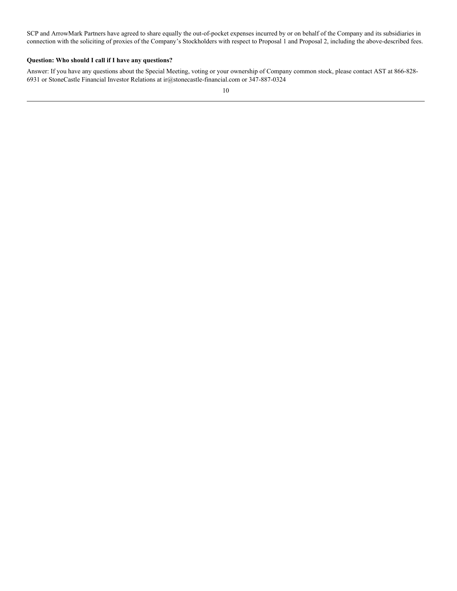SCP and ArrowMark Partners have agreed to share equally the out-of-pocket expenses incurred by or on behalf of the Company and its subsidiaries in connection with the soliciting of proxies of the Company's Stockholders with respect to Proposal 1 and Proposal 2, including the above-described fees.

#### **Question: Who should I call if I have any questions?**

Answer: If you have any questions about the Special Meeting, voting or your ownership of Company common stock, please contact AST at 866-828- 6931 or StoneCastle Financial Investor Relations at ir@stonecastle-financial.com or 347-887-0324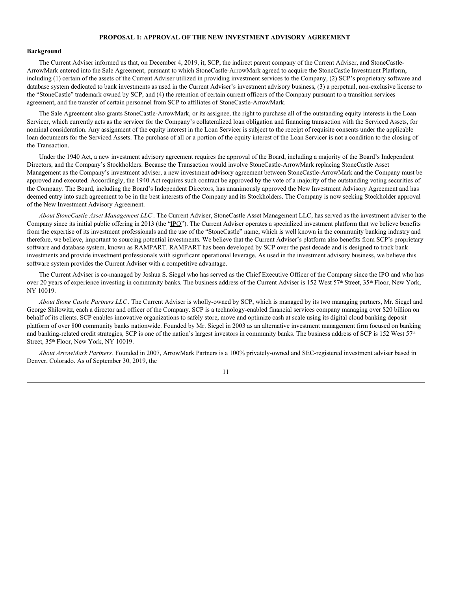#### **PROPOSAL 1: APPROVAL OF THE NEW INVESTMENT ADVISORY AGREEMENT**

#### **Background**

The Current Adviser informed us that, on December 4, 2019, it, SCP, the indirect parent company of the Current Adviser, and StoneCastle-ArrowMark entered into the Sale Agreement, pursuant to which StoneCastle-ArrowMark agreed to acquire the StoneCastle Investment Platform, including (1) certain of the assets of the Current Adviser utilized in providing investment services to the Company, (2) SCP's proprietary software and database system dedicated to bank investments as used in the Current Adviser's investment advisory business, (3) a perpetual, non-exclusive license to the "StoneCastle" trademark owned by SCP, and (4) the retention of certain current officers of the Company pursuant to a transition services agreement, and the transfer of certain personnel from SCP to affiliates of StoneCastle-ArrowMark.

The Sale Agreement also grants StoneCastle-ArrowMark, or its assignee, the right to purchase all of the outstanding equity interests in the Loan Servicer, which currently acts as the servicer for the Company's collateralized loan obligation and financing transaction with the Serviced Assets, for nominal consideration. Any assignment of the equity interest in the Loan Servicer is subject to the receipt of requisite consents under the applicable loan documents for the Serviced Assets. The purchase of all or a portion of the equity interest of the Loan Servicer is not a condition to the closing of the Transaction.

Under the 1940 Act, a new investment advisory agreement requires the approval of the Board, including a majority of the Board's Independent Directors, and the Company's Stockholders. Because the Transaction would involve StoneCastle-ArrowMark replacing StoneCastle Asset Management as the Company's investment adviser, a new investment advisory agreement between StoneCastle-ArrowMark and the Company must be approved and executed. Accordingly, the 1940 Act requires such contract be approved by the vote of a majority of the outstanding voting securities of the Company. The Board, including the Board's Independent Directors, has unanimously approved the New Investment Advisory Agreement and has deemed entry into such agreement to be in the best interests of the Company and its Stockholders. The Company is now seeking Stockholder approval of the New Investment Advisory Agreement.

*About StoneCastle Asset Management LLC* . The Current Adviser, StoneCastle Asset Management LLC, has served as the investment adviser to the Company since its initial public offering in 2013 (the "IPO"). The Current Adviser operates a specialized investment platform that we believe benefits from the expertise of its investment professionals and the use of the "StoneCastle" name, which is well known in the community banking industry and therefore, we believe, important to sourcing potential investments. We believe that the Current Adviser's platform also benefits from SCP's proprietary software and database system, known as RAMPART. RAMPART has been developed by SCP over the past decade and is designed to track bank investments and provide investment professionals with significant operational leverage. As used in the investment advisory business, we believe this software system provides the Current Adviser with a competitive advantage.

The Current Adviser is co-managed by Joshua S. Siegel who has served as the Chief Executive Officer of the Company since the IPO and who has over 20 years of experience investing in community banks. The business address of the Current Adviser is 152 West 57<sup>th</sup> Street, 35<sup>th</sup> Floor, New York, NY 10019.

*About Stone Castle Partners LLC*. The Current Adviser is wholly-owned by SCP, which is managed by its two managing partners, Mr. Siegel and George Shilowitz, each a director and officer of the Company. SCP is a technology-enabled financial services company managing over \$20 billion on behalf of its clients. SCP enables innovative organizations to safely store, move and optimize cash at scale using its digital cloud banking deposit platform of over 800 community banks nationwide. Founded by Mr. Siegel in 2003 as an alternative investment management firm focused on banking and banking-related credit strategies, SCP is one of the nation's largest investors in community banks. The business address of SCP is 152 West  $57<sup>th</sup>$ Street, 35<sup>th</sup> Floor, New York, NY 10019.

*About ArrowMark Partners*. Founded in 2007, ArrowMark Partners is a 100% privately-owned and SEC-registered investment adviser based in Denver, Colorado. As of September 30, 2019, the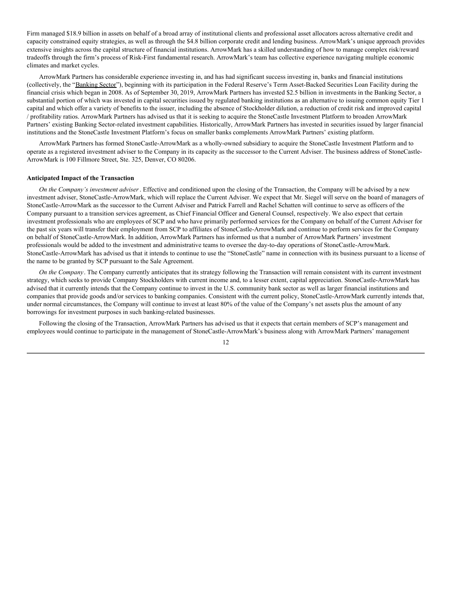Firm managed \$18.9 billion in assets on behalf of a broad array of institutional clients and professional asset allocators across alternative credit and capacity constrained equity strategies, as well as through the \$4.8 billion corporate credit and lending business. ArrowMark's unique approach provides extensive insights across the capital structure of financial institutions. ArrowMark has a skilled understanding of how to manage complex risk/reward tradeoffs through the firm's process of Risk-First fundamental research. ArrowMark's team has collective experience navigating multiple economic climates and market cycles.

ArrowMark Partners has considerable experience investing in, and has had significant success investing in, banks and financial institutions (collectively, the "Banking Sector"), beginning with its participation in the Federal Reserve's Term Asset-Backed Securities Loan Facility during the financial crisis which began in 2008. As of September 30, 2019, ArrowMark Partners has invested \$2.5 billion in investments in the Banking Sector, a substantial portion of which was invested in capital securities issued by regulated banking institutions as an alternative to issuing common equity Tier 1 capital and which offer a variety of benefits to the issuer, including the absence of Stockholder dilution, a reduction of credit risk and improved capital / profitability ratios. ArrowMark Partners has advised us that it is seeking to acquire the StoneCastle Investment Platform to broaden ArrowMark Partners' existing Banking Sector-related investment capabilities. Historically, ArrowMark Partners has invested in securities issued by larger financial institutions and the StoneCastle Investment Platform's focus on smaller banks complements ArrowMark Partners' existing platform.

ArrowMark Partners has formed StoneCastle-ArrowMark as a wholly-owned subsidiary to acquire the StoneCastle Investment Platform and to operate as a registered investment adviser to the Company in its capacity as the successor to the Current Adviser. The business address of StoneCastle-ArrowMark is 100 Fillmore Street, Ste. 325, Denver, CO 80206.

#### **Anticipated Impact of the Transaction**

*On the Company's investment adviser*. Effective and conditioned upon the closing of the Transaction, the Company will be advised by a new investment adviser, StoneCastle-ArrowMark, which will replace the Current Adviser. We expect that Mr. Siegel will serve on the board of managers of StoneCastle-ArrowMark as the successor to the Current Adviser and Patrick Farrell and Rachel Schatten will continue to serve as officers of the Company pursuant to a transition services agreement, as Chief Financial Officer and General Counsel, respectively. We also expect that certain investment professionals who are employees of SCP and who have primarily performed services for the Company on behalf of the Current Adviser for the past six years will transfer their employment from SCP to affiliates of StoneCastle-ArrowMark and continue to perform services for the Company on behalf of StoneCastle-ArrowMark. In addition, ArrowMark Partners has informed us that a number of ArrowMark Partners' investment professionals would be added to the investment and administrative teams to oversee the day-to-day operations of StoneCastle-ArrowMark. StoneCastle-ArrowMark has advised us that it intends to continue to use the "StoneCastle" name in connection with its business pursuant to a license of the name to be granted by SCP pursuant to the Sale Agreement.

*On the Company*. The Company currently anticipates that its strategy following the Transaction will remain consistent with its current investment strategy, which seeks to provide Company Stockholders with current income and, to a lesser extent, capital appreciation. StoneCastle-ArrowMark has advised that it currently intends that the Company continue to invest in the U.S. community bank sector as well as larger financial institutions and companies that provide goods and/or services to banking companies. Consistent with the current policy, StoneCastle-ArrowMark currently intends that, under normal circumstances, the Company will continue to invest at least 80% of the value of the Company's net assets plus the amount of any borrowings for investment purposes in such banking-related businesses.

Following the closing of the Transaction, ArrowMark Partners has advised us that it expects that certain members of SCP's management and employees would continue to participate in the management of StoneCastle-ArrowMark's business along with ArrowMark Partners' management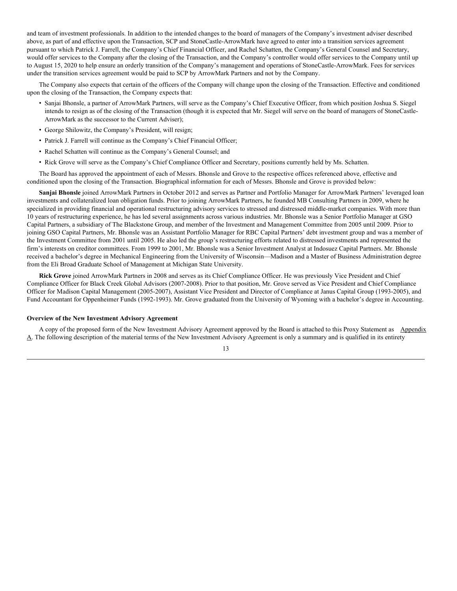and team of investment professionals. In addition to the intended changes to the board of managers of the Company's investment adviser described above, as part of and effective upon the Transaction, SCP and StoneCastle-ArrowMark have agreed to enter into a transition services agreement pursuant to which Patrick J. Farrell, the Company's Chief Financial Officer, and Rachel Schatten, the Company's General Counsel and Secretary, would offer services to the Company after the closing of the Transaction, and the Company's controller would offer services to the Company until up to August 15, 2020 to help ensure an orderly transition of the Company's management and operations of StoneCastle-ArrowMark. Fees for services under the transition services agreement would be paid to SCP by ArrowMark Partners and not by the Company.

The Company also expects that certain of the officers of the Company will change upon the closing of the Transaction. Effective and conditioned upon the closing of the Transaction, the Company expects that:

- Sanjai Bhonsle, a partner of ArrowMark Partners, will serve as the Company's Chief Executive Officer, from which position Joshua S. Siegel intends to resign as of the closing of the Transaction (though it is expected that Mr. Siegel will serve on the board of managers of StoneCastle-ArrowMark as the successor to the Current Adviser);
- George Shilowitz, the Company's President, will resign;
- Patrick J. Farrell will continue as the Company's Chief Financial Officer;
- Rachel Schatten will continue as the Company's General Counsel; and
- Rick Grove will serve as the Company's Chief Compliance Officer and Secretary, positions currently held by Ms. Schatten.

The Board has approved the appointment of each of Messrs. Bhonsle and Grove to the respective offices referenced above, effective and conditioned upon the closing of the Transaction. Biographical information for each of Messrs. Bhonsle and Grove is provided below:

**Sanjai Bhonsle** joined ArrowMark Partners in October 2012 and serves as Partner and Portfolio Manager for ArrowMark Partners' leveraged loan investments and collateralized loan obligation funds. Prior to joining ArrowMark Partners, he founded MB Consulting Partners in 2009, where he specialized in providing financial and operational restructuring advisory services to stressed and distressed middle-market companies. With more than 10 years of restructuring experience, he has led several assignments across various industries. Mr. Bhonsle was a Senior Portfolio Manager at GSO Capital Partners, a subsidiary of The Blackstone Group, and member of the Investment and Management Committee from 2005 until 2009. Prior to joining GSO Capital Partners, Mr. Bhonsle was an Assistant Portfolio Manager for RBC Capital Partners' debt investment group and was a member of the Investment Committee from 2001 until 2005. He also led the group's restructuring efforts related to distressed investments and represented the firm's interests on creditor committees. From 1999 to 2001, Mr. Bhonsle was a Senior Investment Analyst at Indosuez Capital Partners. Mr. Bhonsle received a bachelor's degree in Mechanical Engineering from the University of Wisconsin—Madison and a Master of Business Administration degree from the Eli Broad Graduate School of Management at Michigan State University.

**Rick Grove** joined ArrowMark Partners in 2008 and serves as its Chief Compliance Officer. He was previously Vice President and Chief Compliance Officer for Black Creek Global Advisors (2007-2008). Prior to that position, Mr. Grove served as Vice President and Chief Compliance Officer for Madison Capital Management (2005-2007), Assistant Vice President and Director of Compliance at Janus Capital Group (1993-2005), and Fund Accountant for Oppenheimer Funds (1992-1993). Mr. Grove graduated from the University of Wyoming with a bachelor's degree in Accounting.

#### **Overview of the New Investment Advisory Agreement**

A copy of the proposed form of the New Investment Advisory Agreement approved by the Board is attached to this Proxy Statement as Appendix A. The following description of the material terms of the New Investment Advisory Agreement is only a summary and is qualified in its entirety

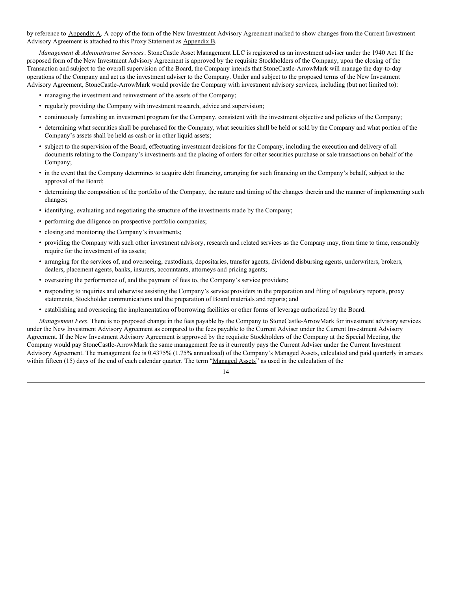by reference to Appendix A. A copy of the form of the New Investment Advisory Agreement marked to show changes from the Current Investment Advisory Agreement is attached to this Proxy Statement as Appendix B.

*Management & Administrative Services*. StoneCastle Asset Management LLC is registered as an investment adviser under the 1940 Act. If the proposed form of the New Investment Advisory Agreement is approved by the requisite Stockholders of the Company, upon the closing of the Transaction and subject to the overall supervision of the Board, the Company intends that StoneCastle-ArrowMark will manage the day-to-day operations of the Company and act as the investment adviser to the Company. Under and subject to the proposed terms of the New Investment Advisory Agreement, StoneCastle-ArrowMark would provide the Company with investment advisory services, including (but not limited to):

- managing the investment and reinvestment of the assets of the Company;
- regularly providing the Company with investment research, advice and supervision;
- continuously furnishing an investment program for the Company, consistent with the investment objective and policies of the Company;
- determining what securities shall be purchased for the Company, what securities shall be held or sold by the Company and what portion of the Company's assets shall be held as cash or in other liquid assets;
- subject to the supervision of the Board, effectuating investment decisions for the Company, including the execution and delivery of all documents relating to the Company's investments and the placing of orders for other securities purchase or sale transactions on behalf of the Company;
- in the event that the Company determines to acquire debt financing, arranging for such financing on the Company's behalf, subject to the approval of the Board;
- determining the composition of the portfolio of the Company, the nature and timing of the changes therein and the manner of implementing such changes;
- identifying, evaluating and negotiating the structure of the investments made by the Company;
- performing due diligence on prospective portfolio companies;
- closing and monitoring the Company's investments;
- providing the Company with such other investment advisory, research and related services as the Company may, from time to time, reasonably require for the investment of its assets;
- arranging for the services of, and overseeing, custodians, depositaries, transfer agents, dividend disbursing agents, underwriters, brokers, dealers, placement agents, banks, insurers, accountants, attorneys and pricing agents;
- overseeing the performance of, and the payment of fees to, the Company's service providers;
- responding to inquiries and otherwise assisting the Company's service providers in the preparation and filing of regulatory reports, proxy statements, Stockholder communications and the preparation of Board materials and reports; and
- establishing and overseeing the implementation of borrowing facilities or other forms of leverage authorized by the Board.

*Management Fees*. There is no proposed change in the fees payable by the Company to StoneCastle-ArrowMark for investment advisory services under the New Investment Advisory Agreement as compared to the fees payable to the Current Adviser under the Current Investment Advisory Agreement. If the New Investment Advisory Agreement is approved by the requisite Stockholders of the Company at the Special Meeting, the Company would pay StoneCastle-ArrowMark the same management fee as it currently pays the Current Adviser under the Current Investment Advisory Agreement. The management fee is 0.4375% (1.75% annualized) of the Company's Managed Assets, calculated and paid quarterly in arrears within fifteen (15) days of the end of each calendar quarter. The term "Managed Assets" as used in the calculation of the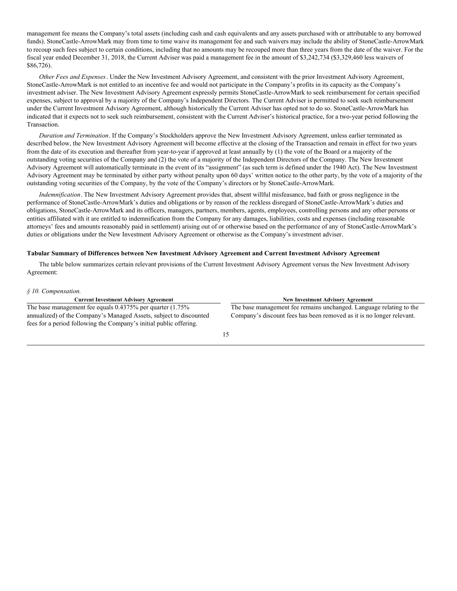management fee means the Company's total assets (including cash and cash equivalents and any assets purchased with or attributable to any borrowed funds). StoneCastle-ArrowMark may from time to time waive its management fee and such waivers may include the ability of StoneCastle-ArrowMark to recoup such fees subject to certain conditions, including that no amounts may be recouped more than three years from the date of the waiver. For the fiscal year ended December 31, 2018, the Current Adviser was paid a management fee in the amount of \$3,242,734 (\$3,329,460 less waivers of \$86,726).

*Other Fees and Expenses*. Under the New Investment Advisory Agreement, and consistent with the prior Investment Advisory Agreement, StoneCastle-ArrowMark is not entitled to an incentive fee and would not participate in the Company's profits in its capacity as the Company's investment adviser. The New Investment Advisory Agreement expressly permits StoneCastle-ArrowMark to seek reimbursement for certain specified expenses, subject to approval by a majority of the Company's Independent Directors. The Current Adviser is permitted to seek such reimbursement under the Current Investment Advisory Agreement, although historically the Current Adviser has opted not to do so. StoneCastle-ArrowMark has indicated that it expects not to seek such reimbursement, consistent with the Current Adviser's historical practice, for a two-year period following the Transaction.

*Duration and Termination*. If the Company's Stockholders approve the New Investment Advisory Agreement, unless earlier terminated as described below, the New Investment Advisory Agreement will become effective at the closing of the Transaction and remain in effect for two years from the date of its execution and thereafter from year-to-year if approved at least annually by (1) the vote of the Board or a majority of the outstanding voting securities of the Company and (2) the vote of a majority of the Independent Directors of the Company. The New Investment Advisory Agreement will automatically terminate in the event of its "assignment" (as such term is defined under the 1940 Act). The New Investment Advisory Agreement may be terminated by either party without penalty upon 60 days' written notice to the other party, by the vote of a majority of the outstanding voting securities of the Company, by the vote of the Company's directors or by StoneCastle-ArrowMark.

*Indemnification*. The New Investment Advisory Agreement provides that, absent willful misfeasance, bad faith or gross negligence in the performance of StoneCastle-ArrowMark's duties and obligations or by reason of the reckless disregard of StoneCastle-ArrowMark's duties and obligations, StoneCastle-ArrowMark and its officers, managers, partners, members, agents, employees, controlling persons and any other persons or entities affiliated with it are entitled to indemnification from the Company for any damages, liabilities, costs and expenses (including reasonable attorneys' fees and amounts reasonably paid in settlement) arising out of or otherwise based on the performance of any of StoneCastle-ArrowMark's duties or obligations under the New Investment Advisory Agreement or otherwise as the Company's investment adviser.

#### **Tabular Summary of Differences between New Investment Advisory Agreement and Current Investment Advisory Agreement**

The table below summarizes certain relevant provisions of the Current Investment Advisory Agreement versus the New Investment Advisory Agreement:

#### *§ 10. Compensation.*

| <b>Current Investment Advisory Agreement</b>                                                                                             | <b>New Investment Advisory Agreement</b>                              |
|------------------------------------------------------------------------------------------------------------------------------------------|-----------------------------------------------------------------------|
| The base management fee equals $0.4375\%$ per quarter $(1.75\%$                                                                          | The base management fee remains unchanged. Language relating to the   |
| annualized) of the Company's Managed Assets, subject to discounted<br>fees for a period following the Company's initial public offering. | Company's discount fees has been removed as it is no longer relevant. |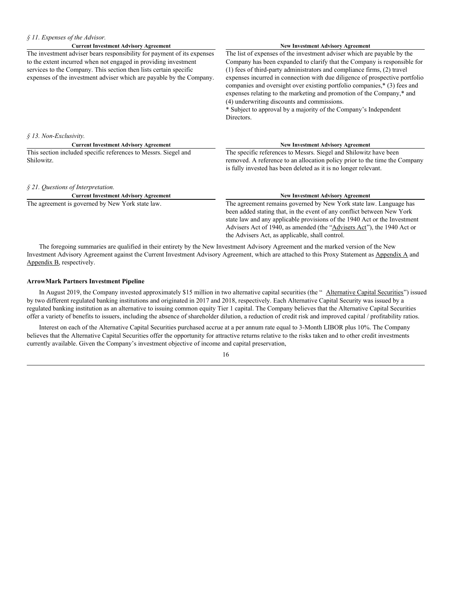| $§$ 11. Expenses of the Advisor.                                                                                                          |                                                                                                                                                                                                                                                                                                                                                            |
|-------------------------------------------------------------------------------------------------------------------------------------------|------------------------------------------------------------------------------------------------------------------------------------------------------------------------------------------------------------------------------------------------------------------------------------------------------------------------------------------------------------|
| <b>Current Investment Advisory Agreement</b>                                                                                              | <b>New Investment Advisory Agreement</b>                                                                                                                                                                                                                                                                                                                   |
| The investment adviser bears responsibility for payment of its expenses                                                                   | The list of expenses of the investment adviser which are payable by the                                                                                                                                                                                                                                                                                    |
| to the extent incurred when not engaged in providing investment                                                                           | Company has been expanded to clarify that the Company is responsible for                                                                                                                                                                                                                                                                                   |
| services to the Company. This section then lists certain specific<br>expenses of the investment adviser which are payable by the Company. | (1) fees of third-party administrators and compliance firms, (2) travel<br>expenses incurred in connection with due diligence of prospective portfolio<br>companies and oversight over existing portfolio companies,* (3) fees and<br>expenses relating to the marketing and promotion of the Company,* and<br>(4) underwriting discounts and commissions. |
|                                                                                                                                           | * Subject to approval by a majority of the Company's Independent<br>Directors.                                                                                                                                                                                                                                                                             |
| § 13. Non-Exclusivity.                                                                                                                    |                                                                                                                                                                                                                                                                                                                                                            |
| <b>Current Investment Advisory Agreement</b>                                                                                              | <b>New Investment Advisory Agreement</b>                                                                                                                                                                                                                                                                                                                   |
| This section included specific references to Messrs. Siegel and<br>Shilowitz.                                                             | The specific references to Messrs. Siegel and Shilowitz have been<br>removed. A reference to an allocation policy prior to the time the Company                                                                                                                                                                                                            |
|                                                                                                                                           | is fully invested has been deleted as it is no longer relevant.                                                                                                                                                                                                                                                                                            |
| $§$ 21. Questions of Interpretation.                                                                                                      |                                                                                                                                                                                                                                                                                                                                                            |
| <b>Current Investment Advisory Agreement</b>                                                                                              | <b>New Investment Advisory Agreement</b>                                                                                                                                                                                                                                                                                                                   |
| The agreement is governed by New York state law.                                                                                          | The agreement remains governed by New York state law. Language has                                                                                                                                                                                                                                                                                         |
|                                                                                                                                           | been added stating that, in the event of any conflict between New York                                                                                                                                                                                                                                                                                     |
|                                                                                                                                           | state law and any applicable provisions of the 1940 Act or the Investment                                                                                                                                                                                                                                                                                  |
|                                                                                                                                           | Advisers Act of 1940, as amended (the "Advisers Act"), the 1940 Act or                                                                                                                                                                                                                                                                                     |
|                                                                                                                                           | the Advisers Act, as applicable, shall control.                                                                                                                                                                                                                                                                                                            |

The foregoing summaries are qualified in their entirety by the New Investment Advisory Agreement and the marked version of the New Investment Advisory Agreement against the Current Investment Advisory Agreement, which are attached to this Proxy Statement as Appendix A and Appendix B, respectively.

#### **ArrowMark Partners Investment Pipeline**

In August 2019, the Company invested approximately \$15 million in two alternative capital securities (the "Alternative Capital Securities") issued by two different regulated banking institutions and originated in 2017 and 2018, respectively. Each Alternative Capital Security was issued by a regulated banking institution as an alternative to issuing common equity Tier 1 capital. The Company believes that the Alternative Capital Securities offer a variety of benefits to issuers, including the absence of shareholder dilution, a reduction of credit risk and improved capital / profitability ratios.

Interest on each of the Alternative Capital Securities purchased accrue at a per annum rate equal to 3-Month LIBOR plus 10%. The Company believes that the Alternative Capital Securities offer the opportunity for attractive returns relative to the risks taken and to other credit investments currently available. Given the Company's investment objective of income and capital preservation,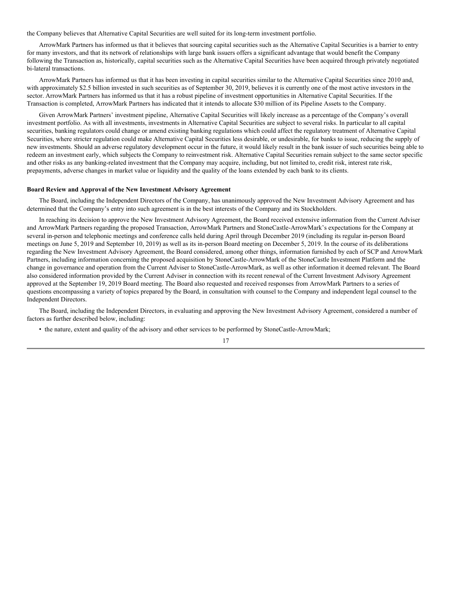the Company believes that Alternative Capital Securities are well suited for its long-term investment portfolio.

ArrowMark Partners has informed us that it believes that sourcing capital securities such as the Alternative Capital Securities is a barrier to entry for many investors, and that its network of relationships with large bank issuers offers a significant advantage that would benefit the Company following the Transaction as, historically, capital securities such as the Alternative Capital Securities have been acquired through privately negotiated bi-lateral transactions.

ArrowMark Partners has informed us that it has been investing in capital securities similar to the Alternative Capital Securities since 2010 and, with approximately \$2.5 billion invested in such securities as of September 30, 2019, believes it is currently one of the most active investors in the sector. ArrowMark Partners has informed us that it has a robust pipeline of investment opportunities in Alternative Capital Securities. If the Transaction is completed, ArrowMark Partners has indicated that it intends to allocate \$30 million of its Pipeline Assets to the Company.

Given ArrowMark Partners' investment pipeline, Alternative Capital Securities will likely increase as a percentage of the Company's overall investment portfolio. As with all investments, investments in Alternative Capital Securities are subject to several risks. In particular to all capital securities, banking regulators could change or amend existing banking regulations which could affect the regulatory treatment of Alternative Capital Securities, where stricter regulation could make Alternative Capital Securities less desirable, or undesirable, for banks to issue, reducing the supply of new investments. Should an adverse regulatory development occur in the future, it would likely result in the bank issuer of such securities being able to redeem an investment early, which subjects the Company to reinvestment risk. Alternative Capital Securities remain subject to the same sector specific and other risks as any banking-related investment that the Company may acquire, including, but not limited to, credit risk, interest rate risk, prepayments, adverse changes in market value or liquidity and the quality of the loans extended by each bank to its clients.

#### **Board Review and Approval of the New Investment Advisory Agreement**

The Board, including the Independent Directors of the Company, has unanimously approved the New Investment Advisory Agreement and has determined that the Company's entry into such agreement is in the best interests of the Company and its Stockholders.

In reaching its decision to approve the New Investment Advisory Agreement, the Board received extensive information from the Current Adviser and ArrowMark Partners regarding the proposed Transaction, ArrowMark Partners and StoneCastle-ArrowMark's expectations for the Company at several in-person and telephonic meetings and conference calls held during April through December 2019 (including its regular in-person Board meetings on June 5, 2019 and September 10, 2019) as well as its in-person Board meeting on December 5, 2019. In the course of its deliberations regarding the New Investment Advisory Agreement, the Board considered, among other things, information furnished by each of SCP and ArrowMark Partners, including information concerning the proposed acquisition by StoneCastle-ArrowMark of the StoneCastle Investment Platform and the change in governance and operation from the Current Adviser to StoneCastle-ArrowMark, as well as other information it deemed relevant. The Board also considered information provided by the Current Adviser in connection with its recent renewal of the Current Investment Advisory Agreement approved at the September 19, 2019 Board meeting. The Board also requested and received responses from ArrowMark Partners to a series of questions encompassing a variety of topics prepared by the Board, in consultation with counsel to the Company and independent legal counsel to the Independent Directors.

The Board, including the Independent Directors, in evaluating and approving the New Investment Advisory Agreement, considered a number of factors as further described below, including:

• the nature, extent and quality of the advisory and other services to be performed by StoneCastle-ArrowMark;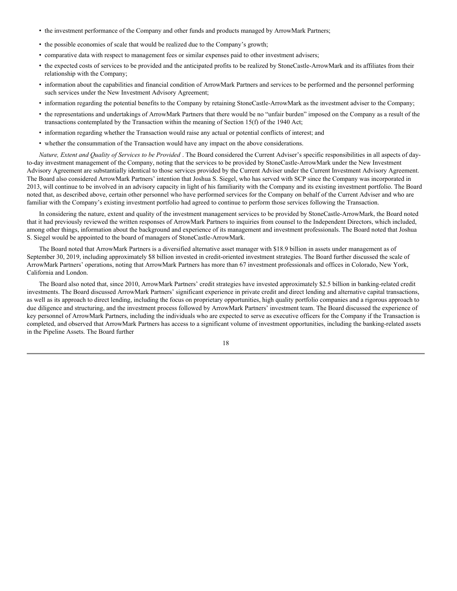- the investment performance of the Company and other funds and products managed by ArrowMark Partners;
- the possible economies of scale that would be realized due to the Company's growth;
- comparative data with respect to management fees or similar expenses paid to other investment advisers;
- the expected costs of services to be provided and the anticipated profits to be realized by StoneCastle-ArrowMark and its affiliates from their relationship with the Company;
- information about the capabilities and financial condition of ArrowMark Partners and services to be performed and the personnel performing such services under the New Investment Advisory Agreement;
- information regarding the potential benefits to the Company by retaining StoneCastle-ArrowMark as the investment adviser to the Company;
- the representations and undertakings of ArrowMark Partners that there would be no "unfair burden" imposed on the Company as a result of the transactions contemplated by the Transaction within the meaning of Section 15(f) of the 1940 Act;
- information regarding whether the Transaction would raise any actual or potential conflicts of interest; and
- whether the consummation of the Transaction would have any impact on the above considerations.

*Nature, Extent and Quality of Services to be Provided* . The Board considered the Current Adviser's specific responsibilities in all aspects of dayto-day investment management of the Company, noting that the services to be provided by StoneCastle-ArrowMark under the New Investment Advisory Agreement are substantially identical to those services provided by the Current Adviser under the Current Investment Advisory Agreement. The Board also considered ArrowMark Partners' intention that Joshua S. Siegel, who has served with SCP since the Company was incorporated in 2013, will continue to be involved in an advisory capacity in light of his familiarity with the Company and its existing investment portfolio. The Board noted that, as described above, certain other personnel who have performed services for the Company on behalf of the Current Adviser and who are familiar with the Company's existing investment portfolio had agreed to continue to perform those services following the Transaction.

In considering the nature, extent and quality of the investment management services to be provided by StoneCastle-ArrowMark, the Board noted that it had previously reviewed the written responses of ArrowMark Partners to inquiries from counsel to the Independent Directors, which included, among other things, information about the background and experience of its management and investment professionals. The Board noted that Joshua S. Siegel would be appointed to the board of managers of StoneCastle-ArrowMark.

The Board noted that ArrowMark Partners is a diversified alternative asset manager with \$18.9 billion in assets under management as of September 30, 2019, including approximately \$8 billion invested in credit-oriented investment strategies. The Board further discussed the scale of ArrowMark Partners' operations, noting that ArrowMark Partners has more than 67 investment professionals and offices in Colorado, New York, California and London.

The Board also noted that, since 2010, ArrowMark Partners' credit strategies have invested approximately \$2.5 billion in banking-related credit investments. The Board discussed ArrowMark Partners' significant experience in private credit and direct lending and alternative capital transactions, as well as its approach to direct lending, including the focus on proprietary opportunities, high quality portfolio companies and a rigorous approach to due diligence and structuring, and the investment process followed by ArrowMark Partners' investment team. The Board discussed the experience of key personnel of ArrowMark Partners, including the individuals who are expected to serve as executive officers for the Company if the Transaction is completed, and observed that ArrowMark Partners has access to a significant volume of investment opportunities, including the banking-related assets in the Pipeline Assets. The Board further

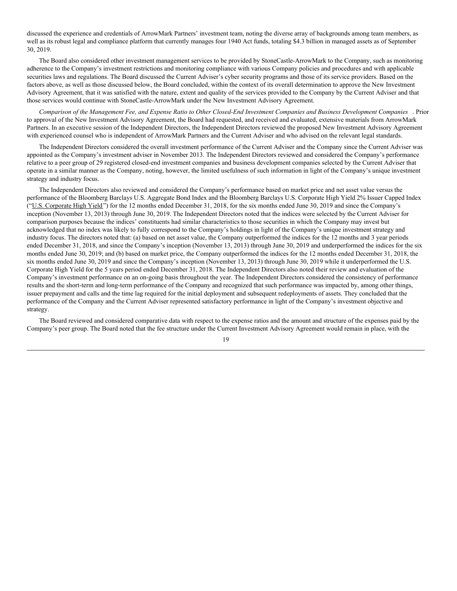discussed the experience and credentials of ArrowMark Partners' investment team, noting the diverse array of backgrounds among team members, as well as its robust legal and compliance platform that currently manages four 1940 Act funds, totaling \$4.3 billion in managed assets as of September 30, 2019.

The Board also considered other investment management services to be provided by StoneCastle-ArrowMark to the Company, such as monitoring adherence to the Company's investment restrictions and monitoring compliance with various Company policies and procedures and with applicable securities laws and regulations. The Board discussed the Current Adviser's cyber security programs and those of its service providers. Based on the factors above, as well as those discussed below, the Board concluded, within the context of its overall determination to approve the New Investment Advisory Agreement, that it was satisfied with the nature, extent and quality of the services provided to the Company by the Current Adviser and that those services would continue with StoneCastle-ArrowMark under the New Investment Advisory Agreement.

Comparison of the Management Fee, and Expense Ratio to Other Closed-End Investment Companies and Business Development Companies. Prior to approval of the New Investment Advisory Agreement, the Board had requested, and received and evaluated, extensive materials from ArrowMark Partners. In an executive session of the Independent Directors, the Independent Directors reviewed the proposed New Investment Advisory Agreement with experienced counsel who is independent of ArrowMark Partners and the Current Adviser and who advised on the relevant legal standards.

The Independent Directors considered the overall investment performance of the Current Adviser and the Company since the Current Adviser was appointed as the Company's investment adviser in November 2013. The Independent Directors reviewed and considered the Company's performance relative to a peer group of 29 registered closed-end investment companies and business development companies selected by the Current Adviser that operate in a similar manner as the Company, noting, however, the limited usefulness of such information in light of the Company's unique investment strategy and industry focus.

The Independent Directors also reviewed and considered the Company's performance based on market price and net asset value versus the performance of the Bloomberg Barclays U.S. Aggregate Bond Index and the Bloomberg Barclays U.S. Corporate High Yield 2% Issuer Capped Index ("U.S. Corporate High Yield") for the 12 months ended December 31, 2018, for the six months ended June 30, 2019 and since the Company's inception (November 13, 2013) through June 30, 2019. The Independent Directors noted that the indices were selected by the Current Adviser for comparison purposes because the indices' constituents had similar characteristics to those securities in which the Company may invest but acknowledged that no index was likely to fully correspond to the Company's holdings in light of the Company's unique investment strategy and industry focus. The directors noted that: (a) based on net asset value, the Company outperformed the indices for the 12 months and 3 year periods ended December 31, 2018, and since the Company's inception (November 13, 2013) through June 30, 2019 and underperformed the indices for the six months ended June 30, 2019; and (b) based on market price, the Company outperformed the indices for the 12 months ended December 31, 2018, the six months ended June 30, 2019 and since the Company's inception (November 13, 2013) through June 30, 2019 while it underperformed the U.S. Corporate High Yield for the 5 years period ended December 31, 2018. The Independent Directors also noted their review and evaluation of the Company's investment performance on an on-going basis throughout the year. The Independent Directors considered the consistency of performance results and the short-term and long-term performance of the Company and recognized that such performance was impacted by, among other things, issuer prepayment and calls and the time lag required for the initial deployment and subsequent redeployments of assets. They concluded that the performance of the Company and the Current Adviser represented satisfactory performance in light of the Company's investment objective and strategy.

The Board reviewed and considered comparative data with respect to the expense ratios and the amount and structure of the expenses paid by the Company's peer group. The Board noted that the fee structure under the Current Investment Advisory Agreement would remain in place, with the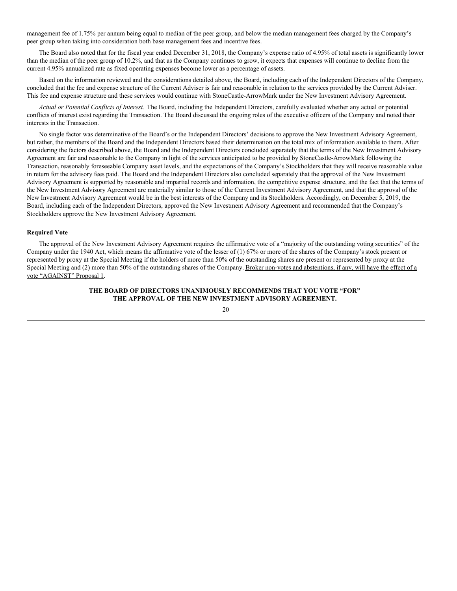management fee of 1.75% per annum being equal to median of the peer group, and below the median management fees charged by the Company's peer group when taking into consideration both base management fees and incentive fees.

The Board also noted that for the fiscal year ended December 31, 2018, the Company's expense ratio of 4.95% of total assets is significantly lower than the median of the peer group of 10.2%, and that as the Company continues to grow, it expects that expenses will continue to decline from the current 4.95% annualized rate as fixed operating expenses become lower as a percentage of assets.

Based on the information reviewed and the considerations detailed above, the Board, including each of the Independent Directors of the Company, concluded that the fee and expense structure of the Current Adviser is fair and reasonable in relation to the services provided by the Current Adviser. This fee and expense structure and these services would continue with StoneCastle-ArrowMark under the New Investment Advisory Agreement.

*Actual or Potential Conflicts of Interest.* The Board, including the Independent Directors, carefully evaluated whether any actual or potential conflicts of interest exist regarding the Transaction. The Board discussed the ongoing roles of the executive officers of the Company and noted their interests in the Transaction.

No single factor was determinative of the Board's or the Independent Directors' decisions to approve the New Investment Advisory Agreement, but rather, the members of the Board and the Independent Directors based their determination on the total mix of information available to them. After considering the factors described above, the Board and the Independent Directors concluded separately that the terms of the New Investment Advisory Agreement are fair and reasonable to the Company in light of the services anticipated to be provided by StoneCastle-ArrowMark following the Transaction, reasonably foreseeable Company asset levels, and the expectations of the Company's Stockholders that they will receive reasonable value in return for the advisory fees paid. The Board and the Independent Directors also concluded separately that the approval of the New Investment Advisory Agreement is supported by reasonable and impartial records and information, the competitive expense structure, and the fact that the terms of the New Investment Advisory Agreement are materially similar to those of the Current Investment Advisory Agreement, and that the approval of the New Investment Advisory Agreement would be in the best interests of the Company and its Stockholders. Accordingly, on December 5, 2019, the Board, including each of the Independent Directors, approved the New Investment Advisory Agreement and recommended that the Company's Stockholders approve the New Investment Advisory Agreement.

#### **Required Vote**

The approval of the New Investment Advisory Agreement requires the affirmative vote of a "majority of the outstanding voting securities" of the Company under the 1940 Act, which means the affirmative vote of the lesser of (1) 67% or more of the shares of the Company's stock present or represented by proxy at the Special Meeting if the holders of more than 50% of the outstanding shares are present or represented by proxy at the Special Meeting and (2) more than 50% of the outstanding shares of the Company. Broker non-votes and abstentions, if any, will have the effect of a vote "AGAINST" Proposal 1.

#### **THE BOARD OF DIRECTORS UNANIMOUSLY RECOMMENDS THAT YOU VOTE "FOR" THE APPROVAL OF THE NEW INVESTMENT ADVISORY AGREEMENT.**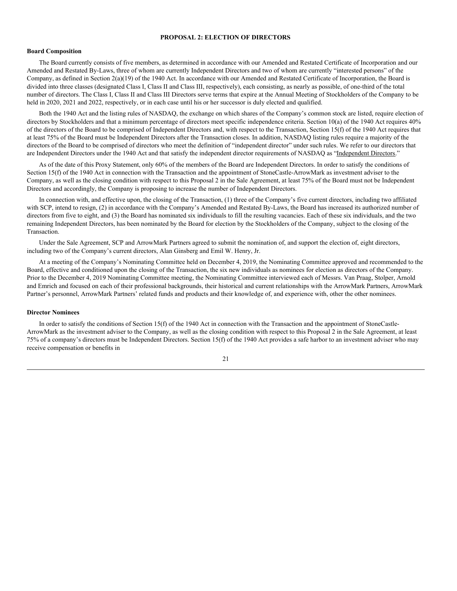#### **PROPOSAL 2: ELECTION OF DIRECTORS**

#### **Board Composition**

The Board currently consists of five members, as determined in accordance with our Amended and Restated Certificate of Incorporation and our Amended and Restated By-Laws, three of whom are currently Independent Directors and two of whom are currently "interested persons" of the Company, as defined in Section 2(a)(19) of the 1940 Act. In accordance with our Amended and Restated Certificate of Incorporation, the Board is divided into three classes (designated Class I, Class II and Class III, respectively), each consisting, as nearly as possible, of one-third of the total number of directors. The Class I, Class II and Class III Directors serve terms that expire at the Annual Meeting of Stockholders of the Company to be held in 2020, 2021 and 2022, respectively, or in each case until his or her successor is duly elected and qualified.

Both the 1940 Act and the listing rules of NASDAQ, the exchange on which shares of the Company's common stock are listed, require election of directors by Stockholders and that a minimum percentage of directors meet specific independence criteria. Section 10(a) of the 1940 Act requires 40% of the directors of the Board to be comprised of Independent Directors and, with respect to the Transaction, Section 15(f) of the 1940 Act requires that at least 75% of the Board must be Independent Directors after the Transaction closes. In addition, NASDAQ listing rules require a majority of the directors of the Board to be comprised of directors who meet the definition of "independent director" under such rules. We refer to our directors that are Independent Directors under the 1940 Act and that satisfy the independent director requirements of NASDAQ as "Independent Directors."

As of the date of this Proxy Statement, only 60% of the members of the Board are Independent Directors. In order to satisfy the conditions of Section 15(f) of the 1940 Act in connection with the Transaction and the appointment of StoneCastle-ArrowMark as investment adviser to the Company, as well as the closing condition with respect to this Proposal 2 in the Sale Agreement, at least 75% of the Board must not be Independent Directors and accordingly, the Company is proposing to increase the number of Independent Directors.

In connection with, and effective upon, the closing of the Transaction, (1) three of the Company's five current directors, including two affiliated with SCP, intend to resign, (2) in accordance with the Company's Amended and Restated By-Laws, the Board has increased its authorized number of directors from five to eight, and (3) the Board has nominated six individuals to fill the resulting vacancies. Each of these six individuals, and the two remaining Independent Directors, has been nominated by the Board for election by the Stockholders of the Company, subject to the closing of the Transaction.

Under the Sale Agreement, SCP and ArrowMark Partners agreed to submit the nomination of, and support the election of, eight directors, including two of the Company's current directors, Alan Ginsberg and Emil W. Henry, Jr.

At a meeting of the Company's Nominating Committee held on December 4, 2019, the Nominating Committee approved and recommended to the Board, effective and conditioned upon the closing of the Transaction, the six new individuals as nominees for election as directors of the Company. Prior to the December 4, 2019 Nominating Committee meeting, the Nominating Committee interviewed each of Messrs. Van Praag, Stolper, Arnold and Emrich and focused on each of their professional backgrounds, their historical and current relationships with the ArrowMark Partners, ArrowMark Partner's personnel, ArrowMark Partners' related funds and products and their knowledge of, and experience with, other the other nominees.

#### **Director Nominees**

In order to satisfy the conditions of Section 15(f) of the 1940 Act in connection with the Transaction and the appointment of StoneCastle-ArrowMark as the investment adviser to the Company, as well as the closing condition with respect to this Proposal 2 in the Sale Agreement, at least 75% of a company's directors must be Independent Directors. Section 15(f) of the 1940 Act provides a safe harbor to an investment adviser who may receive compensation or benefits in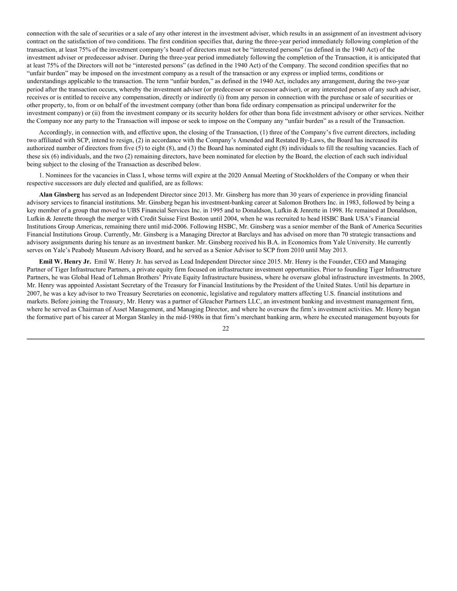connection with the sale of securities or a sale of any other interest in the investment adviser, which results in an assignment of an investment advisory contract on the satisfaction of two conditions. The first condition specifies that, during the three-year period immediately following completion of the transaction, at least 75% of the investment company's board of directors must not be "interested persons" (as defined in the 1940 Act) of the investment adviser or predecessor adviser. During the three-year period immediately following the completion of the Transaction, it is anticipated that at least 75% of the Directors will not be "interested persons" (as defined in the 1940 Act) of the Company. The second condition specifies that no "unfair burden" may be imposed on the investment company as a result of the transaction or any express or implied terms, conditions or understandings applicable to the transaction. The term "unfair burden," as defined in the 1940 Act, includes any arrangement, during the two-year period after the transaction occurs, whereby the investment adviser (or predecessor or successor adviser), or any interested person of any such adviser, receives or is entitled to receive any compensation, directly or indirectly (i) from any person in connection with the purchase or sale of securities or other property, to, from or on behalf of the investment company (other than bona fide ordinary compensation as principal underwriter for the investment company) or (ii) from the investment company or its security holders for other than bona fide investment advisory or other services. Neither the Company nor any party to the Transaction will impose or seek to impose on the Company any "unfair burden" as a result of the Transaction.

Accordingly, in connection with, and effective upon, the closing of the Transaction, (1) three of the Company's five current directors, including two affiliated with SCP, intend to resign, (2) in accordance with the Company's Amended and Restated By-Laws, the Board has increased its authorized number of directors from five (5) to eight (8), and (3) the Board has nominated eight (8) individuals to fill the resulting vacancies. Each of these six (6) individuals, and the two (2) remaining directors, have been nominated for election by the Board, the election of each such individual being subject to the closing of the Transaction as described below.

1. Nominees for the vacancies in Class I, whose terms will expire at the 2020 Annual Meeting of Stockholders of the Company or when their respective successors are duly elected and qualified, are as follows:

**Alan Ginsberg** has served as an Independent Director since 2013. Mr. Ginsberg has more than 30 years of experience in providing financial advisory services to financial institutions. Mr. Ginsberg began his investment-banking career at Salomon Brothers Inc. in 1983, followed by being a key member of a group that moved to UBS Financial Services Inc. in 1995 and to Donaldson, Lufkin & Jenrette in 1998. He remained at Donaldson, Lufkin & Jenrette through the merger with Credit Suisse First Boston until 2004, when he was recruited to head HSBC Bank USA's Financial Institutions Group Americas, remaining there until mid-2006. Following HSBC, Mr. Ginsberg was a senior member of the Bank of America Securities Financial Institutions Group. Currently, Mr. Ginsberg is a Managing Director at Barclays and has advised on more than 70 strategic transactions and advisory assignments during his tenure as an investment banker. Mr. Ginsberg received his B.A. in Economics from Yale University. He currently serves on Yale's Peabody Museum Advisory Board, and he served as a Senior Advisor to SCP from 2010 until May 2013.

**Emil W. Henry Jr.** Emil W. Henry Jr. has served as Lead Independent Director since 2015. Mr. Henry is the Founder, CEO and Managing Partner of Tiger Infrastructure Partners, a private equity firm focused on infrastructure investment opportunities. Prior to founding Tiger Infrastructure Partners, he was Global Head of Lehman Brothers' Private Equity Infrastructure business, where he oversaw global infrastructure investments. In 2005, Mr. Henry was appointed Assistant Secretary of the Treasury for Financial Institutions by the President of the United States. Until his departure in 2007, he was a key advisor to two Treasury Secretaries on economic, legislative and regulatory matters affecting U.S. financial institutions and markets. Before joining the Treasury, Mr. Henry was a partner of Gleacher Partners LLC, an investment banking and investment management firm, where he served as Chairman of Asset Management, and Managing Director, and where he oversaw the firm's investment activities. Mr. Henry began the formative part of his career at Morgan Stanley in the mid-1980s in that firm's merchant banking arm, where he executed management buyouts for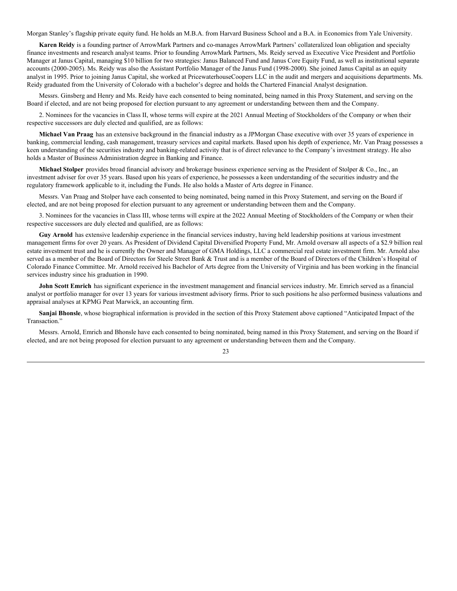Morgan Stanley's flagship private equity fund. He holds an M.B.A. from Harvard Business School and a B.A. in Economics from Yale University.

**Karen Reidy** is a founding partner of ArrowMark Partners and co-manages ArrowMark Partners' collateralized loan obligation and specialty finance investments and research analyst teams. Prior to founding ArrowMark Partners, Ms. Reidy served as Executive Vice President and Portfolio Manager at Janus Capital, managing \$10 billion for two strategies: Janus Balanced Fund and Janus Core Equity Fund, as well as institutional separate accounts (2000-2005). Ms. Reidy was also the Assistant Portfolio Manager of the Janus Fund (1998-2000). She joined Janus Capital as an equity analyst in 1995. Prior to joining Janus Capital, she worked at PricewaterhouseCoopers LLC in the audit and mergers and acquisitions departments. Ms. Reidy graduated from the University of Colorado with a bachelor's degree and holds the Chartered Financial Analyst designation.

Messrs. Ginsberg and Henry and Ms. Reidy have each consented to being nominated, being named in this Proxy Statement, and serving on the Board if elected, and are not being proposed for election pursuant to any agreement or understanding between them and the Company.

2. Nominees for the vacancies in Class II, whose terms will expire at the 2021 Annual Meeting of Stockholders of the Company or when their respective successors are duly elected and qualified, are as follows:

**Michael Van Praag** has an extensive background in the financial industry as a JPMorgan Chase executive with over 35 years of experience in banking, commercial lending, cash management, treasury services and capital markets. Based upon his depth of experience, Mr. Van Praag possesses a keen understanding of the securities industry and banking-related activity that is of direct relevance to the Company's investment strategy. He also holds a Master of Business Administration degree in Banking and Finance.

**Michael Stolper** provides broad financial advisory and brokerage business experience serving as the President of Stolper & Co., Inc., an investment adviser for over 35 years. Based upon his years of experience, he possesses a keen understanding of the securities industry and the regulatory framework applicable to it, including the Funds. He also holds a Master of Arts degree in Finance.

Messrs. Van Praag and Stolper have each consented to being nominated, being named in this Proxy Statement, and serving on the Board if elected, and are not being proposed for election pursuant to any agreement or understanding between them and the Company.

3. Nominees for the vacancies in Class III, whose terms will expire at the 2022 Annual Meeting of Stockholders of the Company or when their respective successors are duly elected and qualified, are as follows:

**Guy Arnold** has extensive leadership experience in the financial services industry, having held leadership positions at various investment management firms for over 20 years. As President of Dividend Capital Diversified Property Fund, Mr. Arnold oversaw all aspects of a \$2.9 billion real estate investment trust and he is currently the Owner and Manager of GMA Holdings, LLC a commercial real estate investment firm. Mr. Arnold also served as a member of the Board of Directors for Steele Street Bank & Trust and is a member of the Board of Directors of the Children's Hospital of Colorado Finance Committee. Mr. Arnold received his Bachelor of Arts degree from the University of Virginia and has been working in the financial services industry since his graduation in 1990.

**John Scott Emrich** has significant experience in the investment management and financial services industry. Mr. Emrich served as a financial analyst or portfolio manager for over 13 years for various investment advisory firms. Prior to such positions he also performed business valuations and appraisal analyses at KPMG Peat Marwick, an accounting firm.

**Sanjai Bhonsle**, whose biographical information is provided in the section of this Proxy Statement above captioned "Anticipated Impact of the Transaction."

Messrs. Arnold, Emrich and Bhonsle have each consented to being nominated, being named in this Proxy Statement, and serving on the Board if elected, and are not being proposed for election pursuant to any agreement or understanding between them and the Company.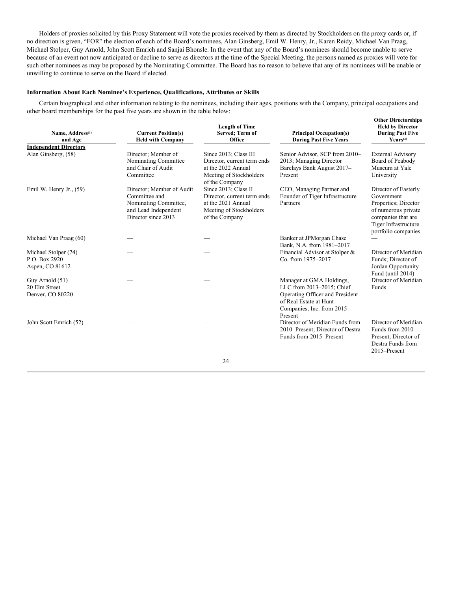Holders of proxies solicited by this Proxy Statement will vote the proxies received by them as directed by Stockholders on the proxy cards or, if no direction is given, "FOR" the election of each of the Board's nominees, Alan Ginsberg, Emil W. Henry, Jr., Karen Reidy, Michael Van Praag, Michael Stolper, Guy Arnold, John Scott Emrich and Sanjai Bhonsle. In the event that any of the Board's nominees should become unable to serve because of an event not now anticipated or decline to serve as directors at the time of the Special Meeting, the persons named as proxies will vote for such other nominees as may be proposed by the Nominating Committee. The Board has no reason to believe that any of its nominees will be unable or unwilling to continue to serve on the Board if elected.

#### **Information About Each Nominee's Experience, Qualifications, Attributes or Skills**

Certain biographical and other information relating to the nominees, including their ages, positions with the Company, principal occupations and other board memberships for the past five years are shown in the table below:

| Name, Address <sup>(1)</sup><br>and Age                  | <b>Current Position(s)</b><br><b>Held with Company</b>                                                             | <b>Length of Time</b><br>Served; Term of<br>Office                                                                      | <b>Principal Occupation(s)</b><br><b>During Past Five Years</b>                                                                                             | <b>Other Directorships</b><br><b>Held by Director</b><br><b>During Past Five</b><br>$\text{YearS}^{(2)}$                                               |
|----------------------------------------------------------|--------------------------------------------------------------------------------------------------------------------|-------------------------------------------------------------------------------------------------------------------------|-------------------------------------------------------------------------------------------------------------------------------------------------------------|--------------------------------------------------------------------------------------------------------------------------------------------------------|
| <b>Independent Directors</b>                             |                                                                                                                    |                                                                                                                         |                                                                                                                                                             |                                                                                                                                                        |
| Alan Ginsberg, (58)                                      | Director; Member of<br>Nominating Committee<br>and Chair of Audit<br>Committee                                     | Since 2013; Class III<br>Director, current term ends<br>at the 2022 Annual<br>Meeting of Stockholders<br>of the Company | Senior Advisor, SCP from 2010-<br>2013; Managing Director<br>Barclays Bank August 2017-<br>Present                                                          | <b>External Advisory</b><br>Board of Peabody<br>Museum at Yale<br>University                                                                           |
| Emil W. Henry Jr., $(59)$                                | Director; Member of Audit<br>Committee and<br>Nominating Committee,<br>and Lead Independent<br>Director since 2013 | Since 2013; Class II<br>Director, current term ends<br>at the 2021 Annual<br>Meeting of Stockholders<br>of the Company  | CEO, Managing Partner and<br>Founder of Tiger Infrastructure<br>Partners                                                                                    | Director of Easterly<br>Government<br>Properties; Director<br>of numerous private<br>companies that are<br>Tiger Infrastructure<br>portfolio companies |
| Michael Van Praag (60)                                   |                                                                                                                    |                                                                                                                         | Banker at JPMorgan Chase<br>Bank, N.A. from 1981-2017                                                                                                       |                                                                                                                                                        |
| Michael Stolper (74)<br>P.O. Box 2920<br>Aspen, CO 81612 |                                                                                                                    |                                                                                                                         | Financial Advisor at Stolper &<br>Co. from 1975-2017                                                                                                        | Director of Meridian<br>Funds; Director of<br>Jordan Opportunity<br>Fund (until 2014)                                                                  |
| Guy Arnold (51)<br>20 Elm Street<br>Denver, CO 80220     |                                                                                                                    |                                                                                                                         | Manager at GMA Holdings,<br>LLC from 2013-2015; Chief<br>Operating Officer and President<br>of Real Estate at Hunt<br>Companies, Inc. from 2015-<br>Present | Director of Meridian<br>Funds                                                                                                                          |
| John Scott Emrich (52)                                   |                                                                                                                    |                                                                                                                         | Director of Meridian Funds from<br>2010–Present; Director of Destra<br>Funds from 2015–Present                                                              | Director of Meridian<br>Funds from $2010-$<br>Present; Director of<br>Destra Funds from<br>2015-Present                                                |
|                                                          |                                                                                                                    | 24                                                                                                                      |                                                                                                                                                             |                                                                                                                                                        |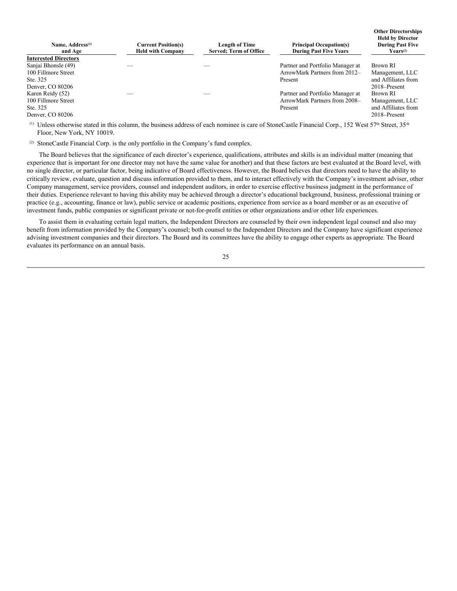| Name, Address <sup>(1)</sup><br>and Age | <b>Current Position(s)</b><br><b>Held with Company</b> | <b>Length of Time</b><br>Served: Term of Office | <b>Principal Occupation(s)</b><br><b>During Past Five Years</b> | <b>Held by Director</b><br><b>During Past Five</b><br>$\text{Years}^{(2)}$ |
|-----------------------------------------|--------------------------------------------------------|-------------------------------------------------|-----------------------------------------------------------------|----------------------------------------------------------------------------|
| <b>Interested Directors</b>             |                                                        |                                                 |                                                                 |                                                                            |
| Sanjai Bhonsle (49)                     |                                                        |                                                 | Partner and Portfolio Manager at                                | Brown RI                                                                   |
| 100 Fillmore Street                     |                                                        |                                                 | ArrowMark Partners from 2012-                                   | Management, LLC                                                            |
| Ste. 325                                |                                                        |                                                 | Present                                                         | and Affiliates from                                                        |
| Denver, CO 80206                        |                                                        |                                                 |                                                                 | $2018 -$ Present                                                           |
| Karen Reidy (52)                        |                                                        |                                                 | Partner and Portfolio Manager at                                | Brown RI                                                                   |
| 100 Fillmore Street                     |                                                        |                                                 | ArrowMark Partners from 2008-                                   | Management, LLC                                                            |
| Ste. 325                                |                                                        |                                                 | Present                                                         | and Affiliates from                                                        |
| Denver, CO 80206                        |                                                        |                                                 |                                                                 | 2018–Present                                                               |

**Other Directorships**

<sup>(1)</sup> Unless otherwise stated in this column, the business address of each nominee is care of StoneCastle Financial Corp., 152 West 57<sup>th</sup> Street, 35<sup>th</sup> Floor, New York, NY 10019.

(2) StoneCastle Financial Corp. is the only portfolio in the Company's fund complex.

The Board believes that the significance of each director's experience, qualifications, attributes and skills is an individual matter (meaning that experience that is important for one director may not have the same value for another) and that these factors are best evaluated at the Board level, with no single director, or particular factor, being indicative of Board effectiveness. However, the Board believes that directors need to have the ability to critically review, evaluate, question and discuss information provided to them, and to interact effectively with the Company's investment adviser, other Company management, service providers, counsel and independent auditors, in order to exercise effective business judgment in the performance of their duties. Experience relevant to having this ability may be achieved through a director's educational background, business, professional training or practice (e.g., accounting, finance or law), public service or academic positions, experience from service as a board member or as an executive of investment funds, public companies or significant private or not-for-profit entities or other organizations and/or other life experiences.

To assist them in evaluating certain legal matters, the Independent Directors are counseled by their own independent legal counsel and also may benefit from information provided by the Company's counsel; both counsel to the Independent Directors and the Company have significant experience advising investment companies and their directors. The Board and its committees have the ability to engage other experts as appropriate. The Board evaluates its performance on an annual basis.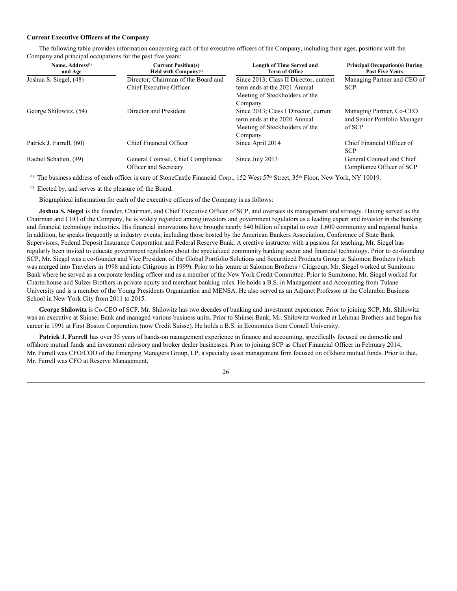#### **Current Executive Officers of the Company**

The following table provides information concerning each of the executive officers of the Company, including their ages, positions with the Company and principal occupations for the past five years:

| Name, Address <sup>(1)</sup><br>and Age | <b>Current Position(s)</b><br>Held with $Companv^{(2)}$ | Length of Time Served and<br><b>Term of Office</b> | <b>Principal Occupation(s) During</b><br><b>Past Five Years</b> |
|-----------------------------------------|---------------------------------------------------------|----------------------------------------------------|-----------------------------------------------------------------|
| Joshua S. Siegel, (48)                  | Director; Chairman of the Board and                     | Since 2013; Class II Director, current             | Managing Partner and CEO of                                     |
|                                         | Chief Executive Officer                                 | term ends at the 2021 Annual                       | <b>SCP</b>                                                      |
|                                         |                                                         | Meeting of Stockholders of the                     |                                                                 |
|                                         |                                                         | Company                                            |                                                                 |
| George Shilowitz, (54)                  | Director and President                                  | Since 2013; Class I Director, current              | Managing Partner, Co-CEO                                        |
|                                         |                                                         | term ends at the 2020 Annual                       | and Senior Portfolio Manager                                    |
|                                         |                                                         | Meeting of Stockholders of the                     | of SCP                                                          |
|                                         |                                                         | Company                                            |                                                                 |
| Patrick J. Farrell, (60)                | <b>Chief Financial Officer</b>                          | Since April 2014                                   | Chief Financial Officer of                                      |
|                                         |                                                         |                                                    | <b>SCP</b>                                                      |
| Rachel Schatten, (49)                   | General Counsel, Chief Compliance                       | Since July 2013                                    | General Counsel and Chief                                       |
|                                         | <b>Officer and Secretary</b>                            |                                                    | Compliance Officer of SCP                                       |

(1) The business address of each officer is care of StoneCastle Financial Corp., 152 West 57<sup>th</sup> Street, 35<sup>th</sup> Floor, New York, NY 10019.

(2) Elected by, and serves at the pleasure of, the Board.

Biographical information for each of the executive officers of the Company is as follows:

**Joshua S. Siegel** is the founder, Chairman, and Chief Executive Officer of SCP, and oversees its management and strategy. Having served as the Chairman and CEO of the Company, he is widely regarded among investors and government regulators as a leading expert and investor in the banking and financial technology industries. His financial innovations have brought nearly \$40 billion of capital to over 1,600 community and regional banks. In addition, he speaks frequently at industry events, including those hosted by the American Bankers Association, Conference of State Bank Supervisors, Federal Deposit Insurance Corporation and Federal Reserve Bank. A creative instructor with a passion for teaching, Mr. Siegel has regularly been invited to educate government regulators about the specialized community banking sector and financial technology. Prior to co-founding SCP, Mr. Siegel was a co-founder and Vice President of the Global Portfolio Solutions and Securitized Products Group at Salomon Brothers (which was merged into Travelers in 1998 and into Citigroup in 1999). Prior to his tenure at Salomon Brothers / Citigroup, Mr. Siegel worked at Sumitomo Bank where he served as a corporate lending officer and as a member of the New York Credit Committee. Prior to Sumitomo, Mr. Siegel worked for Charterhouse and Sulzer Brothers in private equity and merchant banking roles. He holds a B.S. in Management and Accounting from Tulane University and is a member of the Young Presidents Organization and MENSA. He also served as an Adjunct Professor at the Columbia Business School in New York City from 2011 to 2015.

**George Shilowitz** is Co-CEO of SCP. Mr. Shilowitz has two decades of banking and investment experience. Prior to joining SCP, Mr. Shilowitz was an executive at Shinsei Bank and managed various business units. Prior to Shinsei Bank, Mr. Shilowitz worked at Lehman Brothers and began his career in 1991 at First Boston Corporation (now Credit Suisse). He holds a B.S. in Economics from Cornell University.

**Patrick J. Farrell** has over 35 years of hands-on management experience in finance and accounting, specifically focused on domestic and offshore mutual funds and investment advisory and broker dealer businesses. Prior to joining SCP as Chief Financial Officer in February 2014, Mr. Farrell was CFO/COO of the Emerging Managers Group, LP, a specialty asset management firm focused on offshore mutual funds. Prior to that, Mr. Farrell was CFO at Reserve Management,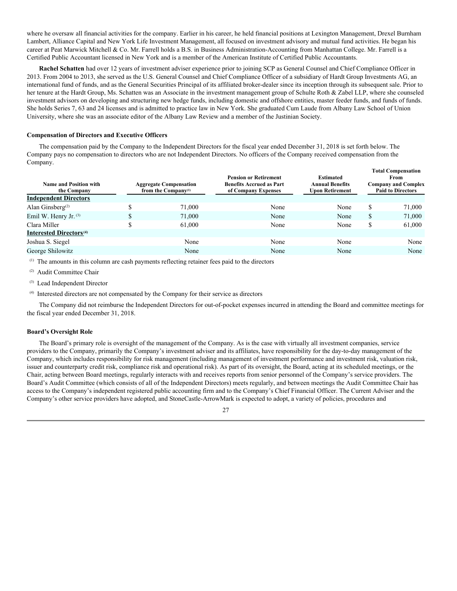where he oversaw all financial activities for the company. Earlier in his career, he held financial positions at Lexington Management, Drexel Burnham Lambert, Alliance Capital and New York Life Investment Management, all focused on investment advisory and mutual fund activities. He began his career at Peat Marwick Mitchell & Co. Mr. Farrell holds a B.S. in Business Administration-Accounting from Manhattan College. Mr. Farrell is a Certified Public Accountant licensed in New York and is a member of the American Institute of Certified Public Accountants.

**Rachel Schatten** had over 12 years of investment adviser experience prior to joining SCP as General Counsel and Chief Compliance Officer in 2013. From 2004 to 2013, she served as the U.S. General Counsel and Chief Compliance Officer of a subsidiary of Hardt Group Investments AG, an international fund of funds, and as the General Securities Principal of its affiliated broker-dealer since its inception through its subsequent sale. Prior to her tenure at the Hardt Group, Ms. Schatten was an Associate in the investment management group of Schulte Roth & Zabel LLP, where she counseled investment advisors on developing and structuring new hedge funds, including domestic and offshore entities, master feeder funds, and funds of funds. She holds Series 7, 63 and 24 licenses and is admitted to practice law in New York. She graduated Cum Laude from Albany Law School of Union University, where she was an associate editor of the Albany Law Review and a member of the Justinian Society.

#### **Compensation of Directors and Executive Officers**

The compensation paid by the Company to the Independent Directors for the fiscal year ended December 31, 2018 is set forth below. The Company pays no compensation to directors who are not Independent Directors. No officers of the Company received compensation from the Company.

| Name and Position with<br>the Company | <b>Aggregate Compensation</b><br>from the Company $(1)$ | <b>Pension or Retirement</b><br><b>Benefits Accrued as Part</b><br>of Company Expenses | <b>Estimated</b><br><b>Annual Benefits</b><br>Upon Retirement |    | <b>Total Compensation</b><br><b>From</b><br><b>Company and Complex</b><br><b>Paid to Directors</b> |
|---------------------------------------|---------------------------------------------------------|----------------------------------------------------------------------------------------|---------------------------------------------------------------|----|----------------------------------------------------------------------------------------------------|
| <b>Independent Directors</b>          |                                                         |                                                                                        |                                                               |    |                                                                                                    |
| Alan Ginsberg <sup>(2)</sup>          | 71,000                                                  | None                                                                                   | None                                                          | S  | 71,000                                                                                             |
| Emil W. Henry Jr. $(3)$               | 71,000                                                  | None                                                                                   | None                                                          | \$ | 71,000                                                                                             |
| Clara Miller                          | 61,000                                                  | None                                                                                   | None                                                          | S  | 61,000                                                                                             |
| Interested Directors <sup>(4)</sup>   |                                                         |                                                                                        |                                                               |    |                                                                                                    |
| Joshua S. Siegel                      | None                                                    | None                                                                                   | None                                                          |    | None                                                                                               |
| George Shilowitz                      | None                                                    | None                                                                                   | None                                                          |    | None                                                                                               |

(1) The amounts in this column are cash payments reflecting retainer fees paid to the directors

(2) Audit Committee Chair

(3) Lead Independent Director

(4) Interested directors are not compensated by the Company for their service as directors

The Company did not reimburse the Independent Directors for out-of-pocket expenses incurred in attending the Board and committee meetings for the fiscal year ended December 31, 2018.

#### **Board's Oversight Role**

The Board's primary role is oversight of the management of the Company. As is the case with virtually all investment companies, service providers to the Company, primarily the Company's investment adviser and its affiliates, have responsibility for the day-to-day management of the Company, which includes responsibility for risk management (including management of investment performance and investment risk, valuation risk, issuer and counterparty credit risk, compliance risk and operational risk). As part of its oversight, the Board, acting at its scheduled meetings, or the Chair, acting between Board meetings, regularly interacts with and receives reports from senior personnel of the Company's service providers. The Board's Audit Committee (which consists of all of the Independent Directors) meets regularly, and between meetings the Audit Committee Chair has access to the Company's independent registered public accounting firm and to the Company's Chief Financial Officer. The Current Adviser and the Company's other service providers have adopted, and StoneCastle-ArrowMark is expected to adopt, a variety of policies, procedures and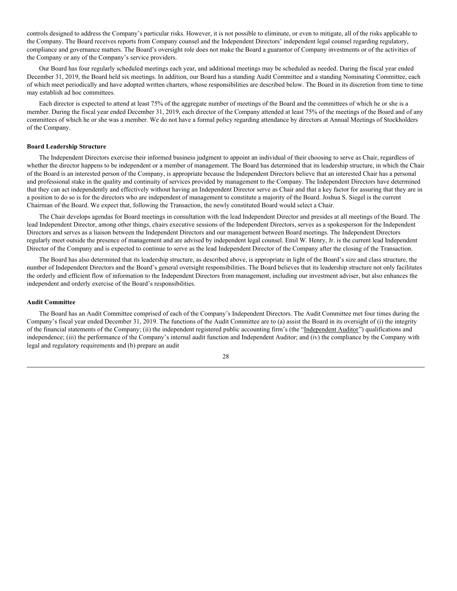controls designed to address the Company's particular risks. However, it is not possible to eliminate, or even to mitigate, all of the risks applicable to the Company. The Board receives reports from Company counsel and the Independent Directors' independent legal counsel regarding regulatory, compliance and governance matters. The Board's oversight role does not make the Board a guarantor of Company investments or of the activities of the Company or any of the Company's service providers.

Our Board has four regularly scheduled meetings each year, and additional meetings may be scheduled as needed. During the fiscal year ended December 31, 2019, the Board held six meetings. In addition, our Board has a standing Audit Committee and a standing Nominating Committee, each of which meet periodically and have adopted written charters, whose responsibilities are described below. The Board in its discretion from time to time may establish ad hoc committees.

Each director is expected to attend at least 75% of the aggregate number of meetings of the Board and the committees of which he or she is a member. During the fiscal year ended December 31, 2019, each director of the Company attended at least 75% of the meetings of the Board and of any committees of which he or she was a member. We do not have a formal policy regarding attendance by directors at Annual Meetings of Stockholders of the Company.

#### **Board Leadership Structure**

The Independent Directors exercise their informed business judgment to appoint an individual of their choosing to serve as Chair, regardless of whether the director happens to be independent or a member of management. The Board has determined that its leadership structure, in which the Chair of the Board is an interested person of the Company, is appropriate because the Independent Directors believe that an interested Chair has a personal and professional stake in the quality and continuity of services provided by management to the Company. The Independent Directors have determined that they can act independently and effectively without having an Independent Director serve as Chair and that a key factor for assuring that they are in a position to do so is for the directors who are independent of management to constitute a majority of the Board. Joshua S. Siegel is the current Chairman of the Board. We expect that, following the Transaction, the newly constituted Board would select a Chair.

The Chair develops agendas for Board meetings in consultation with the lead Independent Director and presides at all meetings of the Board. The lead Independent Director, among other things, chairs executive sessions of the Independent Directors, serves as a spokesperson for the Independent Directors and serves as a liaison between the Independent Directors and our management between Board meetings. The Independent Directors regularly meet outside the presence of management and are advised by independent legal counsel. Emil W. Henry, Jr. is the current lead Independent Director of the Company and is expected to continue to serve as the lead Independent Director of the Company after the closing of the Transaction.

The Board has also determined that its leadership structure, as described above, is appropriate in light of the Board's size and class structure, the number of Independent Directors and the Board's general oversight responsibilities. The Board believes that its leadership structure not only facilitates the orderly and efficient flow of information to the Independent Directors from management, including our investment adviser, but also enhances the independent and orderly exercise of the Board's responsibilities.

#### **Audit Committee**

The Board has an Audit Committee comprised of each of the Company's Independent Directors. The Audit Committee met four times during the Company's fiscal year ended December 31, 2019. The functions of the Audit Committee are to (a) assist the Board in its oversight of (i) the integrity of the financial statements of the Company; (ii) the independent registered public accounting firm's (the "Independent Auditor") qualifications and independence; (iii) the performance of the Company's internal audit function and Independent Auditor; and (iv) the compliance by the Company with legal and regulatory requirements and (b) prepare an audit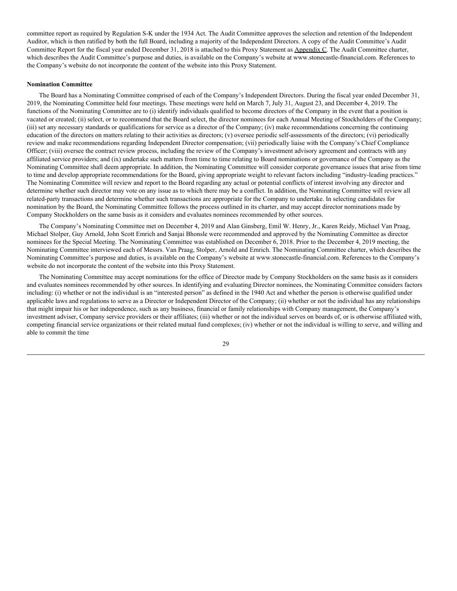committee report as required by Regulation S-K under the 1934 Act. The Audit Committee approves the selection and retention of the Independent Auditor, which is then ratified by both the full Board, including a majority of the Independent Directors. A copy of the Audit Committee's Audit Committee Report for the fiscal year ended December 31, 2018 is attached to this Proxy Statement as Appendix C. The Audit Committee charter, which describes the Audit Committee's purpose and duties, is available on the Company's website at www.stonecastle-financial.com. References to the Company's website do not incorporate the content of the website into this Proxy Statement.

#### **Nomination Committee**

The Board has a Nominating Committee comprised of each of the Company's Independent Directors. During the fiscal year ended December 31, 2019, the Nominating Committee held four meetings. These meetings were held on March 7, July 31, August 23, and December 4, 2019. The functions of the Nominating Committee are to (i) identify individuals qualified to become directors of the Company in the event that a position is vacated or created; (ii) select, or to recommend that the Board select, the director nominees for each Annual Meeting of Stockholders of the Company; (iii) set any necessary standards or qualifications for service as a director of the Company; (iv) make recommendations concerning the continuing education of the directors on matters relating to their activities as directors; (v) oversee periodic self-assessments of the directors; (vi) periodically review and make recommendations regarding Independent Director compensation; (vii) periodically liaise with the Company's Chief Compliance Officer; (viii) oversee the contract review process, including the review of the Company's investment advisory agreement and contracts with any affiliated service providers; and (ix) undertake such matters from time to time relating to Board nominations or governance of the Company as the Nominating Committee shall deem appropriate. In addition, the Nominating Committee will consider corporate governance issues that arise from time to time and develop appropriate recommendations for the Board, giving appropriate weight to relevant factors including "industry-leading practices." The Nominating Committee will review and report to the Board regarding any actual or potential conflicts of interest involving any director and determine whether such director may vote on any issue as to which there may be a conflict. In addition, the Nominating Committee will review all related-party transactions and determine whether such transactions are appropriate for the Company to undertake. In selecting candidates for nomination by the Board, the Nominating Committee follows the process outlined in its charter, and may accept director nominations made by Company Stockholders on the same basis as it considers and evaluates nominees recommended by other sources.

The Company's Nominating Committee met on December 4, 2019 and Alan Ginsberg, Emil W. Henry, Jr., Karen Reidy, Michael Van Praag, Michael Stolper, Guy Arnold, John Scott Emrich and Sanjai Bhonsle were recommended and approved by the Nominating Committee as director nominees for the Special Meeting. The Nominating Committee was established on December 6, 2018. Prior to the December 4, 2019 meeting, the Nominating Committee interviewed each of Messrs. Van Praag, Stolper, Arnold and Emrich. The Nominating Committee charter, which describes the Nominating Committee's purpose and duties, is available on the Company's website at www.stonecastle-financial.com. References to the Company's website do not incorporate the content of the website into this Proxy Statement.

The Nominating Committee may accept nominations for the office of Director made by Company Stockholders on the same basis as it considers and evaluates nominees recommended by other sources. In identifying and evaluating Director nominees, the Nominating Committee considers factors including: (i) whether or not the individual is an "interested person" as defined in the 1940 Act and whether the person is otherwise qualified under applicable laws and regulations to serve as a Director or Independent Director of the Company; (ii) whether or not the individual has any relationships that might impair his or her independence, such as any business, financial or family relationships with Company management, the Company's investment adviser, Company service providers or their affiliates; (iii) whether or not the individual serves on boards of, or is otherwise affiliated with, competing financial service organizations or their related mutual fund complexes; (iv) whether or not the individual is willing to serve, and willing and able to commit the time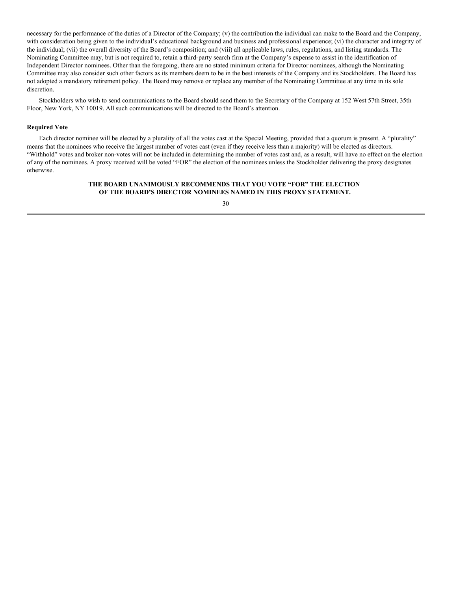necessary for the performance of the duties of a Director of the Company; (v) the contribution the individual can make to the Board and the Company, with consideration being given to the individual's educational background and business and professional experience; (vi) the character and integrity of the individual; (vii) the overall diversity of the Board's composition; and (viii) all applicable laws, rules, regulations, and listing standards. The Nominating Committee may, but is not required to, retain a third-party search firm at the Company's expense to assist in the identification of Independent Director nominees. Other than the foregoing, there are no stated minimum criteria for Director nominees, although the Nominating Committee may also consider such other factors as its members deem to be in the best interests of the Company and its Stockholders. The Board has not adopted a mandatory retirement policy. The Board may remove or replace any member of the Nominating Committee at any time in its sole discretion.

Stockholders who wish to send communications to the Board should send them to the Secretary of the Company at 152 West 57th Street, 35th Floor, New York, NY 10019. All such communications will be directed to the Board's attention.

#### **Required Vote**

Each director nominee will be elected by a plurality of all the votes cast at the Special Meeting, provided that a quorum is present. A "plurality" means that the nominees who receive the largest number of votes cast (even if they receive less than a majority) will be elected as directors. "Withhold" votes and broker non-votes will not be included in determining the number of votes cast and, as a result, will have no effect on the election of any of the nominees. A proxy received will be voted "FOR" the election of the nominees unless the Stockholder delivering the proxy designates otherwise.

#### **THE BOARD UNANIMOUSLY RECOMMENDS THAT YOU VOTE "FOR" THE ELECTION OF THE BOARD'S DIRECTOR NOMINEES NAMED IN THIS PROXY STATEMENT.**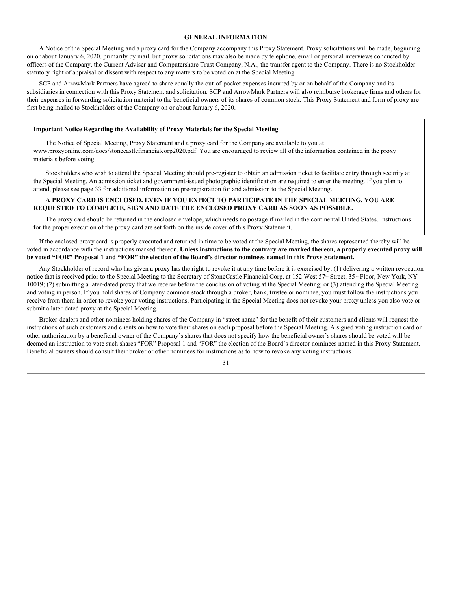#### **GENERAL INFORMATION**

A Notice of the Special Meeting and a proxy card for the Company accompany this Proxy Statement. Proxy solicitations will be made, beginning on or about January 6, 2020, primarily by mail, but proxy solicitations may also be made by telephone, email or personal interviews conducted by officers of the Company, the Current Adviser and Computershare Trust Company, N.A., the transfer agent to the Company. There is no Stockholder statutory right of appraisal or dissent with respect to any matters to be voted on at the Special Meeting.

SCP and ArrowMark Partners have agreed to share equally the out-of-pocket expenses incurred by or on behalf of the Company and its subsidiaries in connection with this Proxy Statement and solicitation. SCP and ArrowMark Partners will also reimburse brokerage firms and others for their expenses in forwarding solicitation material to the beneficial owners of its shares of common stock. This Proxy Statement and form of proxy are first being mailed to Stockholders of the Company on or about January 6, 2020.

#### **Important Notice Regarding the Availability of Proxy Materials for the Special Meeting**

The Notice of Special Meeting, Proxy Statement and a proxy card for the Company are available to you at www.proxyonline.com/docs/stonecastlefinancialcorp2020.pdf. You are encouraged to review all of the information contained in the proxy materials before voting.

Stockholders who wish to attend the Special Meeting should pre-register to obtain an admission ticket to facilitate entry through security at the Special Meeting. An admission ticket and government-issued photographic identification are required to enter the meeting. If you plan to attend, please see page 33 for additional information on pre-registration for and admission to the Special Meeting.

#### **A PROXY CARD IS ENCLOSED. EVEN IF YOU EXPECT TO PARTICIPATE IN THE SPECIAL MEETING, YOU ARE REQUESTED TO COMPLETE, SIGN AND DATE THE ENCLOSED PROXY CARD AS SOON AS POSSIBLE.**

The proxy card should be returned in the enclosed envelope, which needs no postage if mailed in the continental United States. Instructions for the proper execution of the proxy card are set forth on the inside cover of this Proxy Statement.

If the enclosed proxy card is properly executed and returned in time to be voted at the Special Meeting, the shares represented thereby will be voted in accordance with the instructions marked thereon. Unless instructions to the contrary are marked thereon, a properly executed proxy will be voted "FOR" Proposal 1 and "FOR" the election of the Board's director nominees named in this Proxy Statement.

Any Stockholder of record who has given a proxy has the right to revoke it at any time before it is exercised by: (1) delivering a written revocation notice that is received prior to the Special Meeting to the Secretary of StoneCastle Financial Corp. at 152 West 57<sup>th</sup> Street, 35<sup>th</sup> Floor, New York, NY 10019; (2) submitting a later-dated proxy that we receive before the conclusion of voting at the Special Meeting; or (3) attending the Special Meeting and voting in person. If you hold shares of Company common stock through a broker, bank, trustee or nominee, you must follow the instructions you receive from them in order to revoke your voting instructions. Participating in the Special Meeting does not revoke your proxy unless you also vote or submit a later-dated proxy at the Special Meeting.

Broker-dealers and other nominees holding shares of the Company in "street name" for the benefit of their customers and clients will request the instructions of such customers and clients on how to vote their shares on each proposal before the Special Meeting. A signed voting instruction card or other authorization by a beneficial owner of the Company's shares that does not specify how the beneficial owner's shares should be voted will be deemed an instruction to vote such shares "FOR" Proposal 1 and "FOR" the election of the Board's director nominees named in this Proxy Statement. Beneficial owners should consult their broker or other nominees for instructions as to how to revoke any voting instructions.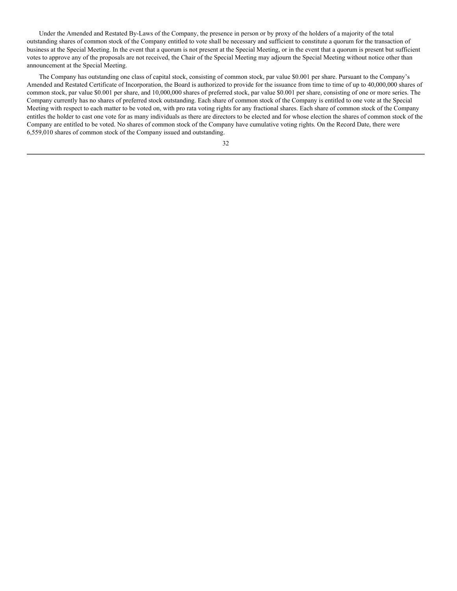Under the Amended and Restated By-Laws of the Company, the presence in person or by proxy of the holders of a majority of the total outstanding shares of common stock of the Company entitled to vote shall be necessary and sufficient to constitute a quorum for the transaction of business at the Special Meeting. In the event that a quorum is not present at the Special Meeting, or in the event that a quorum is present but sufficient votes to approve any of the proposals are not received, the Chair of the Special Meeting may adjourn the Special Meeting without notice other than announcement at the Special Meeting.

The Company has outstanding one class of capital stock, consisting of common stock, par value \$0.001 per share. Pursuant to the Company's Amended and Restated Certificate of Incorporation, the Board is authorized to provide for the issuance from time to time of up to 40,000,000 shares of common stock, par value \$0.001 per share, and 10,000,000 shares of preferred stock, par value \$0.001 per share, consisting of one or more series. The Company currently has no shares of preferred stock outstanding. Each share of common stock of the Company is entitled to one vote at the Special Meeting with respect to each matter to be voted on, with pro rata voting rights for any fractional shares. Each share of common stock of the Company entitles the holder to cast one vote for as many individuals as there are directors to be elected and for whose election the shares of common stock of the Company are entitled to be voted. No shares of common stock of the Company have cumulative voting rights. On the Record Date, there were 6,559,010 shares of common stock of the Company issued and outstanding.

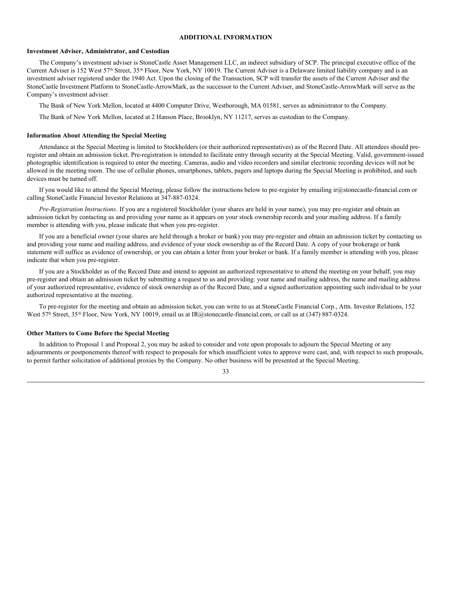#### **ADDITIONAL INFORMATION**

#### **Investment Adviser, Administrator, and Custodian**

The Company's investment adviser is StoneCastle Asset Management LLC, an indirect subsidiary of SCP. The principal executive office of the Current Adviser is 152 West 57<sup>th</sup> Street, 35<sup>th</sup> Floor, New York, NY 10019. The Current Adviser is a Delaware limited liability company and is an investment adviser registered under the 1940 Act. Upon the closing of the Transaction, SCP will transfer the assets of the Current Adviser and the StoneCastle Investment Platform to StoneCastle-ArrowMark, as the successor to the Current Adviser, and StoneCastle-ArrowMark will serve as the Company's investment adviser.

The Bank of New York Mellon, located at 4400 Computer Drive, Westborough, MA 01581, serves as administrator to the Company.

The Bank of New York Mellon, located at 2 Hanson Place, Brooklyn, NY 11217, serves as custodian to the Company.

#### **Information About Attending the Special Meeting**

Attendance at the Special Meeting is limited to Stockholders (or their authorized representatives) as of the Record Date. All attendees should preregister and obtain an admission ticket. Pre-registration is intended to facilitate entry through security at the Special Meeting. Valid, government-issued photographic identification is required to enter the meeting. Cameras, audio and video recorders and similar electronic recording devices will not be allowed in the meeting room. The use of cellular phones, smartphones, tablets, pagers and laptops during the Special Meeting is prohibited, and such devices must be turned off.

If you would like to attend the Special Meeting, please follow the instructions below to pre-register by emailing ir@stonecastle-financial.com or calling StoneCastle Financial Investor Relations at 347-887-0324.

*Pre-Registration Instructions*. If you are a registered Stockholder (your shares are held in your name), you may pre-register and obtain an admission ticket by contacting us and providing your name as it appears on your stock ownership records and your mailing address. If a family member is attending with you, please indicate that when you pre-register.

If you are a beneficial owner (your shares are held through a broker or bank) you may pre-register and obtain an admission ticket by contacting us and providing your name and mailing address, and evidence of your stock ownership as of the Record Date. A copy of your brokerage or bank statement will suffice as evidence of ownership, or you can obtain a letter from your broker or bank. If a family member is attending with you, please indicate that when you pre-register.

If you are a Stockholder as of the Record Date and intend to appoint an authorized representative to attend the meeting on your behalf, you may pre-register and obtain an admission ticket by submitting a request to us and providing: your name and mailing address, the name and mailing address of your authorized representative, evidence of stock ownership as of the Record Date, and a signed authorization appointing such individual to be your authorized representative at the meeting.

To pre-register for the meeting and obtain an admission ticket, you can write to us at StoneCastle Financial Corp., Attn. Investor Relations, 152 West 57<sup>th</sup> Street, 35<sup>th</sup> Floor, New York, NY 10019, email us at IR@stonecastle-financial.com, or call us at (347) 887-0324.

#### **Other Matters to Come Before the Special Meeting**

In addition to Proposal 1 and Proposal 2, you may be asked to consider and vote upon proposals to adjourn the Special Meeting or any adjournments or postponements thereof with respect to proposals for which insufficient votes to approve were cast, and, with respect to such proposals, to permit further solicitation of additional proxies by the Company. No other business will be presented at the Special Meeting.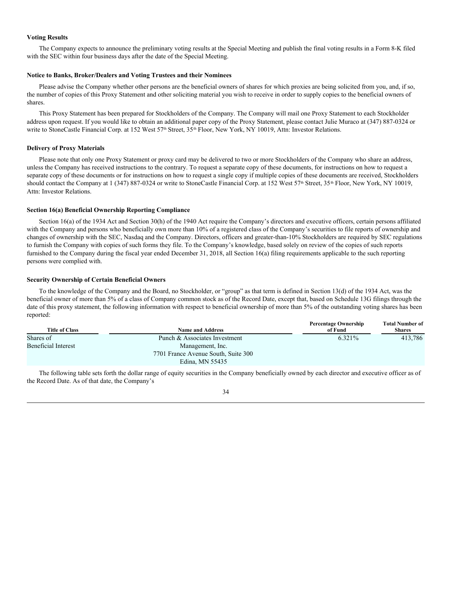#### **Voting Results**

The Company expects to announce the preliminary voting results at the Special Meeting and publish the final voting results in a Form 8-K filed with the SEC within four business days after the date of the Special Meeting.

#### **Notice to Banks, Broker/Dealers and Voting Trustees and their Nominees**

Please advise the Company whether other persons are the beneficial owners of shares for which proxies are being solicited from you, and, if so, the number of copies of this Proxy Statement and other soliciting material you wish to receive in order to supply copies to the beneficial owners of shares.

This Proxy Statement has been prepared for Stockholders of the Company. The Company will mail one Proxy Statement to each Stockholder address upon request. If you would like to obtain an additional paper copy of the Proxy Statement, please contact Julie Muraco at (347) 887-0324 or write to StoneCastle Financial Corp. at 152 West 57<sup>th</sup> Street, 35<sup>th</sup> Floor, New York, NY 10019, Attn: Investor Relations.

#### **Delivery of Proxy Materials**

Please note that only one Proxy Statement or proxy card may be delivered to two or more Stockholders of the Company who share an address, unless the Company has received instructions to the contrary. To request a separate copy of these documents, for instructions on how to request a separate copy of these documents or for instructions on how to request a single copy if multiple copies of these documents are received, Stockholders should contact the Company at 1 (347) 887-0324 or write to StoneCastle Financial Corp. at 152 West 57<sup>th</sup> Street, 35<sup>th</sup> Floor, New York, NY 10019, Attn: Investor Relations.

#### **Section 16(a) Beneficial Ownership Reporting Compliance**

Section 16(a) of the 1934 Act and Section 30(h) of the 1940 Act require the Company's directors and executive officers, certain persons affiliated with the Company and persons who beneficially own more than 10% of a registered class of the Company's securities to file reports of ownership and changes of ownership with the SEC, Nasdaq and the Company. Directors, officers and greater-than-10% Stockholders are required by SEC regulations to furnish the Company with copies of such forms they file. To the Company's knowledge, based solely on review of the copies of such reports furnished to the Company during the fiscal year ended December 31, 2018, all Section 16(a) filing requirements applicable to the such reporting persons were complied with.

#### **Security Ownership of Certain Beneficial Owners**

To the knowledge of the Company and the Board, no Stockholder, or "group" as that term is defined in Section 13(d) of the 1934 Act, was the beneficial owner of more than 5% of a class of Company common stock as of the Record Date, except that, based on Schedule 13G filings through the date of this proxy statement, the following information with respect to beneficial ownership of more than 5% of the outstanding voting shares has been reported:

|                       |                                     | <b>Percentage Ownership</b> | <b>Total Number of</b> |
|-----------------------|-------------------------------------|-----------------------------|------------------------|
| <b>Title of Class</b> | <b>Name and Address</b>             | of Fund                     | <b>Shares</b>          |
| Shares of             | Punch & Associates Investment       | $6.321\%$                   | 413.786                |
| Beneficial Interest   | Management, Inc.                    |                             |                        |
|                       | 7701 France Avenue South, Suite 300 |                             |                        |
|                       | Edina, MN 55435                     |                             |                        |

The following table sets forth the dollar range of equity securities in the Company beneficially owned by each director and executive officer as of the Record Date. As of that date, the Company's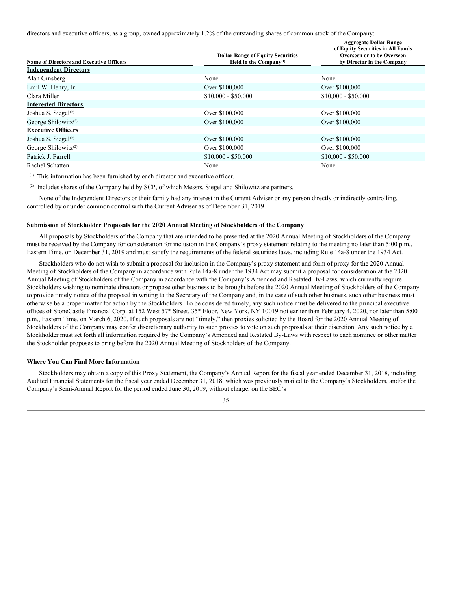directors and executive officers, as a group, owned approximately 1.2% of the outstanding shares of common stock of the Company:

| <b>Name of Directors and Executive Officers</b> | <b>Dollar Range of Equity Securities</b><br>Held in the Company <sup>(1)</sup> | <b>Aggregate Dollar Range</b><br>of Equity Securities in All Funds<br>Overseen or to be Overseen<br>by Director in the Company |
|-------------------------------------------------|--------------------------------------------------------------------------------|--------------------------------------------------------------------------------------------------------------------------------|
| <b>Independent Directors</b>                    |                                                                                |                                                                                                                                |
| Alan Ginsberg                                   | None                                                                           | None                                                                                                                           |
| Emil W. Henry, Jr.                              | Over \$100,000                                                                 | Over \$100,000                                                                                                                 |
| Clara Miller                                    | $$10,000 - $50,000$                                                            | $$10,000 - $50,000$                                                                                                            |
| <b>Interested Directors</b>                     |                                                                                |                                                                                                                                |
| Joshua S. Siegel <sup>(2)</sup>                 | Over \$100,000                                                                 | Over \$100,000                                                                                                                 |
| George Shilowitz <sup><math>(2)</math></sup>    | Over \$100,000                                                                 | Over \$100,000                                                                                                                 |
| <b>Executive Officers</b>                       |                                                                                |                                                                                                                                |
| Joshua S. Siegel $(2)$                          | Over \$100,000                                                                 | Over \$100,000                                                                                                                 |
| George Shilowitz <sup><math>(2)</math></sup>    | Over \$100,000                                                                 | Over \$100,000                                                                                                                 |
| Patrick J. Farrell                              | $$10,000 - $50,000$                                                            | $$10,000 - $50,000$                                                                                                            |
| Rachel Schatten                                 | None                                                                           | None                                                                                                                           |

(1) This information has been furnished by each director and executive officer.

(2) Includes shares of the Company held by SCP, of which Messrs. Siegel and Shilowitz are partners.

None of the Independent Directors or their family had any interest in the Current Adviser or any person directly or indirectly controlling, controlled by or under common control with the Current Adviser as of December 31, 2019.

#### **Submission of Stockholder Proposals for the 2020 Annual Meeting of Stockholders of the Company**

All proposals by Stockholders of the Company that are intended to be presented at the 2020 Annual Meeting of Stockholders of the Company must be received by the Company for consideration for inclusion in the Company's proxy statement relating to the meeting no later than 5:00 p.m., Eastern Time, on December 31, 2019 and must satisfy the requirements of the federal securities laws, including Rule 14a-8 under the 1934 Act.

Stockholders who do not wish to submit a proposal for inclusion in the Company's proxy statement and form of proxy for the 2020 Annual Meeting of Stockholders of the Company in accordance with Rule 14a-8 under the 1934 Act may submit a proposal for consideration at the 2020 Annual Meeting of Stockholders of the Company in accordance with the Company's Amended and Restated By-Laws, which currently require Stockholders wishing to nominate directors or propose other business to be brought before the 2020 Annual Meeting of Stockholders of the Company to provide timely notice of the proposal in writing to the Secretary of the Company and, in the case of such other business, such other business must otherwise be a proper matter for action by the Stockholders. To be considered timely, any such notice must be delivered to the principal executive offices of StoneCastle Financial Corp. at 152 West 57<sup>th</sup> Street, 35<sup>th</sup> Floor, New York, NY 10019 not earlier than February 4, 2020, nor later than 5:00 p.m., Eastern Time, on March 6, 2020. If such proposals are not "timely," then proxies solicited by the Board for the 2020 Annual Meeting of Stockholders of the Company may confer discretionary authority to such proxies to vote on such proposals at their discretion. Any such notice by a Stockholder must set forth all information required by the Company's Amended and Restated By-Laws with respect to each nominee or other matter the Stockholder proposes to bring before the 2020 Annual Meeting of Stockholders of the Company.

#### **Where You Can Find More Information**

Stockholders may obtain a copy of this Proxy Statement, the Company's Annual Report for the fiscal year ended December 31, 2018, including Audited Financial Statements for the fiscal year ended December 31, 2018, which was previously mailed to the Company's Stockholders, and/or the Company's Semi-Annual Report for the period ended June 30, 2019, without charge, on the SEC's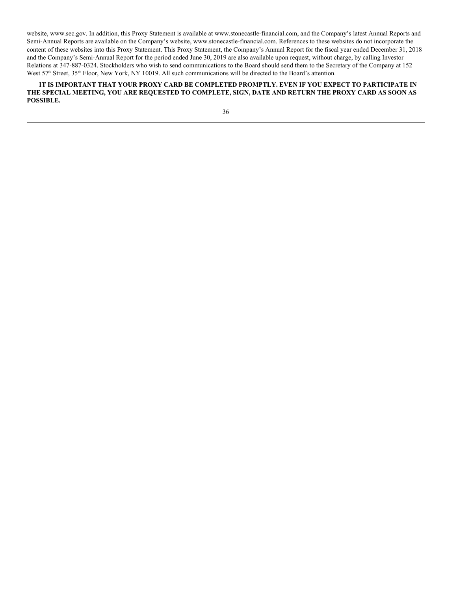website, www.sec.gov. In addition, this Proxy Statement is available at www.stonecastle-financial.com, and the Company's latest Annual Reports and Semi-Annual Reports are available on the Company's website, www.stonecastle-financial.com. References to these websites do not incorporate the content of these websites into this Proxy Statement. This Proxy Statement, the Company's Annual Report for the fiscal year ended December 31, 2018 and the Company's Semi-Annual Report for the period ended June 30, 2019 are also available upon request, without charge, by calling Investor Relations at 347-887-0324. Stockholders who wish to send communications to the Board should send them to the Secretary of the Company at 152 West 57<sup>th</sup> Street, 35<sup>th</sup> Floor, New York, NY 10019. All such communications will be directed to the Board's attention.

**IT IS IMPORTANT THAT YOUR PROXY CARD BE COMPLETED PROMPTLY. EVEN IF YOU EXPECT TO PARTICIPATE IN** THE SPECIAL MEETING, YOU ARE REQUESTED TO COMPLETE, SIGN, DATE AND RETURN THE PROXY CARD AS SOON AS **POSSIBLE.**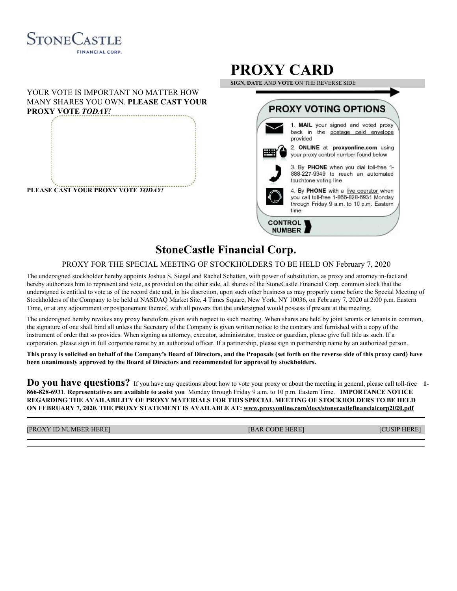

#### YOUR VOTE IS IMPORTANT NO MATTER HOW MANY SHARES YOU OWN. **PLEASE CAST YOUR PROXY VOTE** *TODAY!*



## **PROXY CARD**

**SIGN, DATE** AND **VOTE** ON THE REVERSE SIDE



## **StoneCastle Financial Corp.**

#### PROXY FOR THE SPECIAL MEETING OF STOCKHOLDERS TO BE HELD ON February 7, 2020

The undersigned stockholder hereby appoints Joshua S. Siegel and Rachel Schatten, with power of substitution, as proxy and attorney in-fact and hereby authorizes him to represent and vote, as provided on the other side, all shares of the StoneCastle Financial Corp. common stock that the undersigned is entitled to vote as of the record date and, in his discretion, upon such other business as may properly come before the Special Meeting of Stockholders of the Company to be held at NASDAQ Market Site, 4 Times Square, New York, NY 10036, on February 7, 2020 at 2:00 p.m. Eastern Time, or at any adjournment or postponement thereof, with all powers that the undersigned would possess if present at the meeting.

The undersigned hereby revokes any proxy heretofore given with respect to such meeting. When shares are held by joint tenants or tenants in common, the signature of one shall bind all unless the Secretary of the Company is given written notice to the contrary and furnished with a copy of the instrument of order that so provides. When signing as attorney, executor, administrator, trustee or guardian, please give full title as such. If a corporation, please sign in full corporate name by an authorized officer. If a partnership, please sign in partnership name by an authorized person.

This proxy is solicited on behalf of the Company's Board of Directors, and the Proposals (set forth on the reverse side of this proxy card) have **been unanimously approved by the Board of Directors and recommended for approval by stockholders.**

**Do you have questions?** If you have any questions about how to vote your proxy or about the meeting in general, please call toll-free **1- 866-828-6931**. **Representatives are available to assist you** Monday through Friday 9 a.m. to 10 p.m. Eastern Time. **IMPORTANCE NOTICE REGARDING THE AVAILABILITY OF PROXY MATERIALS FOR THIS SPECIAL MEETING OF STOCKHOLDERS TO BE HELD ON FEBRUARY 7, 2020. THE PROXY STATEMENT IS AVAILABLE AT: www.proxyonline.com/docs/stonecastlefinancialcorp2020.pdf**

[PROXY ID NUMBER HERE] [BAR CODE HERE] [CUSIP HERE]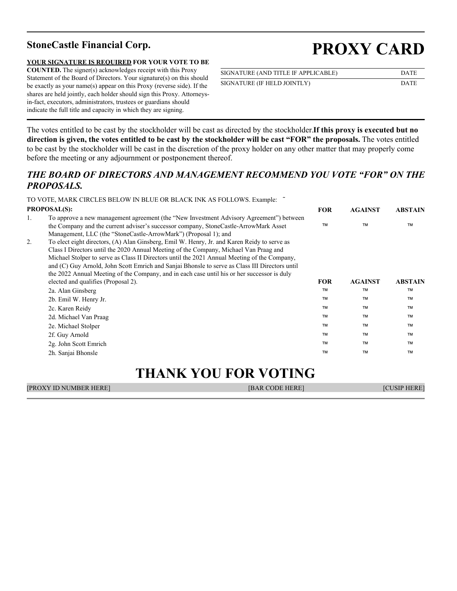#### **YOUR SIGNATURE IS REQUIRED FOR YOUR VOTE TO BE**

**COUNTED.** The signer(s) acknowledges receipt with this Proxy Statement of the Board of Directors. Your signature(s) on this should be exactly as your name(s) appear on this Proxy (reverse side). If the shares are held jointly, each holder should sign this Proxy. Attorneysin-fact, executors, administrators, trustees or guardians should indicate the full title and capacity in which they are signing.

# **StoneCastle Financial Corp. PROXY CARD**

| SIGNATURE (AND TITLE IF APPLICABLE) | <b>DATE</b> |
|-------------------------------------|-------------|
| SIGNATURE (IF HELD JOINTLY)         | <b>DATE</b> |

The votes entitled to be cast by the stockholder will be cast as directed by the stockholder.**If this proxy is executed but no** direction is given, the votes entitled to be cast by the stockholder will be cast "FOR" the proposals. The votes entitled to be cast by the stockholder will be cast in the discretion of the proxy holder on any other matter that may properly come before the meeting or any adjournment or postponement thereof.

### *THE BOARD OF DIRECTORS AND MANAGEMENT RECOMMEND YOU VOTE "FOR" ON THE PROPOSALS.*

|    | TO VOTE, MARK CIRCLES BELOW IN BLUE OR BLACK INK AS FOLLOWS. Example:                                                                                                                                                                                                                                                                                                                                                                                                                 |            |                |                |
|----|---------------------------------------------------------------------------------------------------------------------------------------------------------------------------------------------------------------------------------------------------------------------------------------------------------------------------------------------------------------------------------------------------------------------------------------------------------------------------------------|------------|----------------|----------------|
|    | <b>PROPOSAL(S):</b>                                                                                                                                                                                                                                                                                                                                                                                                                                                                   | <b>FOR</b> | <b>AGAINST</b> | <b>ABSTAIN</b> |
| 1. | To approve a new management agreement (the "New Investment Advisory Agreement") between<br>the Company and the current adviser's successor company, StoneCastle-ArrowMark Asset<br>Management, LLC (the "StoneCastle-ArrowMark") (Proposal 1); and                                                                                                                                                                                                                                    | <b>TM</b>  | <b>TM</b>      | TM             |
| 2. | To elect eight directors, (A) Alan Ginsberg, Emil W. Henry, Jr. and Karen Reidy to serve as<br>Class I Directors until the 2020 Annual Meeting of the Company, Michael Van Praag and<br>Michael Stolper to serve as Class II Directors until the 2021 Annual Meeting of the Company,<br>and (C) Guy Arnold, John Scott Emrich and Sanjai Bhonsle to serve as Class III Directors until<br>the 2022 Annual Meeting of the Company, and in each case until his or her successor is duly |            |                |                |
|    | elected and qualifies (Proposal 2).                                                                                                                                                                                                                                                                                                                                                                                                                                                   | <b>FOR</b> | <b>AGAINST</b> | <b>ABSTAIN</b> |
|    | 2a. Alan Ginsberg                                                                                                                                                                                                                                                                                                                                                                                                                                                                     | <b>TM</b>  | <b>TM</b>      | TM             |
|    | 2b. Emil W. Henry Jr.                                                                                                                                                                                                                                                                                                                                                                                                                                                                 | <b>TM</b>  | <b>TM</b>      | TM             |
|    | 2c. Karen Reidy                                                                                                                                                                                                                                                                                                                                                                                                                                                                       | <b>TM</b>  | <b>TM</b>      | <b>TM</b>      |
|    | 2d. Michael Van Praag                                                                                                                                                                                                                                                                                                                                                                                                                                                                 | <b>TM</b>  | <b>TM</b>      | <b>TM</b>      |
|    | 2e. Michael Stolper                                                                                                                                                                                                                                                                                                                                                                                                                                                                   | <b>TM</b>  | <b>TM</b>      | TM             |
|    | 2f. Guy Arnold                                                                                                                                                                                                                                                                                                                                                                                                                                                                        | <b>TM</b>  | <b>TM</b>      | TM             |
|    | 2g. John Scott Emrich                                                                                                                                                                                                                                                                                                                                                                                                                                                                 | <b>TM</b>  | <b>TM</b>      | <b>TM</b>      |
|    | 2h. Sanjai Bhonsle                                                                                                                                                                                                                                                                                                                                                                                                                                                                    | <b>TM</b>  | <b>TM</b>      | <b>TM</b>      |

## **THANK YOU FOR VOTING**

| <b>[PROXY ID NUMBER HERE]</b> | <b>IBAR CODE HEREI</b> | $\ell$ and $\ell$ in $\Gamma$ in $\Gamma$ in $\Gamma$ is $\ell$ in $\ell$ in $\ell$ in $\ell$ in $\ell$ in $\ell$ in $\ell$ in $\ell$ in $\ell$ in $\ell$ in $\ell$ in $\ell$ in $\ell$ in $\ell$ in $\ell$ in $\ell$ in $\ell$ in $\ell$ in $\ell$ in $\ell$ in $\ell$ in $\ell$ in $\ell$<br><b>HEKE</b> |
|-------------------------------|------------------------|------------------------------------------------------------------------------------------------------------------------------------------------------------------------------------------------------------------------------------------------------------------------------------------------------------|
|                               |                        |                                                                                                                                                                                                                                                                                                            |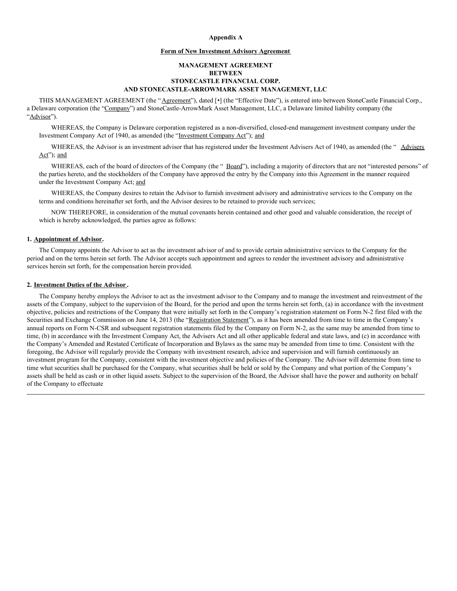#### **Appendix A**

#### **Form of New Investment Advisory Agreement**

#### **MANAGEMENT AGREEMENT BETWEEN STONECASTLE FINANCIAL CORP. AND STONECASTLE-ARROWMARK ASSET MANAGEMENT, LLC**

THIS MANAGEMENT AGREEMENT (the "Agreement"), dated [.] (the "Effective Date"), is entered into between StoneCastle Financial Corp., a Delaware corporation (the "Company") and StoneCastle-ArrowMark Asset Management, LLC, a Delaware limited liability company (the "Advisor").

WHEREAS, the Company is Delaware corporation registered as a non-diversified, closed-end management investment company under the Investment Company Act of 1940, as amended (the "Investment Company Act"); and

WHEREAS, the Advisor is an investment advisor that has registered under the Investment Advisers Act of 1940, as amended (the "Advisers Act"; and

WHEREAS, each of the board of directors of the Company (the " Board"), including a majority of directors that are not "interested persons" of the parties hereto, and the stockholders of the Company have approved the entry by the Company into this Agreement in the manner required under the Investment Company Act; and

WHEREAS, the Company desires to retain the Advisor to furnish investment advisory and administrative services to the Company on the terms and conditions hereinafter set forth, and the Advisor desires to be retained to provide such services;

NOW THEREFORE, in consideration of the mutual covenants herein contained and other good and valuable consideration, the receipt of which is hereby acknowledged, the parties agree as follows:

#### **1. Appointment of Advisor.**

The Company appoints the Advisor to act as the investment advisor of and to provide certain administrative services to the Company for the period and on the terms herein set forth. The Advisor accepts such appointment and agrees to render the investment advisory and administrative services herein set forth, for the compensation herein provided.

#### **2. Investment Duties of the Advisor .**

The Company hereby employs the Advisor to act as the investment advisor to the Company and to manage the investment and reinvestment of the assets of the Company, subject to the supervision of the Board, for the period and upon the terms herein set forth, (a) in accordance with the investment objective, policies and restrictions of the Company that were initially set forth in the Company's registration statement on Form N-2 first filed with the Securities and Exchange Commission on June 14, 2013 (the "Registration Statement"), as it has been amended from time to time in the Company's annual reports on Form N-CSR and subsequent registration statements filed by the Company on Form N-2, as the same may be amended from time to time, (b) in accordance with the Investment Company Act, the Advisers Act and all other applicable federal and state laws, and (c) in accordance with the Company's Amended and Restated Certificate of Incorporation and Bylaws as the same may be amended from time to time. Consistent with the foregoing, the Advisor will regularly provide the Company with investment research, advice and supervision and will furnish continuously an investment program for the Company, consistent with the investment objective and policies of the Company. The Advisor will determine from time to time what securities shall be purchased for the Company, what securities shall be held or sold by the Company and what portion of the Company's assets shall be held as cash or in other liquid assets. Subject to the supervision of the Board, the Advisor shall have the power and authority on behalf of the Company to effectuate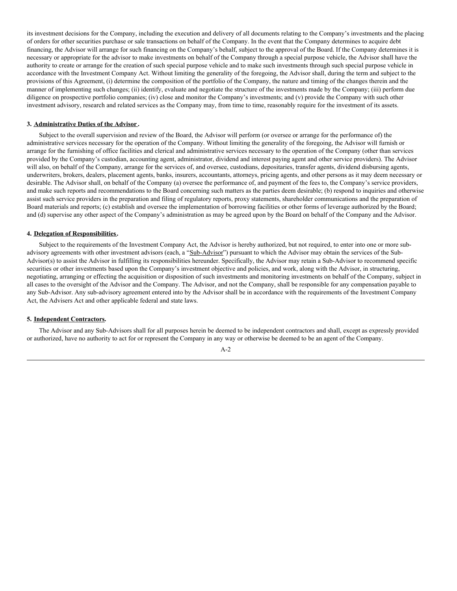its investment decisions for the Company, including the execution and delivery of all documents relating to the Company's investments and the placing of orders for other securities purchase or sale transactions on behalf of the Company. In the event that the Company determines to acquire debt financing, the Advisor will arrange for such financing on the Company's behalf, subject to the approval of the Board. If the Company determines it is necessary or appropriate for the advisor to make investments on behalf of the Company through a special purpose vehicle, the Advisor shall have the authority to create or arrange for the creation of such special purpose vehicle and to make such investments through such special purpose vehicle in accordance with the Investment Company Act. Without limiting the generality of the foregoing, the Advisor shall, during the term and subject to the provisions of this Agreement, (i) determine the composition of the portfolio of the Company, the nature and timing of the changes therein and the manner of implementing such changes; (ii) identify, evaluate and negotiate the structure of the investments made by the Company; (iii) perform due diligence on prospective portfolio companies; (iv) close and monitor the Company's investments; and (v) provide the Company with such other investment advisory, research and related services as the Company may, from time to time, reasonably require for the investment of its assets.

#### **3. Administrative Duties of the Advisor .**

Subject to the overall supervision and review of the Board, the Advisor will perform (or oversee or arrange for the performance of) the administrative services necessary for the operation of the Company. Without limiting the generality of the foregoing, the Advisor will furnish or arrange for the furnishing of office facilities and clerical and administrative services necessary to the operation of the Company (other than services provided by the Company's custodian, accounting agent, administrator, dividend and interest paying agent and other service providers). The Advisor will also, on behalf of the Company, arrange for the services of, and oversee, custodians, depositaries, transfer agents, dividend disbursing agents, underwriters, brokers, dealers, placement agents, banks, insurers, accountants, attorneys, pricing agents, and other persons as it may deem necessary or desirable. The Advisor shall, on behalf of the Company (a) oversee the performance of, and payment of the fees to, the Company's service providers, and make such reports and recommendations to the Board concerning such matters as the parties deem desirable; (b) respond to inquiries and otherwise assist such service providers in the preparation and filing of regulatory reports, proxy statements, shareholder communications and the preparation of Board materials and reports; (c) establish and oversee the implementation of borrowing facilities or other forms of leverage authorized by the Board; and (d) supervise any other aspect of the Company's administration as may be agreed upon by the Board on behalf of the Company and the Advisor.

#### **4. Delegation of Responsibilities.**

Subject to the requirements of the Investment Company Act, the Advisor is hereby authorized, but not required, to enter into one or more subadvisory agreements with other investment advisors (each, a "Sub-Advisor") pursuant to which the Advisor may obtain the services of the Sub-Advisor(s) to assist the Advisor in fulfilling its responsibilities hereunder. Specifically, the Advisor may retain a Sub-Advisor to recommend specific securities or other investments based upon the Company's investment objective and policies, and work, along with the Advisor, in structuring, negotiating, arranging or effecting the acquisition or disposition of such investments and monitoring investments on behalf of the Company, subject in all cases to the oversight of the Advisor and the Company. The Advisor, and not the Company, shall be responsible for any compensation payable to any Sub-Advisor. Any sub-advisory agreement entered into by the Advisor shall be in accordance with the requirements of the Investment Company Act, the Advisers Act and other applicable federal and state laws.

#### **5. Independent Contractors.**

The Advisor and any Sub-Advisors shall for all purposes herein be deemed to be independent contractors and shall, except as expressly provided or authorized, have no authority to act for or represent the Company in any way or otherwise be deemed to be an agent of the Company.

A-2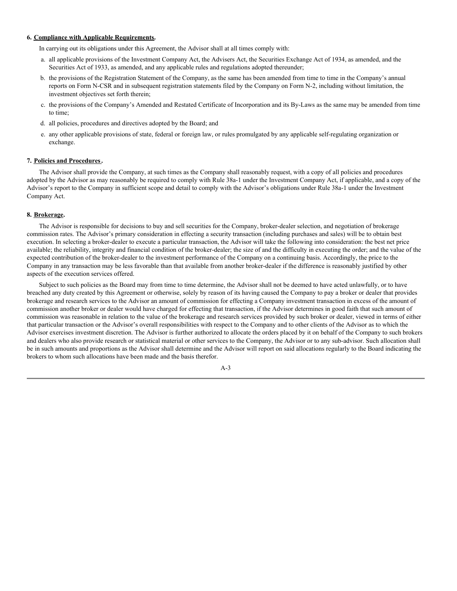#### **6. Compliance with Applicable Requirements.**

In carrying out its obligations under this Agreement, the Advisor shall at all times comply with:

- a. all applicable provisions of the Investment Company Act, the Advisers Act, the Securities Exchange Act of 1934, as amended, and the Securities Act of 1933, as amended, and any applicable rules and regulations adopted thereunder;
- b. the provisions of the Registration Statement of the Company, as the same has been amended from time to time in the Company's annual reports on Form N-CSR and in subsequent registration statements filed by the Company on Form N-2, including without limitation, the investment objectives set forth therein;
- c. the provisions of the Company's Amended and Restated Certificate of Incorporation and its By-Laws as the same may be amended from time to time;
- d. all policies, procedures and directives adopted by the Board; and
- e. any other applicable provisions of state, federal or foreign law, or rules promulgated by any applicable self-regulating organization or exchange.

#### **7. Policies and Procedures.**

The Advisor shall provide the Company, at such times as the Company shall reasonably request, with a copy of all policies and procedures adopted by the Advisor as may reasonably be required to comply with Rule 38a-1 under the Investment Company Act, if applicable, and a copy of the Advisor's report to the Company in sufficient scope and detail to comply with the Advisor's obligations under Rule 38a-1 under the Investment Company Act.

#### **8. Brokerage.**

The Advisor is responsible for decisions to buy and sell securities for the Company, broker-dealer selection, and negotiation of brokerage commission rates. The Advisor's primary consideration in effecting a security transaction (including purchases and sales) will be to obtain best execution. In selecting a broker-dealer to execute a particular transaction, the Advisor will take the following into consideration: the best net price available; the reliability, integrity and financial condition of the broker-dealer; the size of and the difficulty in executing the order; and the value of the expected contribution of the broker-dealer to the investment performance of the Company on a continuing basis. Accordingly, the price to the Company in any transaction may be less favorable than that available from another broker-dealer if the difference is reasonably justified by other aspects of the execution services offered.

Subject to such policies as the Board may from time to time determine, the Advisor shall not be deemed to have acted unlawfully, or to have breached any duty created by this Agreement or otherwise, solely by reason of its having caused the Company to pay a broker or dealer that provides brokerage and research services to the Advisor an amount of commission for effecting a Company investment transaction in excess of the amount of commission another broker or dealer would have charged for effecting that transaction, if the Advisor determines in good faith that such amount of commission was reasonable in relation to the value of the brokerage and research services provided by such broker or dealer, viewed in terms of either that particular transaction or the Advisor's overall responsibilities with respect to the Company and to other clients of the Advisor as to which the Advisor exercises investment discretion. The Advisor is further authorized to allocate the orders placed by it on behalf of the Company to such brokers and dealers who also provide research or statistical material or other services to the Company, the Advisor or to any sub-advisor. Such allocation shall be in such amounts and proportions as the Advisor shall determine and the Advisor will report on said allocations regularly to the Board indicating the brokers to whom such allocations have been made and the basis therefor.

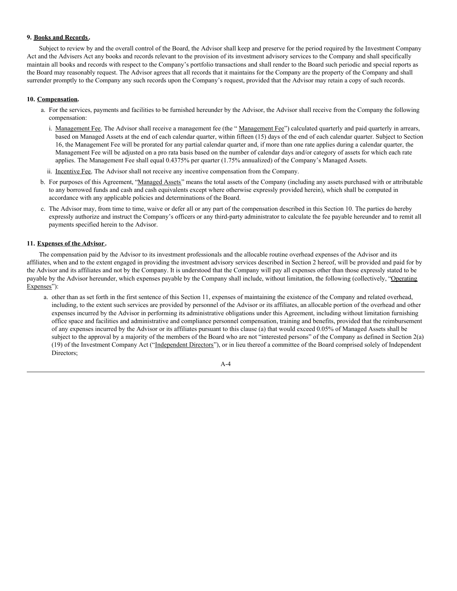#### **9. Books and Records.**

Subject to review by and the overall control of the Board, the Advisor shall keep and preserve for the period required by the Investment Company Act and the Advisers Act any books and records relevant to the provision of its investment advisory services to the Company and shall specifically maintain all books and records with respect to the Company's portfolio transactions and shall render to the Board such periodic and special reports as the Board may reasonably request. The Advisor agrees that all records that it maintains for the Company are the property of the Company and shall surrender promptly to the Company any such records upon the Company's request, provided that the Advisor may retain a copy of such records.

#### **10. Compensation.**

- a. For the services, payments and facilities to be furnished hereunder by the Advisor, the Advisor shall receive from the Company the following compensation:
	- i. Management Fee. The Advisor shall receive a management fee (the "Management Fee") calculated quarterly and paid quarterly in arrears, based on Managed Assets at the end of each calendar quarter, within fifteen (15) days of the end of each calendar quarter. Subject to Section 16, the Management Fee will be prorated for any partial calendar quarter and, if more than one rate applies during a calendar quarter, the Management Fee will be adjusted on a pro rata basis based on the number of calendar days and/or category of assets for which each rate applies. The Management Fee shall equal 0.4375% per quarter (1.75% annualized) of the Company's Managed Assets.
- ii. Incentive Fee. The Advisor shall not receive any incentive compensation from the Company.
- b. For purposes of this Agreement, "Managed Assets" means the total assets of the Company (including any assets purchased with or attributable to any borrowed funds and cash and cash equivalents except where otherwise expressly provided herein), which shall be computed in accordance with any applicable policies and determinations of the Board.
- c. The Advisor may, from time to time, waive or defer all or any part of the compensation described in this Section 10. The parties do hereby expressly authorize and instruct the Company's officers or any third-party administrator to calculate the fee payable hereunder and to remit all payments specified herein to the Advisor.

#### **11. Expenses of the Advisor .**

The compensation paid by the Advisor to its investment professionals and the allocable routine overhead expenses of the Advisor and its affiliates, when and to the extent engaged in providing the investment advisory services described in Section 2 hereof, will be provided and paid for by the Advisor and its affiliates and not by the Company. It is understood that the Company will pay all expenses other than those expressly stated to be payable by the Advisor hereunder, which expenses payable by the Company shall include, without limitation, the following (collectively, "Operating Expenses"):

a. other than as set forth in the first sentence of this Section 11, expenses of maintaining the existence of the Company and related overhead, including, to the extent such services are provided by personnel of the Advisor or its affiliates, an allocable portion of the overhead and other expenses incurred by the Advisor in performing its administrative obligations under this Agreement, including without limitation furnishing office space and facilities and administrative and compliance personnel compensation, training and benefits, provided that the reimbursement of any expenses incurred by the Advisor or its affiliates pursuant to this clause (a) that would exceed 0.05% of Managed Assets shall be subject to the approval by a majority of the members of the Board who are not "interested persons" of the Company as defined in Section 2(a) (19) of the Investment Company Act ("Independent Directors"), or in lieu thereof a committee of the Board comprised solely of Independent Directors;

$$
A-4
$$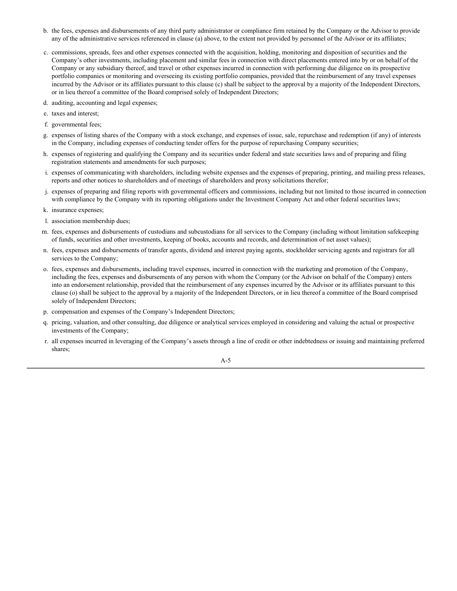- b. the fees, expenses and disbursements of any third party administrator or compliance firm retained by the Company or the Advisor to provide any of the administrative services referenced in clause (a) above, to the extent not provided by personnel of the Advisor or its affiliates;
- c. commissions, spreads, fees and other expenses connected with the acquisition, holding, monitoring and disposition of securities and the Company's other investments, including placement and similar fees in connection with direct placements entered into by or on behalf of the Company or any subsidiary thereof, and travel or other expenses incurred in connection with performing due diligence on its prospective portfolio companies or monitoring and overseeing its existing portfolio companies, provided that the reimbursement of any travel expenses incurred by the Advisor or its affiliates pursuant to this clause (c) shall be subject to the approval by a majority of the Independent Directors, or in lieu thereof a committee of the Board comprised solely of Independent Directors;
- d. auditing, accounting and legal expenses;
- e. taxes and interest;
- f. governmental fees;
- g. expenses of listing shares of the Company with a stock exchange, and expenses of issue, sale, repurchase and redemption (if any) of interests in the Company, including expenses of conducting tender offers for the purpose of repurchasing Company securities;
- h. expenses of registering and qualifying the Company and its securities under federal and state securities laws and of preparing and filing registration statements and amendments for such purposes;
- i. expenses of communicating with shareholders, including website expenses and the expenses of preparing, printing, and mailing press releases, reports and other notices to shareholders and of meetings of shareholders and proxy solicitations therefor;
- j. expenses of preparing and filing reports with governmental officers and commissions, including but not limited to those incurred in connection with compliance by the Company with its reporting obligations under the Investment Company Act and other federal securities laws;
- k. insurance expenses;
- l. association membership dues;
- m. fees, expenses and disbursements of custodians and subcustodians for all services to the Company (including without limitation safekeeping of funds, securities and other investments, keeping of books, accounts and records, and determination of net asset values);
- n. fees, expenses and disbursements of transfer agents, dividend and interest paying agents, stockholder servicing agents and registrars for all services to the Company;
- o. fees, expenses and disbursements, including travel expenses, incurred in connection with the marketing and promotion of the Company, including the fees, expenses and disbursements of any person with whom the Company (or the Advisor on behalf of the Company) enters into an endorsement relationship, provided that the reimbursement of any expenses incurred by the Advisor or its affiliates pursuant to this clause (o) shall be subject to the approval by a majority of the Independent Directors, or in lieu thereof a committee of the Board comprised solely of Independent Directors;
- p. compensation and expenses of the Company's Independent Directors;
- q. pricing, valuation, and other consulting, due diligence or analytical services employed in considering and valuing the actual or prospective investments of the Company;
- r. all expenses incurred in leveraging of the Company's assets through a line of credit or other indebtedness or issuing and maintaining preferred shares;

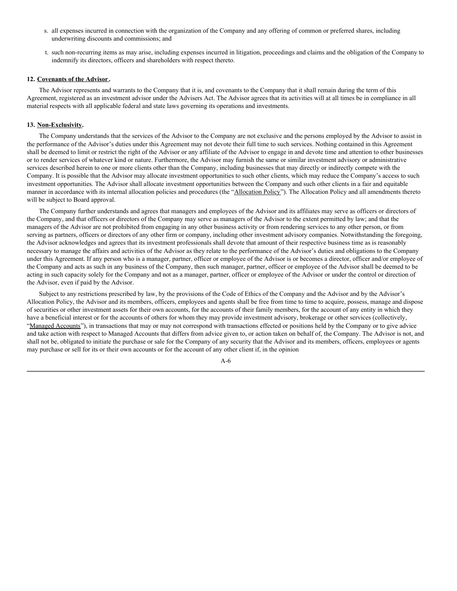- s. all expenses incurred in connection with the organization of the Company and any offering of common or preferred shares, including underwriting discounts and commissions; and
- t. such non-recurring items as may arise, including expenses incurred in litigation, proceedings and claims and the obligation of the Company to indemnify its directors, officers and shareholders with respect thereto.

#### **12. Covenants of the Advisor .**

The Advisor represents and warrants to the Company that it is, and covenants to the Company that it shall remain during the term of this Agreement, registered as an investment advisor under the Advisers Act. The Advisor agrees that its activities will at all times be in compliance in all material respects with all applicable federal and state laws governing its operations and investments.

#### **13. Non-Exclusivity.**

The Company understands that the services of the Advisor to the Company are not exclusive and the persons employed by the Advisor to assist in the performance of the Advisor's duties under this Agreement may not devote their full time to such services. Nothing contained in this Agreement shall be deemed to limit or restrict the right of the Advisor or any affiliate of the Advisor to engage in and devote time and attention to other businesses or to render services of whatever kind or nature. Furthermore, the Advisor may furnish the same or similar investment advisory or administrative services described herein to one or more clients other than the Company, including businesses that may directly or indirectly compete with the Company. It is possible that the Advisor may allocate investment opportunities to such other clients, which may reduce the Company's access to such investment opportunities. The Advisor shall allocate investment opportunities between the Company and such other clients in a fair and equitable manner in accordance with its internal allocation policies and procedures (the "Allocation Policy"). The Allocation Policy and all amendments thereto will be subject to Board approval.

The Company further understands and agrees that managers and employees of the Advisor and its affiliates may serve as officers or directors of the Company, and that officers or directors of the Company may serve as managers of the Advisor to the extent permitted by law; and that the managers of the Advisor are not prohibited from engaging in any other business activity or from rendering services to any other person, or from serving as partners, officers or directors of any other firm or company, including other investment advisory companies. Notwithstanding the foregoing, the Advisor acknowledges and agrees that its investment professionals shall devote that amount of their respective business time as is reasonably necessary to manage the affairs and activities of the Advisor as they relate to the performance of the Advisor's duties and obligations to the Company under this Agreement. If any person who is a manager, partner, officer or employee of the Advisor is or becomes a director, officer and/or employee of the Company and acts as such in any business of the Company, then such manager, partner, officer or employee of the Advisor shall be deemed to be acting in such capacity solely for the Company and not as a manager, partner, officer or employee of the Advisor or under the control or direction of the Advisor, even if paid by the Advisor.

Subject to any restrictions prescribed by law, by the provisions of the Code of Ethics of the Company and the Advisor and by the Advisor's Allocation Policy, the Advisor and its members, officers, employees and agents shall be free from time to time to acquire, possess, manage and dispose of securities or other investment assets for their own accounts, for the accounts of their family members, for the account of any entity in which they have a beneficial interest or for the accounts of others for whom they may provide investment advisory, brokerage or other services (collectively, "Managed Accounts"), in transactions that may or may not correspond with transactions effected or positions held by the Company or to give advice and take action with respect to Managed Accounts that differs from advice given to, or action taken on behalf of, the Company. The Advisor is not, and shall not be, obligated to initiate the purchase or sale for the Company of any security that the Advisor and its members, officers, employees or agents may purchase or sell for its or their own accounts or for the account of any other client if, in the opinion

A-6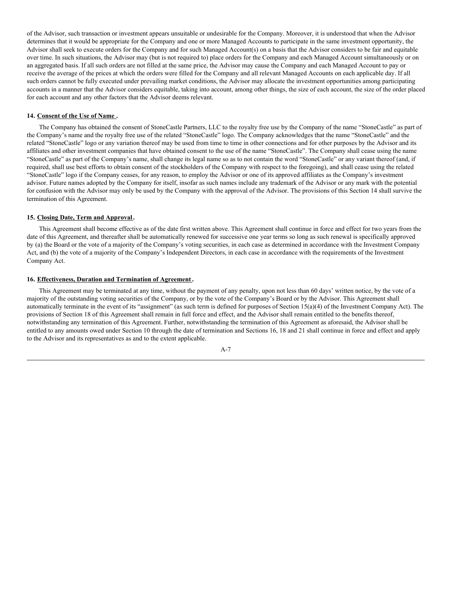of the Advisor, such transaction or investment appears unsuitable or undesirable for the Company. Moreover, it is understood that when the Advisor determines that it would be appropriate for the Company and one or more Managed Accounts to participate in the same investment opportunity, the Advisor shall seek to execute orders for the Company and for such Managed Account(s) on a basis that the Advisor considers to be fair and equitable over time. In such situations, the Advisor may (but is not required to) place orders for the Company and each Managed Account simultaneously or on an aggregated basis. If all such orders are not filled at the same price, the Advisor may cause the Company and each Managed Account to pay or receive the average of the prices at which the orders were filled for the Company and all relevant Managed Accounts on each applicable day. If all such orders cannot be fully executed under prevailing market conditions, the Advisor may allocate the investment opportunities among participating accounts in a manner that the Advisor considers equitable, taking into account, among other things, the size of each account, the size of the order placed for each account and any other factors that the Advisor deems relevant.

#### **14. Consent of the Use of Name .**

The Company has obtained the consent of StoneCastle Partners, LLC to the royalty free use by the Company of the name "StoneCastle" as part of the Company's name and the royalty free use of the related "StoneCastle" logo. The Company acknowledges that the name "StoneCastle" and the related "StoneCastle" logo or any variation thereof may be used from time to time in other connections and for other purposes by the Advisor and its affiliates and other investment companies that have obtained consent to the use of the name "StoneCastle". The Company shall cease using the name "StoneCastle" as part of the Company's name, shall change its legal name so as to not contain the word "StoneCastle" or any variant thereof (and, if required, shall use best efforts to obtain consent of the stockholders of the Company with respect to the foregoing), and shall cease using the related "StoneCastle" logo if the Company ceases, for any reason, to employ the Advisor or one of its approved affiliates as the Company's investment advisor. Future names adopted by the Company for itself, insofar as such names include any trademark of the Advisor or any mark with the potential for confusion with the Advisor may only be used by the Company with the approval of the Advisor. The provisions of this Section 14 shall survive the termination of this Agreement.

#### **15. Closing Date, Term and Approval.**

This Agreement shall become effective as of the date first written above. This Agreement shall continue in force and effect for two years from the date of this Agreement, and thereafter shall be automatically renewed for successive one year terms so long as such renewal is specifically approved by (a) the Board or the vote of a majority of the Company's voting securities, in each case as determined in accordance with the Investment Company Act, and (b) the vote of a majority of the Company's Independent Directors, in each case in accordance with the requirements of the Investment Company Act.

#### **16. Effectiveness, Duration and Termination of Agreement .**

This Agreement may be terminated at any time, without the payment of any penalty, upon not less than 60 days' written notice, by the vote of a majority of the outstanding voting securities of the Company, or by the vote of the Company's Board or by the Advisor. This Agreement shall automatically terminate in the event of its "assignment" (as such term is defined for purposes of Section 15(a)(4) of the Investment Company Act). The provisions of Section 18 of this Agreement shall remain in full force and effect, and the Advisor shall remain entitled to the benefits thereof, notwithstanding any termination of this Agreement. Further, notwithstanding the termination of this Agreement as aforesaid, the Advisor shall be entitled to any amounts owed under Section 10 through the date of termination and Sections 16, 18 and 21 shall continue in force and effect and apply to the Advisor and its representatives as and to the extent applicable.

$$
A-7
$$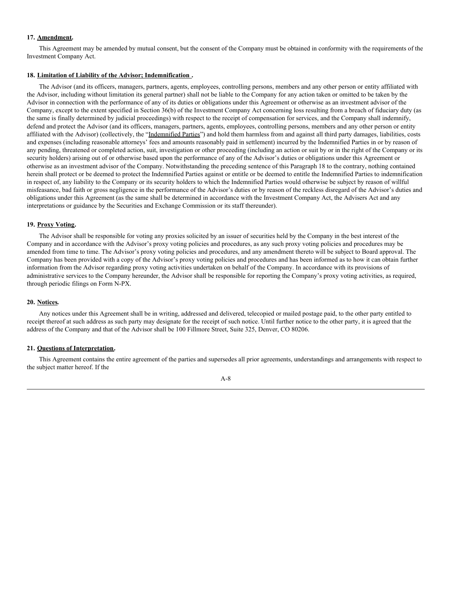#### **17. Amendment.**

This Agreement may be amended by mutual consent, but the consent of the Company must be obtained in conformity with the requirements of the Investment Company Act.

#### **18. Limitation of Liability of the Advisor; Indemnification .**

The Advisor (and its officers, managers, partners, agents, employees, controlling persons, members and any other person or entity affiliated with the Advisor, including without limitation its general partner) shall not be liable to the Company for any action taken or omitted to be taken by the Advisor in connection with the performance of any of its duties or obligations under this Agreement or otherwise as an investment advisor of the Company, except to the extent specified in Section 36(b) of the Investment Company Act concerning loss resulting from a breach of fiduciary duty (as the same is finally determined by judicial proceedings) with respect to the receipt of compensation for services, and the Company shall indemnify, defend and protect the Advisor (and its officers, managers, partners, agents, employees, controlling persons, members and any other person or entity affiliated with the Advisor) (collectively, the "Indemnified Parties") and hold them harmless from and against all third party damages, liabilities, costs and expenses (including reasonable attorneys' fees and amounts reasonably paid in settlement) incurred by the Indemnified Parties in or by reason of any pending, threatened or completed action, suit, investigation or other proceeding (including an action or suit by or in the right of the Company or its security holders) arising out of or otherwise based upon the performance of any of the Advisor's duties or obligations under this Agreement or otherwise as an investment advisor of the Company. Notwithstanding the preceding sentence of this Paragraph 18 to the contrary, nothing contained herein shall protect or be deemed to protect the Indemnified Parties against or entitle or be deemed to entitle the Indemnified Parties to indemnification in respect of, any liability to the Company or its security holders to which the Indemnified Parties would otherwise be subject by reason of willful misfeasance, bad faith or gross negligence in the performance of the Advisor's duties or by reason of the reckless disregard of the Advisor's duties and obligations under this Agreement (as the same shall be determined in accordance with the Investment Company Act, the Advisers Act and any interpretations or guidance by the Securities and Exchange Commission or its staff thereunder).

#### **19. Proxy Voting.**

The Advisor shall be responsible for voting any proxies solicited by an issuer of securities held by the Company in the best interest of the Company and in accordance with the Advisor's proxy voting policies and procedures, as any such proxy voting policies and procedures may be amended from time to time. The Advisor's proxy voting policies and procedures, and any amendment thereto will be subject to Board approval. The Company has been provided with a copy of the Advisor's proxy voting policies and procedures and has been informed as to how it can obtain further information from the Advisor regarding proxy voting activities undertaken on behalf of the Company. In accordance with its provisions of administrative services to the Company hereunder, the Advisor shall be responsible for reporting the Company's proxy voting activities, as required, through periodic filings on Form N-PX.

#### **20. Notices.**

Any notices under this Agreement shall be in writing, addressed and delivered, telecopied or mailed postage paid, to the other party entitled to receipt thereof at such address as such party may designate for the receipt of such notice. Until further notice to the other party, it is agreed that the address of the Company and that of the Advisor shall be 100 Fillmore Street, Suite 325, Denver, CO 80206.

#### **21. Questions of Interpretation.**

This Agreement contains the entire agreement of the parties and supersedes all prior agreements, understandings and arrangements with respect to the subject matter hereof. If the

A-8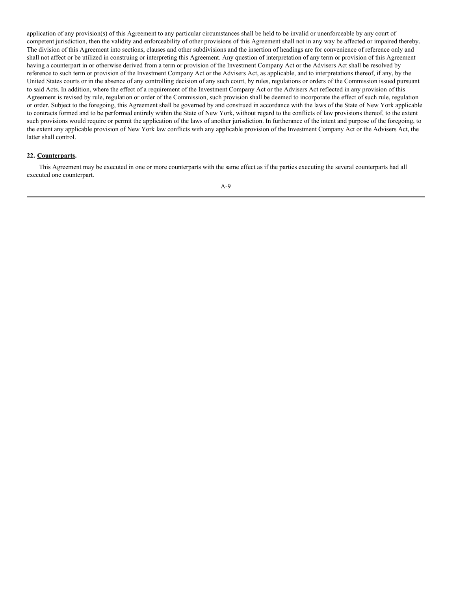application of any provision(s) of this Agreement to any particular circumstances shall be held to be invalid or unenforceable by any court of competent jurisdiction, then the validity and enforceability of other provisions of this Agreement shall not in any way be affected or impaired thereby. The division of this Agreement into sections, clauses and other subdivisions and the insertion of headings are for convenience of reference only and shall not affect or be utilized in construing or interpreting this Agreement. Any question of interpretation of any term or provision of this Agreement having a counterpart in or otherwise derived from a term or provision of the Investment Company Act or the Advisers Act shall be resolved by reference to such term or provision of the Investment Company Act or the Advisers Act, as applicable, and to interpretations thereof, if any, by the United States courts or in the absence of any controlling decision of any such court, by rules, regulations or orders of the Commission issued pursuant to said Acts. In addition, where the effect of a requirement of the Investment Company Act or the Advisers Act reflected in any provision of this Agreement is revised by rule, regulation or order of the Commission, such provision shall be deemed to incorporate the effect of such rule, regulation or order. Subject to the foregoing, this Agreement shall be governed by and construed in accordance with the laws of the State of New York applicable to contracts formed and to be performed entirely within the State of New York, without regard to the conflicts of law provisions thereof, to the extent such provisions would require or permit the application of the laws of another jurisdiction. In furtherance of the intent and purpose of the foregoing, to the extent any applicable provision of New York law conflicts with any applicable provision of the Investment Company Act or the Advisers Act, the latter shall control.

#### **22. Counterparts.**

This Agreement may be executed in one or more counterparts with the same effect as if the parties executing the several counterparts had all executed one counterpart.

A-9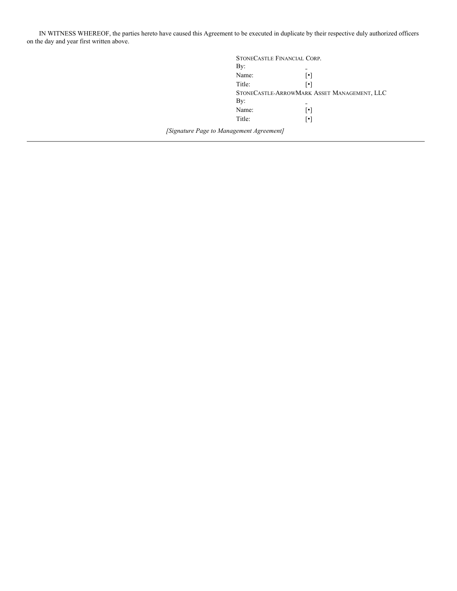IN WITNESS WHEREOF, the parties hereto have caused this Agreement to be executed in duplicate by their respective duly authorized officers on the day and year first written above.

| STONECASTLE FINANCIAL CORP.                                 |                                             |
|-------------------------------------------------------------|---------------------------------------------|
| By:                                                         |                                             |
| Name:                                                       | $\lceil \bullet \rceil$                     |
| Title:                                                      | $\lceil \bullet \rceil$                     |
|                                                             | STONECASTLE-ARROWMARK ASSET MANAGEMENT, LLC |
| By:                                                         |                                             |
| Name:                                                       | $\lceil \bullet \rceil$                     |
| Title:                                                      | $\lceil \bullet \rceil$                     |
| $\ldots$ . A function of the second state of $\overline{I}$ |                                             |

*[Signature Page to Management Agreement]*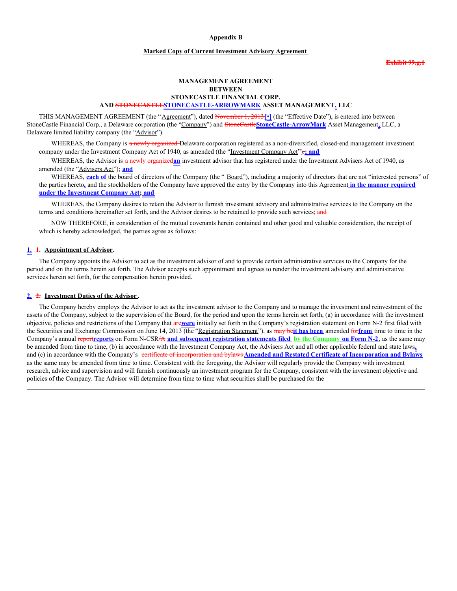#### **Appendix B**

#### **Marked Copy of Current Investment Advisory Agreement**

**Exhibit 99.g.1**

#### **MANAGEMENT AGREEMENT BETWEEN STONECASTLE FINANCIAL CORP. AND STONECASTLESTONECASTLE-ARROWMARK ASSET MANAGEMENT, LLC**

THIS MANAGEMENT AGREEMENT (the "Agreement"), dated November 1, 2013**[**•**]** (the "Effective Date"), is entered into between StoneCastle Financial Corp., a Delaware corporation (the "Company") and StoneCastle**StoneCastle-ArrowMark** Asset Management**,** LLC, a Delaware limited liability company (the "Advisor").

WHEREAS, the Company is a newly organized Delaware corporation registered as a non-diversified, closed-end management investment company under the Investment Company Act of 1940, as amended (the "Investment Company Act").**; and**

WHEREAS, the Advisor is a newly organized**an** investment advisor that has registered under the Investment Advisers Act of 1940, as amended (the "Advisers Act"); **and**

WHEREAS, **each** of the board of directors of the Company (the " Board"), including a majority of directors that are not "interested persons" of the parties hereto**,** and the stockholders of the Company have approved the entry by the Company into this Agreement **in the manner required under the Investment Company Act; and**

WHEREAS, the Company desires to retain the Advisor to furnish investment advisory and administrative services to the Company on the terms and conditions hereinafter set forth, and the Advisor desires to be retained to provide such services; and

NOW THEREFORE, in consideration of the mutual covenants herein contained and other good and valuable consideration, the receipt of which is hereby acknowledged, the parties agree as follows:

#### **1. 1. Appointment of Advisor.**

The Company appoints the Advisor to act as the investment advisor of and to provide certain administrative services to the Company for the period and on the terms herein set forth. The Advisor accepts such appointment and agrees to render the investment advisory and administrative services herein set forth, for the compensation herein provided.

#### **2. 2. Investment Duties of the Advisor .**

The Company hereby employs the Advisor to act as the investment advisor to the Company and to manage the investment and reinvestment of the assets of the Company, subject to the supervision of the Board, for the period and upon the terms herein set forth, (a) in accordance with the investment objective, policies and restrictions of the Company that are**were** initially set forth in the Company's registration statement on Form N-2 first filed with the Securities and Exchange Commission on June 14, 2013 (the "Registration Statement"), as may be**it has been** amended for**from** time to time in the Company's annual report**reports** on Form N-CSR/A **and subsequent registration statements filed by the Company on Form N-2**, as the same may be amended from time to time, (b) in accordance with the Investment Company Act, the Advisers Act and all other applicable federal and state laws**,** and (c) in accordance with the Company's certificate of incorporation and bylaws **Amended and Restated Certificate of Incorporation and Bylaws** as the same may be amended from time to time. Consistent with the foregoing, the Advisor will regularly provide the Company with investment research, advice and supervision and will furnish continuously an investment program for the Company, consistent with the investment objective and policies of the Company. The Advisor will determine from time to time what securities shall be purchased for the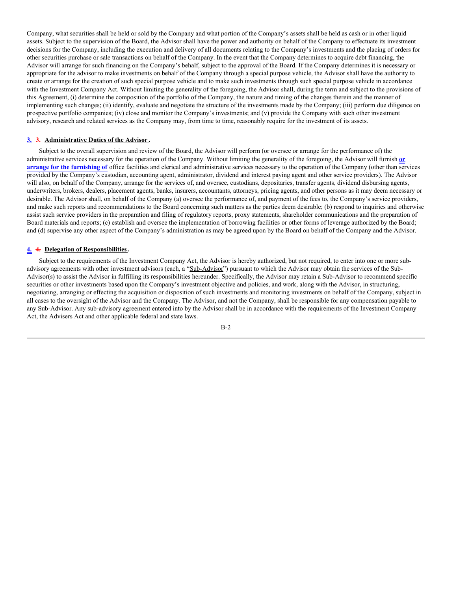Company, what securities shall be held or sold by the Company and what portion of the Company's assets shall be held as cash or in other liquid assets. Subject to the supervision of the Board, the Advisor shall have the power and authority on behalf of the Company to effectuate its investment decisions for the Company, including the execution and delivery of all documents relating to the Company's investments and the placing of orders for other securities purchase or sale transactions on behalf of the Company. In the event that the Company determines to acquire debt financing, the Advisor will arrange for such financing on the Company's behalf, subject to the approval of the Board. If the Company determines it is necessary or appropriate for the advisor to make investments on behalf of the Company through a special purpose vehicle, the Advisor shall have the authority to create or arrange for the creation of such special purpose vehicle and to make such investments through such special purpose vehicle in accordance with the Investment Company Act. Without limiting the generality of the foregoing, the Advisor shall, during the term and subject to the provisions of this Agreement, (i) determine the composition of the portfolio of the Company, the nature and timing of the changes therein and the manner of implementing such changes; (ii) identify, evaluate and negotiate the structure of the investments made by the Company; (iii) perform due diligence on prospective portfolio companies; (iv) close and monitor the Company's investments; and (v) provide the Company with such other investment advisory, research and related services as the Company may, from time to time, reasonably require for the investment of its assets.

#### **3. 3. Administrative Duties of the Advisor .**

Subject to the overall supervision and review of the Board, the Advisor will perform (or oversee or arrange for the performance of) the administrative services necessary for the operation of the Company. Without limiting the generality of the foregoing, the Advisor will furnish **or arrange for the furnishing of** office facilities and clerical and administrative services necessary to the operation of the Company (other than services provided by the Company's custodian, accounting agent, administrator, dividend and interest paying agent and other service providers). The Advisor will also, on behalf of the Company, arrange for the services of, and oversee, custodians, depositaries, transfer agents, dividend disbursing agents, underwriters, brokers, dealers, placement agents, banks, insurers, accountants, attorneys, pricing agents, and other persons as it may deem necessary or desirable. The Advisor shall, on behalf of the Company (a) oversee the performance of, and payment of the fees to, the Company's service providers, and make such reports and recommendations to the Board concerning such matters as the parties deem desirable; (b) respond to inquiries and otherwise assist such service providers in the preparation and filing of regulatory reports, proxy statements, shareholder communications and the preparation of Board materials and reports; (c) establish and oversee the implementation of borrowing facilities or other forms of leverage authorized by the Board; and (d) supervise any other aspect of the Company's administration as may be agreed upon by the Board on behalf of the Company and the Advisor.

#### **4. 4. Delegation of Responsibilities.**

Subject to the requirements of the Investment Company Act, the Advisor is hereby authorized, but not required, to enter into one or more subadvisory agreements with other investment advisors (each, a "Sub-Advisor") pursuant to which the Advisor may obtain the services of the Sub-Advisor(s) to assist the Advisor in fulfilling its responsibilities hereunder. Specifically, the Advisor may retain a Sub-Advisor to recommend specific securities or other investments based upon the Company's investment objective and policies, and work, along with the Advisor, in structuring, negotiating, arranging or effecting the acquisition or disposition of such investments and monitoring investments on behalf of the Company, subject in all cases to the oversight of the Advisor and the Company. The Advisor, and not the Company, shall be responsible for any compensation payable to any Sub-Advisor. Any sub-advisory agreement entered into by the Advisor shall be in accordance with the requirements of the Investment Company Act, the Advisers Act and other applicable federal and state laws.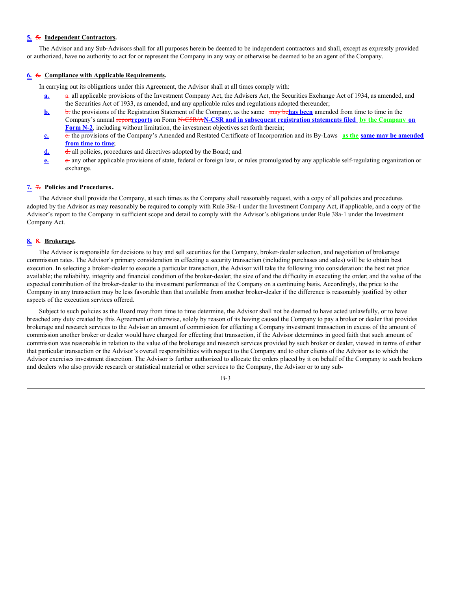#### **5. 5. Independent Contractors.**

The Advisor and any Sub-Advisors shall for all purposes herein be deemed to be independent contractors and shall, except as expressly provided or authorized, have no authority to act for or represent the Company in any way or otherwise be deemed to be an agent of the Company.

#### **6. 6. Compliance with Applicable Requirements.**

In carrying out its obligations under this Agreement, the Advisor shall at all times comply with:

- **a. a.** all applicable provisions of the Investment Company Act, the Advisers Act, the Securities Exchange Act of 1934, as amended, and the Securities Act of 1933, as amended, and any applicable rules and regulations adopted thereunder;
- **b.** b. the provisions of the Registration Statement of the Company, as the same may be**has been** amended from time to time in the Company's annual report**reports** on Form N-C5R/A**N-CSR and in subsequent registration statements filed by the Company on Form N-2**, including without limitation, the investment objectives set forth therein;
- **c.** c. the provisions of the Company's Amended and Restated Certificate of Incorporation and its By-Laws **as the same may be amended from time to time**;
- d. d. d. all policies, procedures and directives adopted by the Board; and
- **e.** e. any other applicable provisions of state, federal or foreign law, or rules promulgated by any applicable self-regulating organization or exchange.

#### **7. 7. Policies and Procedures.**

The Advisor shall provide the Company, at such times as the Company shall reasonably request, with a copy of all policies and procedures adopted by the Advisor as may reasonably be required to comply with Rule 38a-1 under the Investment Company Act, if applicable, and a copy of the Advisor's report to the Company in sufficient scope and detail to comply with the Advisor's obligations under Rule 38a-1 under the Investment Company Act.

#### **8. 8. Brokerage.**

The Advisor is responsible for decisions to buy and sell securities for the Company, broker-dealer selection, and negotiation of brokerage commission rates. The Advisor's primary consideration in effecting a security transaction (including purchases and sales) will be to obtain best execution. In selecting a broker-dealer to execute a particular transaction, the Advisor will take the following into consideration: the best net price available; the reliability, integrity and financial condition of the broker-dealer; the size of and the difficulty in executing the order; and the value of the expected contribution of the broker-dealer to the investment performance of the Company on a continuing basis. Accordingly, the price to the Company in any transaction may be less favorable than that available from another broker-dealer if the difference is reasonably justified by other aspects of the execution services offered.

Subject to such policies as the Board may from time to time determine, the Advisor shall not be deemed to have acted unlawfully, or to have breached any duty created by this Agreement or otherwise, solely by reason of its having caused the Company to pay a broker or dealer that provides brokerage and research services to the Advisor an amount of commission for effecting a Company investment transaction in excess of the amount of commission another broker or dealer would have charged for effecting that transaction, if the Advisor determines in good faith that such amount of commission was reasonable in relation to the value of the brokerage and research services provided by such broker or dealer, viewed in terms of either that particular transaction or the Advisor's overall responsibilities with respect to the Company and to other clients of the Advisor as to which the Advisor exercises investment discretion. The Advisor is further authorized to allocate the orders placed by it on behalf of the Company to such brokers and dealers who also provide research or statistical material or other services to the Company, the Advisor or to any sub-

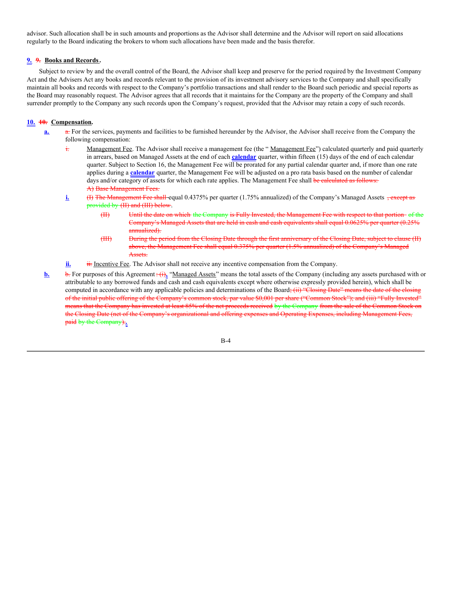advisor. Such allocation shall be in such amounts and proportions as the Advisor shall determine and the Advisor will report on said allocations regularly to the Board indicating the brokers to whom such allocations have been made and the basis therefor.

#### **9. 9. Books and Records.**

Subject to review by and the overall control of the Board, the Advisor shall keep and preserve for the period required by the Investment Company Act and the Advisers Act any books and records relevant to the provision of its investment advisory services to the Company and shall specifically maintain all books and records with respect to the Company's portfolio transactions and shall render to the Board such periodic and special reports as the Board may reasonably request. The Advisor agrees that all records that it maintains for the Company are the property of the Company and shall surrender promptly to the Company any such records upon the Company's request, provided that the Advisor may retain a copy of such records.

#### **10. 10. Compensation.**

- **a.** a. For the services, payments and facilities to be furnished hereunder by the Advisor, the Advisor shall receive from the Company the following compensation:
	- $\frac{1}{11}$  Management Fee. The Advisor shall receive a management fee (the "Management Fee") calculated quarterly and paid quarterly in arrears, based on Managed Assets at the end of each **calendar** quarter, within fifteen (15) days of the end of each calendar quarter. Subject to Section 16, the Management Fee will be prorated for any partial calendar quarter and, if more than one rate applies during a **calendar** quarter, the Management Fee will be adjusted on a pro rata basis based on the number of calendar days and/or category of assets for which each rate applies. The Management Fee shall be calculated as follows: A) Base Management Fees.
	- **i.** (I) The Management Fee shall-equal 0.4375% per quarter (1.75% annualized) of the Company's Managed Assets  $\frac{1}{2}$ provided by (II) and (III) below.
		- (II) Until the date on which the Company is Fully Invested, the Management Fee with respect to that portion of the Company's Managed Assets that are held in cash and cash equivalents shall equal 0.0625% per quarter (0.25% annualized).
		- (III) During the period from the Closing Date through the first anniversary of the Closing Date, subject to clause (II) above, the Management Fee shall equal 0.375% per quarter (1.5% annualized) of the Company's Managed Assets.
	- **ii. ii.** Incentive Fee. The Advisor shall not receive any incentive compensation from the Company.
- **b.** For purposes of this Agreement:  $\left(\hat{\mathbf{h}}_k\right)$  "Managed Assets" means the total assets of the Company (including any assets purchased with or attributable to any borrowed funds and cash and cash equivalents except where otherwise expressly provided herein), which shall be computed in accordance with any applicable policies and determinations of the Board; (ii) "Closing Date" means the date of the closing of the initial public offering of the Company's common stock, par value \$0,001 per share ("Common Stock"); and (iii) "Fully Invested" means that the Company has invested at least 85% of the net proceeds received by the Company from the sale of the Common Stock on the Closing Date (net of the Company's organizational and offering expenses and Operating Expenses, including Management Fees, paid by the Company).**.**

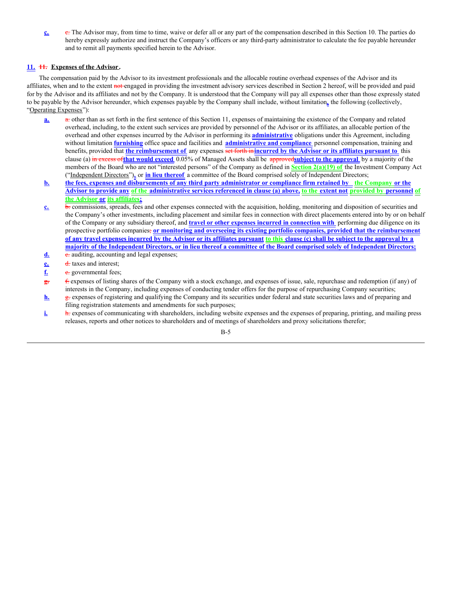**c.** The Advisor may, from time to time, waive or defer all or any part of the compensation described in this Section 10. The parties do hereby expressly authorize and instruct the Company's officers or any third-party administrator to calculate the fee payable hereunder and to remit all payments specified herein to the Advisor.

#### **11. 11. Expenses of the Advisor .**

The compensation paid by the Advisor to its investment professionals and the allocable routine overhead expenses of the Advisor and its affiliates, when and to the extent not engaged in providing the investment advisory services described in Section 2 hereof, will be provided and paid for by the Advisor and its affiliates and not by the Company. It is understood that the Company will pay all expenses other than those expressly stated to be payable by the Advisor hereunder, which expenses payable by the Company shall include, without limitation**,** the following (collectively, "Operating Expenses"):

- **a. a.** other than as set forth in the first sentence of this Section 11, expenses of maintaining the existence of the Company and related overhead, including, to the extent such services are provided by personnel of the Advisor or its affiliates, an allocable portion of the overhead and other expenses incurred by the Advisor in performing its **administrative** obligations under this Agreement, including without limitation **furnishing** office space and facilities and **administrative and compliance** personnel compensation, training and benefits, provided that **the reimbursement of** any expenses set forth in**incurred by the Advisor or its affiliates pursuant to** this clause (a) in excess of**that would exceed** 0.05% of Managed Assets shall be approved**subject to the approval** by a majority of the members of the Board who are not "interested persons" of the Company as defined in **Section 2(a)(19) of** the Investment Company Act ("Independent Directors")**,** or **in lieu thereof** a committee of the Board comprised solely of Independent Directors;
- b. the fees, expenses and disbursements of any third party administrator or compliance firm retained by the Company or the Advisor to provide any of the administrative services referenced in clause (a) above, to the extent not provided by personnel of **the Advisor or its affiliates;**
- **c. b.** commissions, spreads, fees and other expenses connected with the acquisition, holding, monitoring and disposition of securities and the Company's other investments, including placement and similar fees in connection with direct placements entered into by or on behalf of the Company or any subsidiary thereof, and **travel or other expenses incurred in connection with** performing due diligence on its prospective portfolio companies; **or monitoring and overseeing its existing portfolio companies, provided that the reimbursement** of any travel expenses incurred by the Advisor or its affiliates pursuant to this clause (c) shall be subject to the approval by a majority of the Independent Directors, or in lieu thereof a committee of the Board comprised solely of Independent Directors;
- d. c. auditing, accounting and legal expenses;
- **e.** d. taxes and interest;
- **f.** e. governmental fees;
- **g.** f. expenses of listing shares of the Company with a stock exchange, and expenses of issue, sale, repurchase and redemption (if any) of interests in the Company, including expenses of conducting tender offers for the purpose of repurchasing Company securities;
- **h.** g. expenses of registering and qualifying the Company and its securities under federal and state securities laws and of preparing and filing registration statements and amendments for such purposes;
- **i. h.** expenses of communicating with shareholders, including website expenses and the expenses of preparing, printing, and mailing press releases, reports and other notices to shareholders and of meetings of shareholders and proxy solicitations therefor;

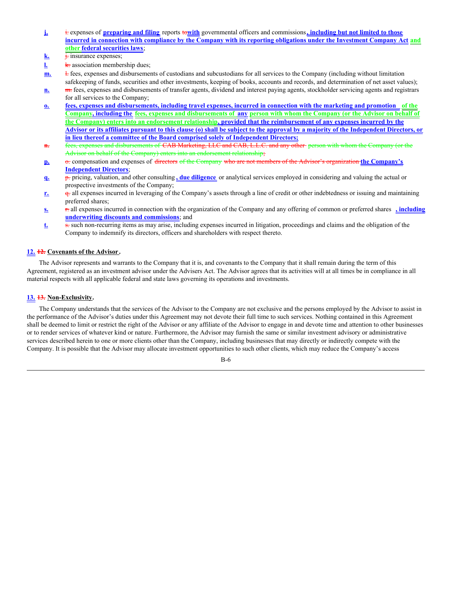- **j.** i. expenses of **preparing and filing** reports to**with** governmental officers and commissions**, including but not limited to those** incurred in connection with compliance by the Company with its reporting obligations under the Investment Company Act and **other federal securities laws**;
- **k. j.** insurance expenses;
- **l.** k. association membership dues;
- **m.** <del>l.</del> fees, expenses and disbursements of custodians and subcustodians for all services to the Company (including without limitation safekeeping of funds, securities and other investments, keeping of books, accounts and records, and determination of net asset values);
- **n.** m. fees, expenses and disbursements of transfer agents, dividend and interest paying agents, stockholder servicing agents and registrars for all services to the Company;
- o. fees, expenses and disbursements, including travel expenses, incurred in connection with the marketing and promotion of the Company, including the fees, expenses and disbursements of any person with whom the Company (or the Advisor on behalf of the Company) enters into an endorsement relationship, provided that the reimbursement of any expenses incurred by the Advisor or its affiliates pursuant to this clause (o) shall be subject to the approval by a majority of the Independent Directors, or **in lieu thereof a committee of the Board comprised solely of Independent Directors;**
- **n.** fees, expenses and disbursements of CAB Marketing, LLC and CAB, L.L.C. and any other person with whom the Company (or the Advisor on behalf of the Company) enters into an endorsement relationship;
- **p.**  $\sigma$  compensation and expenses of directors of the Company who are not members of the Advisor's organization the Company's **Independent Directors**;
- **q.** p. pricing, valuation, and other consulting **, due diligence** or analytical services employed in considering and valuing the actual or prospective investments of the Company;
- **r. q.** all expenses incurred in leveraging of the Company's assets through a line of credit or other indebtedness or issuing and maintaining preferred shares;
- **s.** r. all expenses incurred in connection with the organization of the Company and any offering of common or preferred shares **, including underwriting discounts and commissions**; and
- **t.** s. such non-recurring items as may arise, including expenses incurred in litigation, proceedings and claims and the obligation of the Company to indemnify its directors, officers and shareholders with respect thereto.

#### **12. 12. Covenants of the Advisor .**

The Advisor represents and warrants to the Company that it is, and covenants to the Company that it shall remain during the term of this Agreement, registered as an investment advisor under the Advisers Act. The Advisor agrees that its activities will at all times be in compliance in all material respects with all applicable federal and state laws governing its operations and investments.

#### **13. 13. Non-Exclusivity.**

The Company understands that the services of the Advisor to the Company are not exclusive and the persons employed by the Advisor to assist in the performance of the Advisor's duties under this Agreement may not devote their full time to such services. Nothing contained in this Agreement shall be deemed to limit or restrict the right of the Advisor or any affiliate of the Advisor to engage in and devote time and attention to other businesses or to render services of whatever kind or nature. Furthermore, the Advisor may furnish the same or similar investment advisory or administrative services described herein to one or more clients other than the Company, including businesses that may directly or indirectly compete with the Company. It is possible that the Advisor may allocate investment opportunities to such other clients, which may reduce the Company's access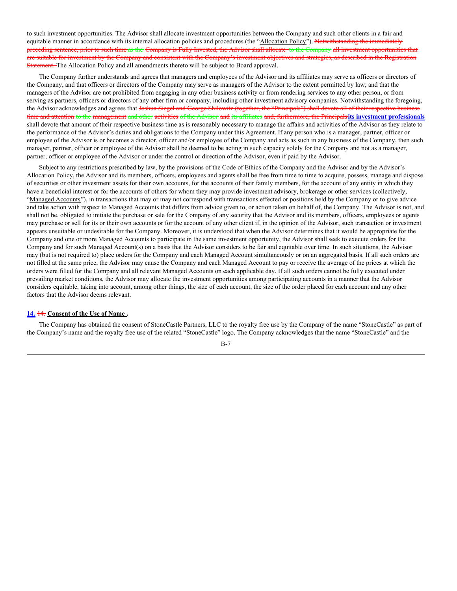to such investment opportunities. The Advisor shall allocate investment opportunities between the Company and such other clients in a fair and equitable manner in accordance with its internal allocation policies and procedures (the "Allocation Policy"). Notwithstanding the immediately preceding sentence, prior to such time as the Company is Fully Invested, the Advisor shall allocate to the Company all investment opportunities that are suitable for investment by the Company and consistent with the Company's investment objectives and strategies, as described in the Registration Statement. The Allocation Policy and all amendments thereto will be subject to Board approval.

The Company further understands and agrees that managers and employees of the Advisor and its affiliates may serve as officers or directors of the Company, and that officers or directors of the Company may serve as managers of the Advisor to the extent permitted by law; and that the managers of the Advisor are not prohibited from engaging in any other business activity or from rendering services to any other person, or from serving as partners, officers or directors of any other firm or company, including other investment advisory companies. Notwithstanding the foregoing, the Advisor acknowledges and agrees that Joshua Siegel and George Shilowitz (together, the "Principals") shall devote all of their respective business time and attention to the management and other activities of the Advisor and its affiliates and, furthermore, the Principals**its investment professionals** shall devote that amount of their respective business time as is reasonably necessary to manage the affairs and activities of the Advisor as they relate to the performance of the Advisor's duties and obligations to the Company under this Agreement. If any person who is a manager, partner, officer or employee of the Advisor is or becomes a director, officer and/or employee of the Company and acts as such in any business of the Company, then such manager, partner, officer or employee of the Advisor shall be deemed to be acting in such capacity solely for the Company and not as a manager, partner, officer or employee of the Advisor or under the control or direction of the Advisor, even if paid by the Advisor.

Subject to any restrictions prescribed by law, by the provisions of the Code of Ethics of the Company and the Advisor and by the Advisor's Allocation Policy, the Advisor and its members, officers, employees and agents shall be free from time to time to acquire, possess, manage and dispose of securities or other investment assets for their own accounts, for the accounts of their family members, for the account of any entity in which they have a beneficial interest or for the accounts of others for whom they may provide investment advisory, brokerage or other services (collectively, "Managed Accounts"), in transactions that may or may not correspond with transactions effected or positions held by the Company or to give advice and take action with respect to Managed Accounts that differs from advice given to, or action taken on behalf of, the Company. The Advisor is not, and shall not be, obligated to initiate the purchase or sale for the Company of any security that the Advisor and its members, officers, employees or agents may purchase or sell for its or their own accounts or for the account of any other client if, in the opinion of the Advisor, such transaction or investment appears unsuitable or undesirable for the Company. Moreover, it is understood that when the Advisor determines that it would be appropriate for the Company and one or more Managed Accounts to participate in the same investment opportunity, the Advisor shall seek to execute orders for the Company and for such Managed Account(s) on a basis that the Advisor considers to be fair and equitable over time. In such situations, the Advisor may (but is not required to) place orders for the Company and each Managed Account simultaneously or on an aggregated basis. If all such orders are not filled at the same price, the Advisor may cause the Company and each Managed Account to pay or receive the average of the prices at which the orders were filled for the Company and all relevant Managed Accounts on each applicable day. If all such orders cannot be fully executed under prevailing market conditions, the Advisor may allocate the investment opportunities among participating accounts in a manner that the Advisor considers equitable, taking into account, among other things, the size of each account, the size of the order placed for each account and any other factors that the Advisor deems relevant.

#### **14.** 14. **Consent of the Use of Name .**

The Company has obtained the consent of StoneCastle Partners, LLC to the royalty free use by the Company of the name "StoneCastle" as part of the Company's name and the royalty free use of the related "StoneCastle" logo. The Company acknowledges that the name "StoneCastle" and the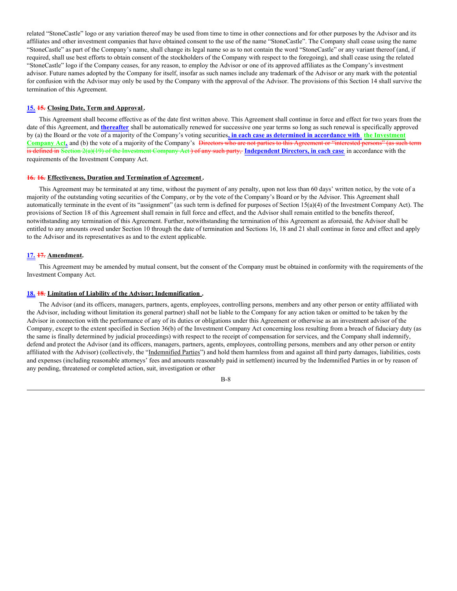related "StoneCastle" logo or any variation thereof may be used from time to time in other connections and for other purposes by the Advisor and its affiliates and other investment companies that have obtained consent to the use of the name "StoneCastle". The Company shall cease using the name "StoneCastle" as part of the Company's name, shall change its legal name so as to not contain the word "StoneCastle" or any variant thereof (and, if required, shall use best efforts to obtain consent of the stockholders of the Company with respect to the foregoing), and shall cease using the related "StoneCastle" logo if the Company ceases, for any reason, to employ the Advisor or one of its approved affiliates as the Company's investment advisor. Future names adopted by the Company for itself, insofar as such names include any trademark of the Advisor or any mark with the potential for confusion with the Advisor may only be used by the Company with the approval of the Advisor. The provisions of this Section 14 shall survive the termination of this Agreement.

#### **15. 15. Closing Date, Term and Approval.**

This Agreement shall become effective as of the date first written above. This Agreement shall continue in force and effect for two years from the date of this Agreement, and **thereafter** shall be automatically renewed for successive one year terms so long as such renewal is specifically approved by (a) the Board or the vote of a majority of the Company's voting securities**, in each case as determined in accordance with the Investment** Company Act, and (b) the vote of a majority of the Company's <del>Directors who are not parties to this Agreement or "interested persons" (as such term</del> is defined in Section 2(a)(19) of the Investment Company Act ) of any such party, **Independent Directors, in each case** in accordance with the requirements of the Investment Company Act.

#### **16. 16. Effectiveness, Duration and Termination of Agreement .**

This Agreement may be terminated at any time, without the payment of any penalty, upon not less than 60 days' written notice, by the vote of a majority of the outstanding voting securities of the Company, or by the vote of the Company's Board or by the Advisor. This Agreement shall automatically terminate in the event of its "assignment" (as such term is defined for purposes of Section 15(a)(4) of the Investment Company Act). The provisions of Section 18 of this Agreement shall remain in full force and effect, and the Advisor shall remain entitled to the benefits thereof, notwithstanding any termination of this Agreement. Further, notwithstanding the termination of this Agreement as aforesaid, the Advisor shall be entitled to any amounts owed under Section 10 through the date of termination and Sections 16, 18 and 21 shall continue in force and effect and apply to the Advisor and its representatives as and to the extent applicable.

#### **17. 17. Amendment.**

This Agreement may be amended by mutual consent, but the consent of the Company must be obtained in conformity with the requirements of the Investment Company Act.

#### **18. 18. Limitation of Liability of the Advisor; Indemnification .**

The Advisor (and its officers, managers, partners, agents, employees, controlling persons, members and any other person or entity affiliated with the Advisor, including without limitation its general partner) shall not be liable to the Company for any action taken or omitted to be taken by the Advisor in connection with the performance of any of its duties or obligations under this Agreement or otherwise as an investment advisor of the Company, except to the extent specified in Section 36(b) of the Investment Company Act concerning loss resulting from a breach of fiduciary duty (as the same is finally determined by judicial proceedings) with respect to the receipt of compensation for services, and the Company shall indemnify, defend and protect the Advisor (and its officers, managers, partners, agents, employees, controlling persons, members and any other person or entity affiliated with the Advisor) (collectively, the "Indemnified Parties") and hold them harmless from and against all third party damages, liabilities, costs and expenses (including reasonable attorneys' fees and amounts reasonably paid in settlement) incurred by the Indemnified Parties in or by reason of any pending, threatened or completed action, suit, investigation or other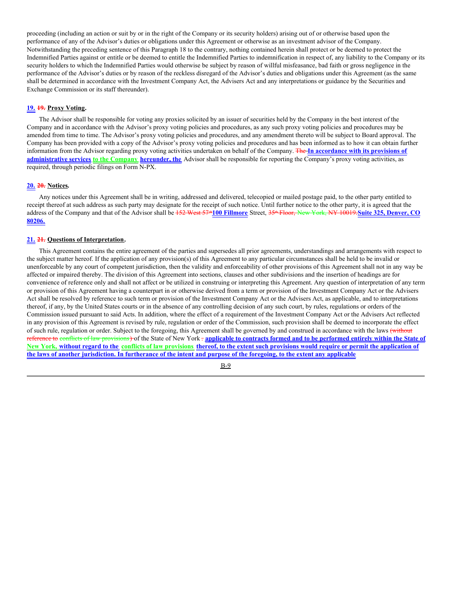proceeding (including an action or suit by or in the right of the Company or its security holders) arising out of or otherwise based upon the performance of any of the Advisor's duties or obligations under this Agreement or otherwise as an investment advisor of the Company. Notwithstanding the preceding sentence of this Paragraph 18 to the contrary, nothing contained herein shall protect or be deemed to protect the Indemnified Parties against or entitle or be deemed to entitle the Indemnified Parties to indemnification in respect of, any liability to the Company or its security holders to which the Indemnified Parties would otherwise be subject by reason of willful misfeasance, bad faith or gross negligence in the performance of the Advisor's duties or by reason of the reckless disregard of the Advisor's duties and obligations under this Agreement (as the same shall be determined in accordance with the Investment Company Act, the Advisers Act and any interpretations or guidance by the Securities and Exchange Commission or its staff thereunder).

#### **19. 19. Proxy Voting.**

The Advisor shall be responsible for voting any proxies solicited by an issuer of securities held by the Company in the best interest of the Company and in accordance with the Advisor's proxy voting policies and procedures, as any such proxy voting policies and procedures may be amended from time to time. The Advisor's proxy voting policies and procedures, and any amendment thereto will be subject to Board approval. The Company has been provided with a copy of the Advisor's proxy voting policies and procedures and has been informed as to how it can obtain further information from the Advisor regarding proxy voting activities undertaken on behalf of the Company. The **In accordance with its provisions of administrative services to the Company hereunder, the** Advisor shall be responsible for reporting the Company's proxy voting activities, as required, through periodic filings on Form N-PX.

#### **20. 20. Notices.**

Any notices under this Agreement shall be in writing, addressed and delivered, telecopied or mailed postage paid, to the other party entitled to receipt thereof at such address as such party may designate for the receipt of such notice. Until further notice to the other party, it is agreed that the address of the Company and that of the Advisor shall be <del>152 West 57<sup>\*</sup>100 Fillmore</del> Street, <del>35<sup>\*</sup> Floor, New York, NY 10019. Suite 325, Denver, CO</del> **80206.**

#### **21. 21. Questions of Interpretation.**

This Agreement contains the entire agreement of the parties and supersedes all prior agreements, understandings and arrangements with respect to the subject matter hereof. If the application of any provision(s) of this Agreement to any particular circumstances shall be held to be invalid or unenforceable by any court of competent jurisdiction, then the validity and enforceability of other provisions of this Agreement shall not in any way be affected or impaired thereby. The division of this Agreement into sections, clauses and other subdivisions and the insertion of headings are for convenience of reference only and shall not affect or be utilized in construing or interpreting this Agreement. Any question of interpretation of any term or provision of this Agreement having a counterpart in or otherwise derived from a term or provision of the Investment Company Act or the Advisers Act shall be resolved by reference to such term or provision of the Investment Company Act or the Advisers Act, as applicable, and to interpretations thereof, if any, by the United States courts or in the absence of any controlling decision of any such court, by rules, regulations or orders of the Commission issued pursuant to said Acts. In addition, where the effect of a requirement of the Investment Company Act or the Advisers Act reflected in any provision of this Agreement is revised by rule, regulation or order of the Commission, such provision shall be deemed to incorporate the effect of such rule, regulation or order. Subject to the foregoing, this Agreement shall be governed by and construed in accordance with the laws (without reference to conflicts of law provisions) of the State of New York = applicable to contracts formed and to be performed entirely within the State of New York, without regard to the conflicts of law provisions thereof, to the extent such provisions would require or permit the application of the laws of another jurisdiction. In furtherance of the intent and purpose of the foregoing, to the extent any applicable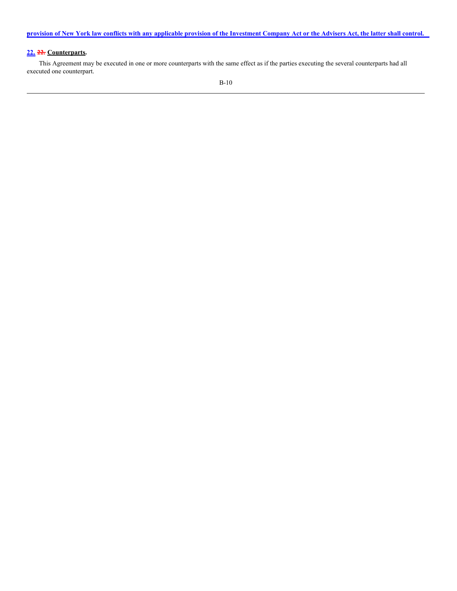provision of New York law conflicts with any applicable provision of the Investment Company Act or the Advisers Act, the latter shall control.

#### **22. 22. Counterparts.**

This Agreement may be executed in one or more counterparts with the same effect as if the parties executing the several counterparts had all executed one counterpart.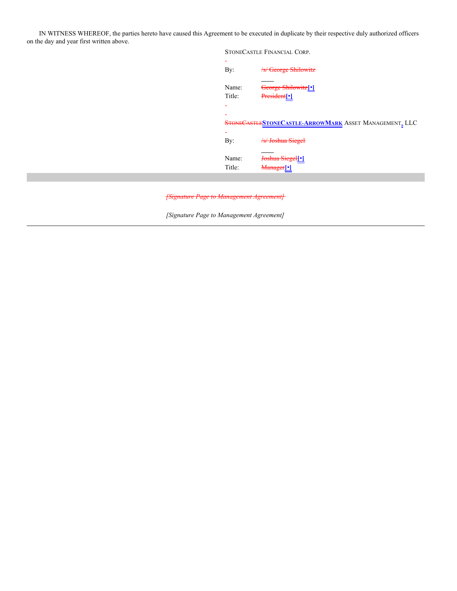IN WITNESS WHEREOF, the parties hereto have caused this Agreement to be executed in duplicate by their respective duly authorized officers on the day and year first written above.

> STONECASTLE FINANCIAL CORP. - By: */s/ George Shilowitz* Name: George Shilowitz**[**•**]** Title: President**[**•**]** - - STONECASTLE**STONECASTLE-ARROWMARK** ASSET MANAGEMENT, LLC - By: /s/ Joshua Siegel Name: Joshua Siegel**[**•**]** Title: Manager**[**•**]**

*[Signature Page to Management Agreement]*

*[Signature Page to Management Agreement]*